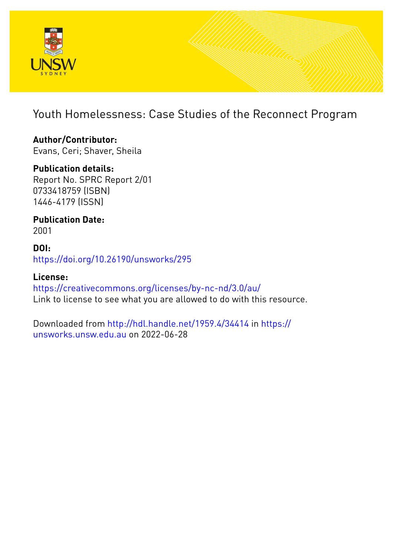

## Youth Homelessness: Case Studies of the Reconnect Program

### **Author/Contributor:** Evans, Ceri; Shaver, Sheila

**Publication details:**

Report No. SPRC Report 2/01 0733418759 (ISBN) 1446-4179 (ISSN)

**Publication Date:** 2001

**DOI:** [https://doi.org/10.26190/unsworks/295](http://dx.doi.org/https://doi.org/10.26190/unsworks/295)

**License:** <https://creativecommons.org/licenses/by-nc-nd/3.0/au/> Link to license to see what you are allowed to do with this resource.

Downloaded from <http://hdl.handle.net/1959.4/34414> in [https://](https://unsworks.unsw.edu.au) [unsworks.unsw.edu.au](https://unsworks.unsw.edu.au) on 2022-06-28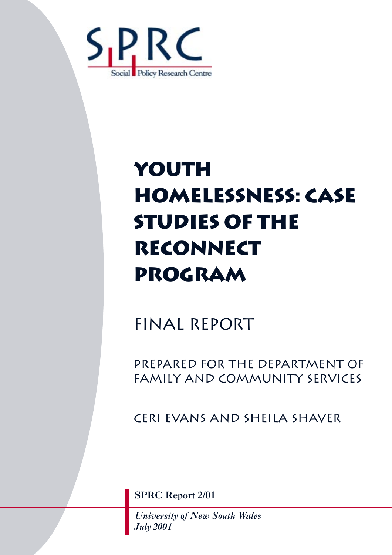

# **Youth HOMELESSNESS: CASE STUDIES OF THE RECONNECT PROGRAM**

## FINAL report

PREPARED FOR THE DEPARTMENT OF FAMILY AND COMMUNITY SERVICES

Ceri Evans and Sheila Shaver

SPRC Report 2/01

*University of New South Wales July 2001*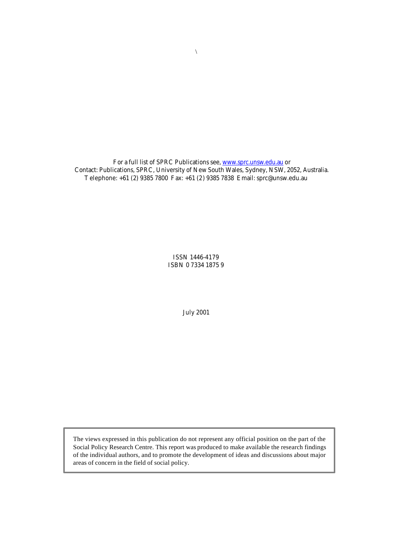For a full list of SPRC Publications see, www.sprc.unsw.edu.au or Contact: Publications, SPRC, University of New South Wales, Sydney, NSW, 2052, Australia. Telephone: +61 (2) 9385 7800 Fax: +61 (2) 9385 7838 Email: sprc@unsw.edu.au

> ISSN 1446-4179 ISBN 0 7334 1875 9

> > July 2001

The views expressed in this publication do not represent any official position on the part of the Social Policy Research Centre. This report was produced to make available the research findings of the individual authors, and to promote the development of ideas and discussions about major areas of concern in the field of social policy.

 $\backslash$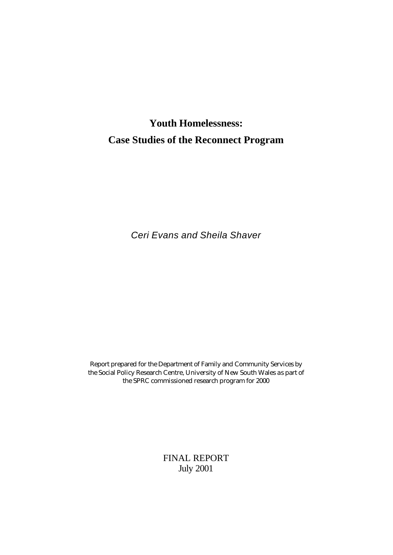## **Youth Homelessness: Case Studies of the Reconnect Program**

*Ceri Evans and Sheila Shaver*

Report prepared for the Department of Family and Community Services by the Social Policy Research Centre, University of New South Wales as part of the SPRC commissioned research program for 2000

> FINAL REPORT July 2001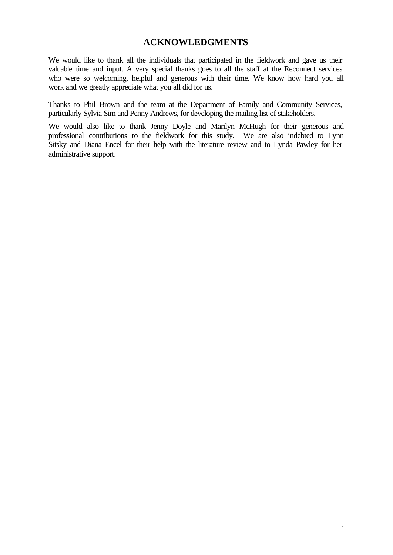#### **ACKNOWLEDGMENTS**

We would like to thank all the individuals that participated in the fieldwork and gave us their valuable time and input. A very special thanks goes to all the staff at the Reconnect services who were so welcoming, helpful and generous with their time. We know how hard you all work and we greatly appreciate what you all did for us.

Thanks to Phil Brown and the team at the Department of Family and Community Services, particularly Sylvia Sim and Penny Andrews, for developing the mailing list of stakeholders.

We would also like to thank Jenny Doyle and Marilyn McHugh for their generous and professional contributions to the fieldwork for this study. We are also indebted to Lynn Sitsky and Diana Encel for their help with the literature review and to Lynda Pawley for her administrative support.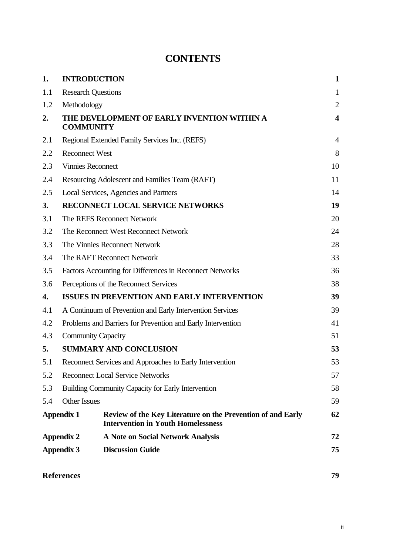## **CONTENTS**

| 1.  | <b>INTRODUCTION</b>       |                                                                                                          | $\mathbf{1}$            |
|-----|---------------------------|----------------------------------------------------------------------------------------------------------|-------------------------|
| 1.1 | <b>Research Questions</b> |                                                                                                          | $\mathbf{1}$            |
| 1.2 | Methodology               |                                                                                                          | $\overline{2}$          |
| 2.  | <b>COMMUNITY</b>          | THE DEVELOPMENT OF EARLY INVENTION WITHIN A                                                              | $\overline{\mathbf{4}}$ |
| 2.1 |                           | Regional Extended Family Services Inc. (REFS)                                                            | $\overline{4}$          |
| 2.2 | <b>Reconnect West</b>     |                                                                                                          | 8                       |
| 2.3 | <b>Vinnies Reconnect</b>  |                                                                                                          | 10                      |
| 2.4 |                           | Resourcing Adolescent and Families Team (RAFT)                                                           | 11                      |
| 2.5 |                           | Local Services, Agencies and Partners                                                                    | 14                      |
| 3.  |                           | RECONNECT LOCAL SERVICE NETWORKS                                                                         | 19                      |
| 3.1 |                           | The REFS Reconnect Network                                                                               | 20                      |
| 3.2 |                           | The Reconnect West Reconnect Network                                                                     | 24                      |
| 3.3 |                           | The Vinnies Reconnect Network                                                                            | 28                      |
| 3.4 |                           | The RAFT Reconnect Network                                                                               | 33                      |
| 3.5 |                           | Factors Accounting for Differences in Reconnect Networks                                                 | 36                      |
| 3.6 |                           | Perceptions of the Reconnect Services                                                                    | 38                      |
| 4.  |                           | <b>ISSUES IN PREVENTION AND EARLY INTERVENTION</b>                                                       | 39                      |
| 4.1 |                           | A Continuum of Prevention and Early Intervention Services                                                | 39                      |
| 4.2 |                           | Problems and Barriers for Prevention and Early Intervention                                              | 41                      |
| 4.3 | <b>Community Capacity</b> |                                                                                                          | 51                      |
| 5.  |                           | <b>SUMMARY AND CONCLUSION</b>                                                                            | 53                      |
| 5.1 |                           | Reconnect Services and Approaches to Early Intervention                                                  | 53                      |
| 5.2 |                           | <b>Reconnect Local Service Networks</b>                                                                  | 57                      |
| 5.3 |                           | <b>Building Community Capacity for Early Intervention</b>                                                | 58                      |
| 5.4 | <b>Other Issues</b>       |                                                                                                          | 59                      |
|     | <b>Appendix 1</b>         | Review of the Key Literature on the Prevention of and Early<br><b>Intervention in Youth Homelessness</b> | 62                      |
|     | <b>Appendix 2</b>         | <b>A Note on Social Network Analysis</b>                                                                 | 72                      |
|     | <b>Appendix 3</b>         | <b>Discussion Guide</b>                                                                                  | 75                      |
|     | <b>References</b>         |                                                                                                          | 79                      |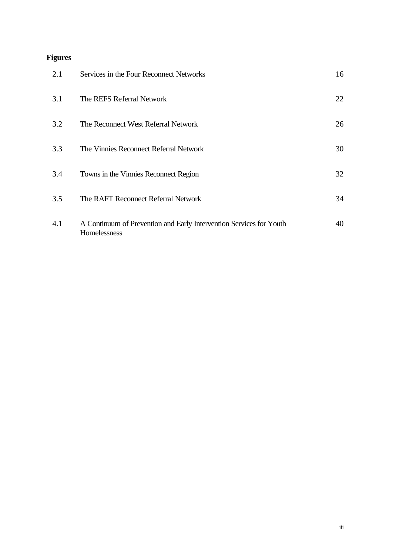## **Figures**

| 2.1 | Services in the Four Reconnect Networks                                             | 16 |
|-----|-------------------------------------------------------------------------------------|----|
| 3.1 | The REFS Referral Network                                                           | 22 |
| 3.2 | The Reconnect West Referral Network                                                 | 26 |
| 3.3 | The Vinnies Reconnect Referral Network                                              | 30 |
| 3.4 | Towns in the Vinnies Reconnect Region                                               | 32 |
| 3.5 | The RAFT Reconnect Referral Network                                                 | 34 |
| 4.1 | A Continuum of Prevention and Early Intervention Services for Youth<br>Homelessness | 40 |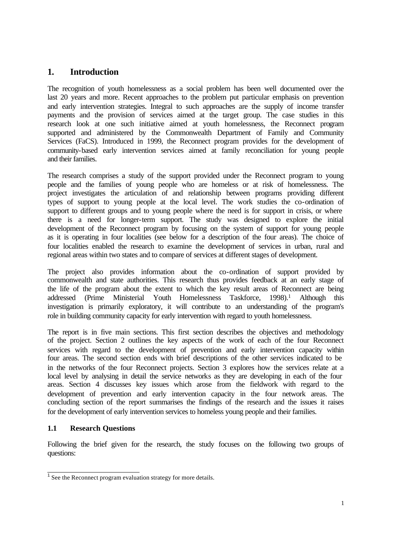#### **1. Introduction**

The recognition of youth homelessness as a social problem has been well documented over the last 20 years and more. Recent approaches to the problem put particular emphasis on prevention and early intervention strategies. Integral to such approaches are the supply of income transfer payments and the provision of services aimed at the target group. The case studies in this research look at one such initiative aimed at youth homelessness, the Reconnect program supported and administered by the Commonwealth Department of Family and Community Services (FaCS). Introduced in 1999, the Reconnect program provides for the development of community-based early intervention services aimed at family reconciliation for young people and their families.

The research comprises a study of the support provided under the Reconnect program to young people and the families of young people who are homeless or at risk of homelessness. The project investigates the articulation of and relationship between programs providing different types of support to young people at the local level. The work studies the co-ordination of support to different groups and to young people where the need is for support in crisis, or where there is a need for longer-term support. The study was designed to explore the initial development of the Reconnect program by focusing on the system of support for young people as it is operating in four localities (see below for a description of the four areas). The choice of four localities enabled the research to examine the development of services in urban, rural and regional areas within two states and to compare of services at different stages of development.

The project also provides information about the co-ordination of support provided by commonwealth and state authorities. This research thus provides feedback at an early stage of the life of the program about the extent to which the key result areas of Reconnect are being addressed (Prime Ministerial Youth Homelessness Taskforce, 1998).<sup>1</sup> Although this investigation is primarily exploratory, it will contribute to an understanding of the program's role in building community capacity for early intervention with regard to youth homelessness.

The report is in five main sections. This first section describes the objectives and methodology of the project. Section 2 outlines the key aspects of the work of each of the four Reconnect services with regard to the development of prevention and early intervention capacity within four areas. The second section ends with brief descriptions of the other services indicated to be in the networks of the four Reconnect projects. Section 3 explores how the services relate at a local level by analysing in detail the service networks as they are developing in each of the four areas. Section 4 discusses key issues which arose from the fieldwork with regard to the development of prevention and early intervention capacity in the four network areas. The concluding section of the report summarises the findings of the research and the issues it raises for the development of early intervention services to homeless young people and their families.

#### **1.1 Research Questions**

Following the brief given for the research, the study focuses on the following two groups of questions:

<sup>&</sup>lt;sup>1</sup> See the Reconnect program evaluation strategy for more details.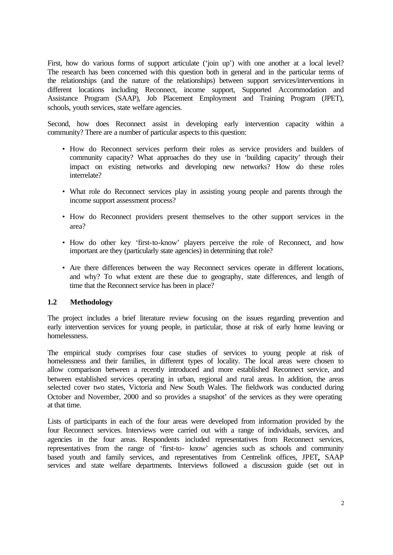First, how do various forms of support articulate ('join up') with one another at a local level? The research has been concerned with this question both in general and in the particular terms of the relationships (and the nature of the relationships) between support services/interventions in different locations including Reconnect, income support, Supported Accommodation and Assistance Program (SAAP), Job Placement Employment and Training Program (JPET), schools, youth services, state welfare agencies.

Second, how does Reconnect assist in developing early intervention capacity within a community? There are a number of particular aspects to this question:

- How do Reconnect services perform their roles as service providers and builders of community capacity? What approaches do they use in 'building capacity' through their impact on existing networks and developing new networks? How do these roles interrelate?
- What role do Reconnect services play in assisting young people and parents through the income support assessment process?
- How do Reconnect providers present themselves to the other support services in the area?
- How do other key 'first-to-know' players perceive the role of Reconnect, and how important are they (particularly state agencies) in determining that role?
- Are there differences between the way Reconnect services operate in different locations, and why? To what extent are these due to geography, state differences, and length of time that the Reconnect service has been in place?

#### **1.2 Methodology**

The project includes a brief literature review focusing on the issues regarding prevention and early intervention services for young people, in particular, those at risk of early home leaving or homelessness.

The empirical study comprises four case studies of services to young people at risk of homelessness and their families, in different types of locality. The local areas were chosen to allow comparison between a recently introduced and more established Reconnect service, and between established services operating in urban, regional and rural areas. In addition, the areas selected cover two states, Victoria and New South Wales. The fieldwork was conducted during October and November, 2000 and so provides a snapshot' of the services as they were operating at that time.

Lists of participants in each of the four areas were developed from information provided by the four Reconnect services. Interviews were carried out with a range of individuals, services, and agencies in the four areas. Respondents included representatives from Reconnect services, representatives from the range of 'first-to- know' agencies such as schools and community based youth and family services, and representatives from Centrelink offices, JPET**,** SAAP services and state welfare departments. Interviews followed a discussion guide (set out in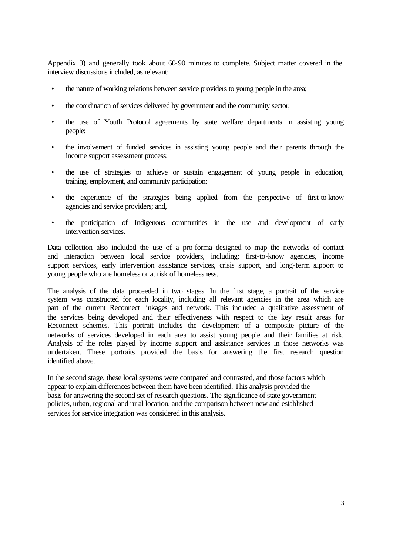Appendix 3) and generally took about 60-90 minutes to complete. Subject matter covered in the interview discussions included, as relevant:

- the nature of working relations between service providers to young people in the area;
- the coordination of services delivered by government and the community sector;
- the use of Youth Protocol agreements by state welfare departments in assisting young people;
- the involvement of funded services in assisting young people and their parents through the income support assessment process;
- the use of strategies to achieve or sustain engagement of young people in education, training, employment, and community participation;
- the experience of the strategies being applied from the perspective of first-to-know agencies and service providers; and,
- the participation of Indigenous communities in the use and development of early intervention services.

Data collection also included the use of a pro-forma designed to map the networks of contact and interaction between local service providers, including: first-to-know agencies, income support services, early intervention assistance services, crisis support, and long-term support to young people who are homeless or at risk of homelessness.

The analysis of the data proceeded in two stages. In the first stage, a portrait of the service system was constructed for each locality, including all relevant agencies in the area which are part of the current Reconnect linkages and network. This included a qualitative assessment of the services being developed and their effectiveness with respect to the key result areas for Reconnect schemes. This portrait includes the development of a composite picture of the networks of services developed in each area to assist young people and their families at risk. Analysis of the roles played by income support and assistance services in those networks was undertaken. These portraits provided the basis for answering the first research question identified above.

In the second stage, these local systems were compared and contrasted, and those factors which appear to explain differences between them have been identified. This analysis provided the basis for answering the second set of research questions. The significance of state government policies, urban, regional and rural location, and the comparison between new and established services for service integration was considered in this analysis.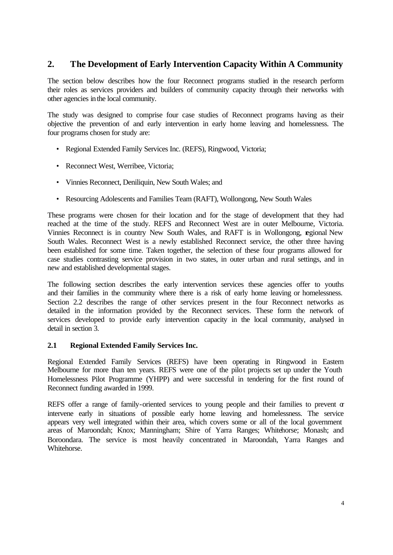#### **2. The Development of Early Intervention Capacity Within A Community**

The section below describes how the four Reconnect programs studied in the research perform their roles as services providers and builders of community capacity through their networks with other agencies in the local community.

The study was designed to comprise four case studies of Reconnect programs having as their objective the prevention of and early intervention in early home leaving and homelessness. The four programs chosen for study are:

- Regional Extended Family Services Inc. (REFS), Ringwood, Victoria;
- Reconnect West, Werribee, Victoria;
- Vinnies Reconnect, Deniliquin, New South Wales; and
- Resourcing Adolescents and Families Team (RAFT), Wollongong, New South Wales

These programs were chosen for their location and for the stage of development that they had reached at the time of the study. REFS and Reconnect West are in outer Melbourne, Victoria. Vinnies Reconnect is in country New South Wales, and RAFT is in Wollongong, regional New South Wales. Reconnect West is a newly established Reconnect service, the other three having been established for some time. Taken together, the selection of these four programs allowed for case studies contrasting service provision in two states, in outer urban and rural settings, and in new and established developmental stages.

The following section describes the early intervention services these agencies offer to youths and their families in the community where there is a risk of early home leaving or homelessness. Section 2.2 describes the range of other services present in the four Reconnect networks as detailed in the information provided by the Reconnect services. These form the network of services developed to provide early intervention capacity in the local community, analysed in detail in section 3.

#### **2.1 Regional Extended Family Services Inc.**

Regional Extended Family Services (REFS) have been operating in Ringwood in Eastern Melbourne for more than ten years. REFS were one of the pilot projects set up under the Youth Homelessness Pilot Programme (YHPP) and were successful in tendering for the first round of Reconnect funding awarded in 1999.

REFS offer a range of family-oriented services to young people and their families to prevent  $\sigma$ intervene early in situations of possible early home leaving and homelessness. The service appears very well integrated within their area, which covers some or all of the local government areas of Maroondah; Knox; Manningham; Shire of Yarra Ranges; Whitehorse; Monash; and Boroondara. The service is most heavily concentrated in Maroondah, Yarra Ranges and Whitehorse.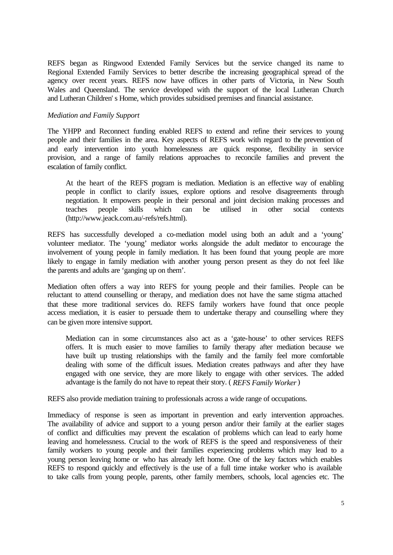REFS began as Ringwood Extended Family Services but the service changed its name to Regional Extended Family Services to better describe the increasing geographical spread of the agency over recent years. REFS now have offices in other parts of Victoria, in New South Wales and Queensland. The service developed with the support of the local Lutheran Church and Lutheran Children' s Home, which provides subsidised premises and financial assistance.

#### *Mediation and Family Support*

The YHPP and Reconnect funding enabled REFS to extend and refine their services to young people and their families in the area. Key aspects of REFS work with regard to the prevention of and early intervention into youth homelessness are quick response, flexibility in service provision, and a range of family relations approaches to reconcile families and prevent the escalation of family conflict.

At the heart of the REFS program is mediation. Mediation is an effective way of enabling people in conflict to clarify issues, explore options and resolve disagreements through negotiation. It empowers people in their personal and joint decision making processes and teaches people skills which can be utilised in other social contexts (http://www.jeack.com.au/-refs/refs.html).

REFS has successfully developed a co-mediation model using both an adult and a 'young' volunteer mediator. The 'young' mediator works alongside the adult mediator to encourage the involvement of young people in family mediation. It has been found that young people are more likely to engage in family mediation with another young person present as they do not feel like the parents and adults are 'ganging up on them'.

Mediation often offers a way into REFS for young people and their families. People can be reluctant to attend counselling or therapy, and mediation does not have the same stigma attached that these more traditional services do. REFS family workers have found that once people access mediation, it is easier to persuade them to undertake therapy and counselling where they can be given more intensive support.

Mediation can in some circumstances also act as a 'gate-house' to other services REFS offers. It is much easier to move families to family therapy after mediation because we have built up trusting relationships with the family and the family feel more comfortable dealing with some of the difficult issues. Mediation creates pathways and after they have engaged with one service, they are more likely to engage with other services. The added advantage is the family do not have to repeat their story. ( *REFS Family Worker* )

REFS also provide mediation training to professionals across a wide range of occupations.

Immediacy of response is seen as important in prevention and early intervention approaches. The availability of advice and support to a young person and/or their family at the earlier stages of conflict and difficulties may prevent the escalation of problems which can lead to early home leaving and homelessness. Crucial to the work of REFS is the speed and responsiveness of their family workers to young people and their families experiencing problems which may lead to a young person leaving home or who has already left home. One of the key factors which enables REFS to respond quickly and effectively is the use of a full time intake worker who is available to take calls from young people, parents, other family members, schools, local agencies etc. The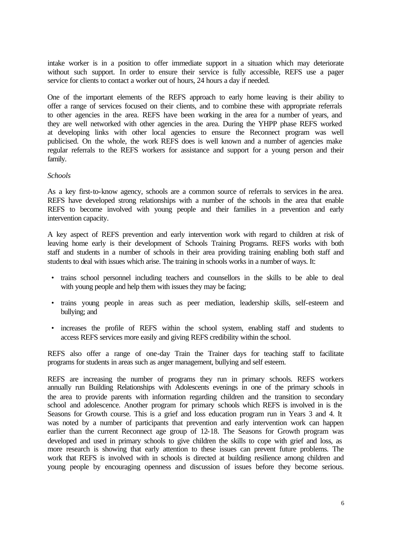intake worker is in a position to offer immediate support in a situation which may deteriorate without such support. In order to ensure their service is fully accessible, REFS use a pager service for clients to contact a worker out of hours, 24 hours a day if needed.

One of the important elements of the REFS approach to early home leaving is their ability to offer a range of services focused on their clients, and to combine these with appropriate referrals to other agencies in the area. REFS have been working in the area for a number of years, and they are well networked with other agencies in the area. During the YHPP phase REFS worked at developing links with other local agencies to ensure the Reconnect program was well publicised. On the whole, the work REFS does is well known and a number of agencies make regular referrals to the REFS workers for assistance and support for a young person and their family.

#### *Schools*

As a key first-to-know agency, schools are a common source of referrals to services in the area. REFS have developed strong relationships with a number of the schools in the area that enable REFS to become involved with young people and their families in a prevention and early intervention capacity.

A key aspect of REFS prevention and early intervention work with regard to children at risk of leaving home early is their development of Schools Training Programs. REFS works with both staff and students in a number of schools in their area providing training enabling both staff and students to deal with issues which arise. The training in schools works in a number of ways. It:

- trains school personnel including teachers and counsellors in the skills to be able to deal with young people and help them with issues they may be facing;
- trains young people in areas such as peer mediation, leadership skills, self-esteem and bullying; and
- increases the profile of REFS within the school system, enabling staff and students to access REFS services more easily and giving REFS credibility within the school.

REFS also offer a range of one-day Train the Trainer days for teaching staff to facilitate programs for students in areas such as anger management, bullying and self esteem.

REFS are increasing the number of programs they run in primary schools. REFS workers annually run Building Relationships with Adolescents evenings in one of the primary schools in the area to provide parents with information regarding children and the transition to secondary school and adolescence. Another program for primary schools which REFS is involved in is the Seasons for Growth course. This is a grief and loss education program run in Years 3 and 4. It was noted by a number of participants that prevention and early intervention work can happen earlier than the current Reconnect age group of 12-18. The Seasons for Growth program was developed and used in primary schools to give children the skills to cope with grief and loss, as more research is showing that early attention to these issues can prevent future problems. The work that REFS is involved with in schools is directed at building resilience among children and young people by encouraging openness and discussion of issues before they become serious.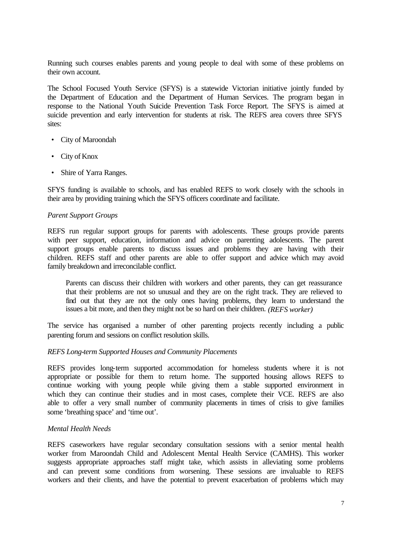Running such courses enables parents and young people to deal with some of these problems on their own account.

The School Focused Youth Service (SFYS) is a statewide Victorian initiative jointly funded by the Department of Education and the Department of Human Services. The program began in response to the National Youth Suicide Prevention Task Force Report. The SFYS is aimed at suicide prevention and early intervention for students at risk. The REFS area covers three SFYS sites:

- City of Maroondah
- City of Knox
- Shire of Yarra Ranges.

SFYS funding is available to schools, and has enabled REFS to work closely with the schools in their area by providing training which the SFYS officers coordinate and facilitate.

#### *Parent Support Groups*

REFS run regular support groups for parents with adolescents. These groups provide parents with peer support, education, information and advice on parenting adolescents. The parent support groups enable parents to discuss issues and problems they are having with their children. REFS staff and other parents are able to offer support and advice which may avoid family breakdown and irreconcilable conflict.

Parents can discuss their children with workers and other parents, they can get reassurance that their problems are not so unusual and they are on the right track. They are relieved to find out that they are not the only ones having problems, they learn to understand the issues a bit more, and then they might not be so hard on their children. *(REFS worker)* 

The service has organised a number of other parenting projects recently including a public parenting forum and sessions on conflict resolution skills.

#### *REFS Long-term Supported Houses and Community Placements*

REFS provides long-term supported accommodation for homeless students where it is not appropriate or possible for them to return home. The supported housing allows REFS to continue working with young people while giving them a stable supported environment in which they can continue their studies and in most cases, complete their VCE. REFS are also able to offer a very small number of community placements in times of crisis to give families some 'breathing space' and 'time out'.

#### *Mental Health Needs*

REFS caseworkers have regular secondary consultation sessions with a senior mental health worker from Maroondah Child and Adolescent Mental Health Service (CAMHS). This worker suggests appropriate approaches staff might take, which assists in alleviating some problems and can prevent some conditions from worsening. These sessions are invaluable to REFS workers and their clients, and have the potential to prevent exacerbation of problems which may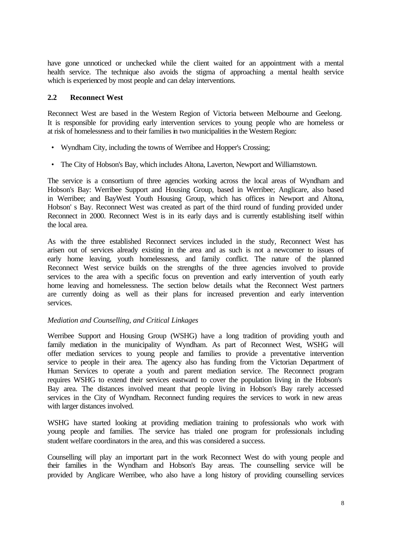have gone unnoticed or unchecked while the client waited for an appointment with a mental health service. The technique also avoids the stigma of approaching a mental health service which is experienced by most people and can delay interventions.

#### **2.2 Reconnect West**

Reconnect West are based in the Western Region of Victoria between Melbourne and Geelong. It is responsible for providing early intervention services to young people who are homeless or at risk of homelessness and to their families in two municipalities in the Western Region:

- Wyndham City, including the towns of Werribee and Hopper's Crossing;
- The City of Hobson's Bay, which includes Altona, Laverton, Newport and Williamstown.

The service is a consortium of three agencies working across the local areas of Wyndham and Hobson's Bay: Werribee Support and Housing Group, based in Werribee; Anglicare, also based in Werribee; and BayWest Youth Housing Group, which has offices in Newport and Altona, Hobson' s Bay. Reconnect West was created as part of the third round of funding provided under Reconnect in 2000. Reconnect West is in its early days and is currently establishing itself within the local area.

As with the three established Reconnect services included in the study, Reconnect West has arisen out of services already existing in the area and as such is not a newcomer to issues of early home leaving, youth homelessness, and family conflict. The nature of the planned Reconnect West service builds on the strengths of the three agencies involved to provide services to the area with a specific focus on prevention and early intervention of youth early home leaving and homelessness. The section below details what the Reconnect West partners are currently doing as well as their plans for increased prevention and early intervention services.

#### *Mediation and Counselling, and Critical Linkages*

Werribee Support and Housing Group (WSHG) have a long tradition of providing youth and family mediation in the municipality of Wyndham. As part of Reconnect West, WSHG will offer mediation services to young people and families to provide a preventative intervention service to people in their area. The agency also has funding from the Victorian Department of Human Services to operate a youth and parent mediation service. The Reconnect program requires WSHG to extend their services eastward to cover the population living in the Hobson's Bay area. The distances involved meant that people living in Hobson's Bay rarely accessed services in the City of Wyndham. Reconnect funding requires the services to work in new areas with larger distances involved.

WSHG have started looking at providing mediation training to professionals who work with young people and families. The service has trialed one program for professionals including student welfare coordinators in the area, and this was considered a success.

Counselling will play an important part in the work Reconnect West do with young people and their families in the Wyndham and Hobson's Bay areas. The counselling service will be provided by Anglicare Werribee, who also have a long history of providing counselling services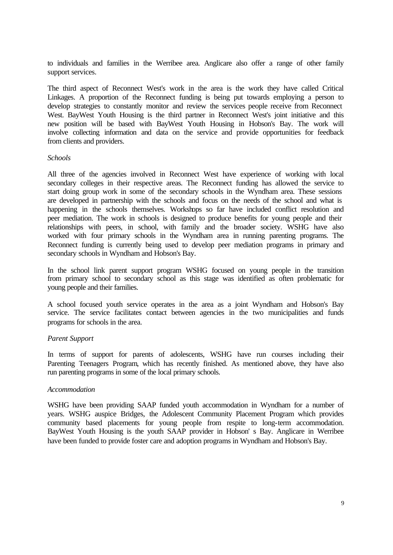to individuals and families in the Werribee area. Anglicare also offer a range of other family support services.

The third aspect of Reconnect West's work in the area is the work they have called Critical Linkages. A proportion of the Reconnect funding is being put towards employing a person to develop strategies to constantly monitor and review the services people receive from Reconnect West. BayWest Youth Housing is the third partner in Reconnect West's joint initiative and this new position will be based with BayWest Youth Housing in Hobson's Bay. The work will involve collecting information and data on the service and provide opportunities for feedback from clients and providers.

#### *Schools*

All three of the agencies involved in Reconnect West have experience of working with local secondary colleges in their respective areas. The Reconnect funding has allowed the service to start doing group work in some of the secondary schools in the Wyndham area. These sessions are developed in partnership with the schools and focus on the needs of the school and what is happening in the schools themselves. Workshops so far have included conflict resolution and peer mediation. The work in schools is designed to produce benefits for young people and their relationships with peers, in school, with family and the broader society. WSHG have also worked with four primary schools in the Wyndham area in running parenting programs. The Reconnect funding is currently being used to develop peer mediation programs in primary and secondary schools in Wyndham and Hobson's Bay.

In the school link parent support program WSHG focused on young people in the transition from primary school to secondary school as this stage was identified as often problematic for young people and their families.

A school focused youth service operates in the area as a joint Wyndham and Hobson's Bay service. The service facilitates contact between agencies in the two municipalities and funds programs for schools in the area.

#### *Parent Support*

In terms of support for parents of adolescents, WSHG have run courses including their Parenting Teenagers Program, which has recently finished. As mentioned above, they have also run parenting programs in some of the local primary schools.

#### *Accommodation*

WSHG have been providing SAAP funded youth accommodation in Wyndham for a number of years. WSHG auspice Bridges, the Adolescent Community Placement Program which provides community based placements for young people from respite to long-term accommodation. BayWest Youth Housing is the youth SAAP provider in Hobson' s Bay. Anglicare in Werribee have been funded to provide foster care and adoption programs in Wyndham and Hobson's Bay.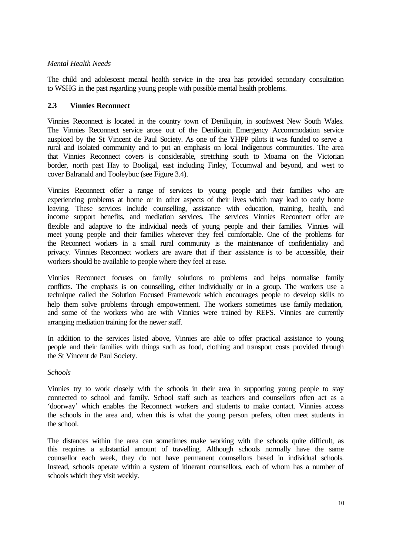#### *Mental Health Needs*

The child and adolescent mental health service in the area has provided secondary consultation to WSHG in the past regarding young people with possible mental health problems.

#### **2.3 Vinnies Reconnect**

Vinnies Reconnect is located in the country town of Deniliquin, in southwest New South Wales. The Vinnies Reconnect service arose out of the Deniliquin Emergency Accommodation service auspiced by the St Vincent de Paul Society. As one of the YHPP pilots it was funded to serve a rural and isolated community and to put an emphasis on local Indigenous communities. The area that Vinnies Reconnect covers is considerable, stretching south to Moama on the Victorian border, north past Hay to Booligal, east including Finley, Tocumwal and beyond, and west to cover Balranald and Tooleybuc (see Figure 3.4).

Vinnies Reconnect offer a range of services to young people and their families who are experiencing problems at home or in other aspects of their lives which may lead to early home leaving. These services include counselling, assistance with education, training, health, and income support benefits, and mediation services. The services Vinnies Reconnect offer are flexible and adaptive to the individual needs of young people and their families. Vinnies will meet young people and their families wherever they feel comfortable. One of the problems for the Reconnect workers in a small rural community is the maintenance of confidentiality and privacy. Vinnies Reconnect workers are aware that if their assistance is to be accessible, their workers should be available to people where they feel at ease.

Vinnies Reconnect focuses on family solutions to problems and helps normalise family conflicts. The emphasis is on counselling, either individually or in a group. The workers use a technique called the Solution Focused Framework which encourages people to develop skills to help them solve problems through empowerment. The workers sometimes use family mediation, and some of the workers who are with Vinnies were trained by REFS. Vinnies are currently arranging mediation training for the newer staff.

In addition to the services listed above, Vinnies are able to offer practical assistance to young people and their families with things such as food, clothing and transport costs provided through the St Vincent de Paul Society.

#### *Schools*

Vinnies try to work closely with the schools in their area in supporting young people to stay connected to school and family. School staff such as teachers and counsellors often act as a 'doorway' which enables the Reconnect workers and students to make contact. Vinnies access the schools in the area and, when this is what the young person prefers, often meet students in the school.

The distances within the area can sometimes make working with the schools quite difficult, as this requires a substantial amount of travelling. Although schools normally have the same counsellor each week, they do not have permanent counsellors based in individual schools. Instead, schools operate within a system of itinerant counsellors, each of whom has a number of schools which they visit weekly.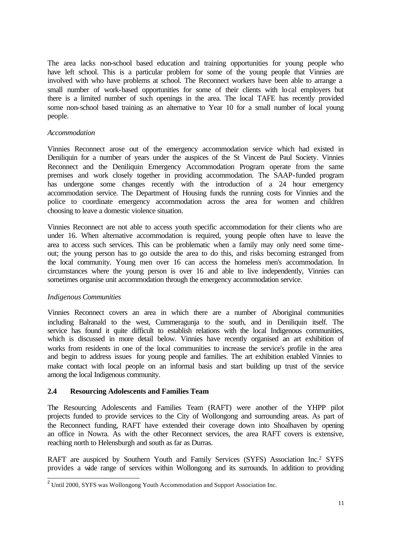The area lacks non-school based education and training opportunities for young people who have left school. This is a particular problem for some of the young people that Vinnies are involved with who have problems at school. The Reconnect workers have been able to arrange a small number of work-based opportunities for some of their clients with local employers but there is a limited number of such openings in the area. The local TAFE has recently provided some non-school based training as an alternative to Year 10 for a small number of local young people.

#### *Accommodation*

Vinnies Reconnect arose out of the emergency accommodation service which had existed in Deniliquin for a number of years under the auspices of the St Vincent de Paul Society. Vinnies Reconnect and the Deniliquin Emergency Accommodation Program operate from the same premises and work closely together in providing accommodation. The SAAP-funded program has undergone some changes recently with the introduction of a 24 hour emergency accommodation service. The Department of Housing funds the running costs for Vinnies and the police to coordinate emergency accommodation across the area for women and children choosing to leave a domestic violence situation.

Vinnies Reconnect are not able to access youth specific accommodation for their clients who are under 16. When alternative accommodation is required, young people often have to leave the area to access such services. This can be problematic when a family may only need some timeout; the young person has to go outside the area to do this, and risks becoming estranged from the local community. Young men over 16 can access the homeless men's accommodation. In circumstances where the young person is over 16 and able to live independently, Vinnies can sometimes organise unit accommodation through the emergency accommodation service.

#### *Indigenous Communities*

Vinnies Reconnect covers an area in which there are a number of Aboriginal communities including Balranald to the west, Cummeragunja to the south, and in Deniliquin itself. The service has found it quite difficult to establish relations with the local Indigenous communities, which is discussed in more detail below. Vinnies have recently organised an art exhibition of works from residents in one of the local communities to increase the service's profile in the area and begin to address issues for young people and families. The art exhibition enabled Vinnies to make contact with local people on an informal basis and start building up trust of the service among the local Indigenous community.

#### **2.4 Resourcing Adolescents and Families Team**

The Resourcing Adolescents and Families Team (RAFT) were another of the YHPP pilot projects funded to provide services to the City of Wollongong and surrounding areas. As part of the Reconnect funding, RAFT have extended their coverage down into Shoalhaven by opening an office in Nowra. As with the other Reconnect services, the area RAFT covers is extensive, reaching north to Helensburgh and south as far as Durras.

RAFT are auspiced by Southern Youth and Family Services (SYFS) Association Inc.<sup>2</sup> SYFS provides a wide range of services within Wollongong and its surrounds. In addition to providing

<sup>&</sup>lt;sup>2</sup> Until 2000, SYFS was Wollongong Youth Accommodation and Support Association Inc.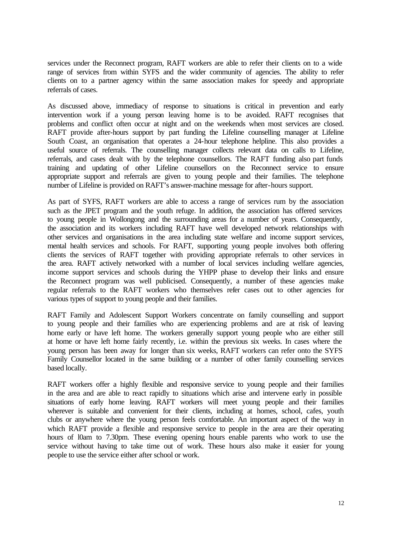services under the Reconnect program, RAFT workers are able to refer their clients on to a wide range of services from within SYFS and the wider community of agencies. The ability to refer clients on to a partner agency within the same association makes for speedy and appropriate referrals of cases.

As discussed above, immediacy of response to situations is critical in prevention and early intervention work if a young person leaving home is to be avoided. RAFT recognises that problems and conflict often occur at night and on the weekends when most services are closed. RAFT provide after-hours support by part funding the Lifeline counselling manager at Lifeline South Coast, an organisation that operates a 24-hour telephone helpline. This also provides a useful source of referrals. The counselling manager collects relevant data on calls to Lifeline, referrals, and cases dealt with by the telephone counsellors. The RAFT funding also part funds training and updating of other Lifeline counsellors on the Reconnect service to ensure appropriate support and referrals are given to young people and their families. The telephone number of Lifeline is provided on RAFT's answer-machine message for after-hours support.

As part of SYFS, RAFT workers are able to access a range of services rum by the association such as the JPET program and the youth refuge. In addition, the association has offered services to young people in Wollongong and the surrounding areas for a number of years. Consequently, the association and its workers including RAFT have well developed network relationships with other services and organisations in the area including state welfare and income support services, mental health services and schools. For RAFT, supporting young people involves both offering clients the services of RAFT together with providing appropriate referrals to other services in the area. RAFT actively networked with a number of local services including welfare agencies, income support services and schools during the YHPP phase to develop their links and ensure the Reconnect program was well publicised. Consequently, a number of these agencies make regular referrals to the RAFT workers who themselves refer cases out to other agencies for various types of support to young people and their families.

RAFT Family and Adolescent Support Workers concentrate on family counselling and support to young people and their families who are experiencing problems and are at risk of leaving home early or have left home. The workers generally support young people who are either still at home or have left home fairly recently, i.e. within the previous six weeks. In cases where the young person has been away for longer than six weeks, RAFT workers can refer onto the SYFS Family Counsellor located in the same building or a number of other family counselling services based locally.

RAFT workers offer a highly flexible and responsive service to young people and their families in the area and are able to react rapidly to situations which arise and intervene early in possible situations of early home leaving. RAFT workers will meet young people and their families wherever is suitable and convenient for their clients, including at homes, school, cafes, youth clubs or anywhere where the young person feels comfortable. An important aspect of the way in which RAFT provide a flexible and responsive service to people in the area are their operating hours of l0am to 7.30pm. These evening opening hours enable parents who work to use the service without having to take time out of work. These hours also make it easier for young people to use the service either after school or work.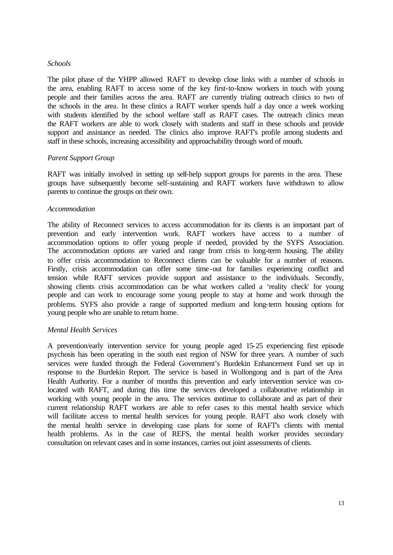#### *Schools*

The pilot phase of the YHPP allowed RAFT to develop close links with a number of schools in the area, enabling RAFT to access some of the key first-to-know workers in touch with young people and their families across the area. RAFT are currently trialing outreach clinics to two of the schools in the area. In these clinics a RAFT worker spends half a day once a week working with students identified by the school welfare staff as RAFT cases. The outreach clinics mean the RAFT workers are able to work closely with students and staff in these schools and provide support and assistance as needed. The clinics also improve RAFT's profile among students and staff in these schools, increasing accessibility and approachability through word of mouth.

#### *Parent Support Group*

RAFT was initially involved in setting up self-help support groups for parents in the area. These groups have subsequently become self-sustaining and RAFT workers have withdrawn to allow parents to continue the groups on their own.

#### *Accommodation*

The ability of Reconnect services to access accommodation for its clients is an important part of prevention and early intervention work. RAFT workers have access to a number of accommodation options to offer young people if needed, provided by the SYFS Association. The accommodation options are varied and range from crisis to long-term housing. The ability to offer crisis accommodation to Reconnect clients can be valuable for a number of reasons. Firstly, crisis accommodation can offer some time-out for families experiencing conflict and tension while RAFT services provide support and assistance to the individuals. Secondly, showing clients crisis accommodation can be what workers called a 'reality check' for young people and can work to encourage some young people to stay at home and work through the problems. SYFS also provide a range of supported medium and long-term housing options for young people who are unable to return home.

#### *Mental Health Services*

A prevention/early intervention service for young people aged 15-25 experiencing first episode psychosis has been operating in the south east region of NSW for three years. A number of such services were funded through the Federal Government's Burdekin Enhancement Fund set up in response to the Burdekin Report. The service is based in Wollongong and is part of the Area Health Authority. For a number of months this prevention and early intervention service was colocated with RAFT, and during this time the services developed a collaborative relationship in working with young people in the area. The services continue to collaborate and as part of their current relationship RAFT workers are able to refer cases to this mental health service which will facilitate access to mental health services for young people. RAFT also work closely with the mental health service in developing case plans for some of RAFT's clients with mental health problems. As in the case of REFS, the mental health worker provides secondary consultation on relevant cases and in some instances, carries out joint assessments of clients.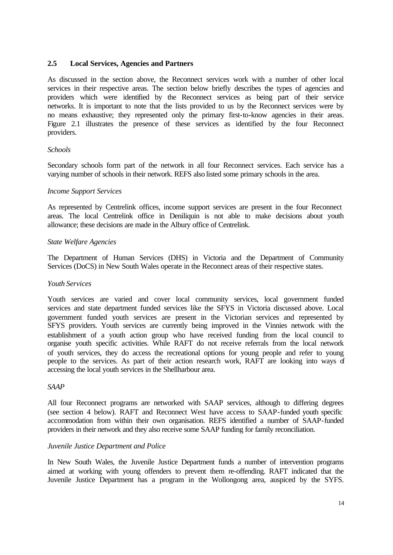#### **2.5 Local Services, Agencies and Partners**

As discussed in the section above, the Reconnect services work with a number of other local services in their respective areas. The section below briefly describes the types of agencies and providers which were identified by the Reconnect services as being part of their service networks. It is important to note that the lists provided to us by the Reconnect services were by no means exhaustive; they represented only the primary first-to-know agencies in their areas. Figure 2.1 illustrates the presence of these services as identified by the four Reconnect providers.

#### *Schools*

Secondary schools form part of the network in all four Reconnect services. Each service has a varying number of schools in their network. REFS also listed some primary schools in the area.

#### *Income Support Services*

As represented by Centrelink offices, income support services are present in the four Reconnect areas. The local Centrelink office in Deniliquin is not able to make decisions about youth allowance; these decisions are made in the Albury office of Centrelink.

#### *State Welfare Agencies*

The Department of Human Services (DHS) in Victoria and the Department of Community Services (DoCS) in New South Wales operate in the Reconnect areas of their respective states.

#### *Youth Services*

Youth services are varied and cover local community services, local government funded services and state department funded services like the SFYS in Victoria discussed above. Local government funded youth services are present in the Victorian services and represented by SFYS providers. Youth services are currently being improved in the Vinnies network with the establishment of a youth action group who have received funding from the local council to organise youth specific activities. While RAFT do not receive referrals from the local network of youth services, they do access the recreational options for young people and refer to young people to the services. As part of their action research work, RAFT are looking into ways of accessing the local youth services in the Shellharbour area.

#### *SAAP*

All four Reconnect programs are networked with SAAP services, although to differing degrees (see section 4 below). RAFT and Reconnect West have access to SAAP-funded youth specific accommodation from within their own organisation. REFS identified a number of SAAP-funded providers in their network and they also receive some SAAP funding for family reconciliation.

#### *Juvenile Justice Department and Police*

In New South Wales, the Juvenile Justice Department funds a number of intervention programs aimed at working with young offenders to prevent them re-offending. RAFT indicated that the Juvenile Justice Department has a program in the Wollongong area, auspiced by the SYFS.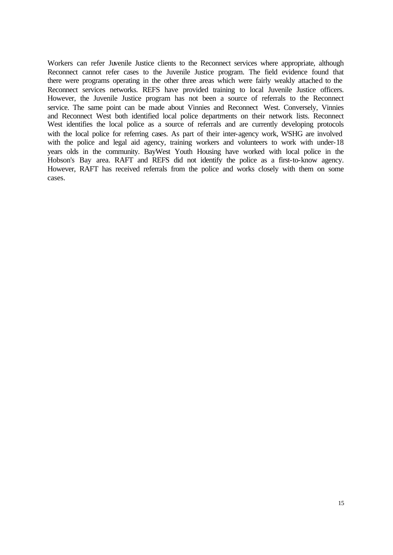Workers can refer Juvenile Justice clients to the Reconnect services where appropriate, although Reconnect cannot refer cases to the Juvenile Justice program. The field evidence found that there were programs operating in the other three areas which were fairly weakly attached to the Reconnect services networks. REFS have provided training to local Juvenile Justice officers. However, the Juvenile Justice program has not been a source of referrals to the Reconnect service. The same point can be made about Vinnies and Reconnect West. Conversely, Vinnies and Reconnect West both identified local police departments on their network lists. Reconnect West identifies the local police as a source of referrals and are currently developing protocols with the local police for referring cases. As part of their inter-agency work, WSHG are involved with the police and legal aid agency, training workers and volunteers to work with under-18 years olds in the community. BayWest Youth Housing have worked with local police in the Hobson's Bay area. RAFT and REFS did not identify the police as a first-to-know agency. However, RAFT has received referrals from the police and works closely with them on some cases.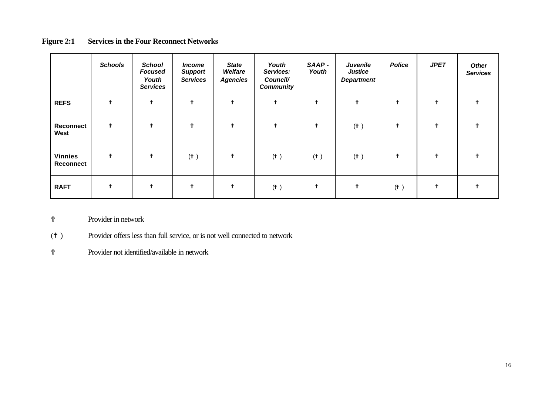|                             | <b>Schools</b> | <b>School</b><br><b>Focused</b><br>Youth<br><b>Services</b> | <b>Income</b><br><b>Support</b><br><b>Services</b> | <b>State</b><br>Welfare<br><b>Agencies</b> | Youth<br>Services:<br>Council/<br><b>Community</b> | SAAP-<br>Youth | <b>Juvenile</b><br><b>Justice</b><br><b>Department</b> | <b>Police</b>             | <b>JPET</b> | <b>Other</b><br><b>Services</b> |
|-----------------------------|----------------|-------------------------------------------------------------|----------------------------------------------------|--------------------------------------------|----------------------------------------------------|----------------|--------------------------------------------------------|---------------------------|-------------|---------------------------------|
| <b>REFS</b>                 | Ŷ              | ₱                                                           | ♦                                                  | ₱                                          | ₱                                                  | ₱              | ♦                                                      |                           | 中           |                                 |
| Reconnect<br>West           | Ť              | ₱                                                           | Ŷ                                                  | ₱                                          | 中                                                  | Ŷ              | $($ $^{\dagger}$ $)$                                   |                           |             |                                 |
| <b>Vinnies</b><br>Reconnect | ↟              | ₱                                                           | $($ † $)$                                          | ↟                                          | $(\mathbb{ \}$ )                                   | (肀)            | $($ $^{\dagger}$ $)$                                   |                           |             |                                 |
| <b>RAFT</b>                 | Ŷ              | ₱                                                           |                                                    | ₱                                          | (肀)                                                | ₱              |                                                        | $(\mathring{\mathbb{T}})$ |             |                                 |

#### **Figure 2:1 Services in the Four Reconnect Networks**

? Provider in network

(? ) Provider offers less than full service, or is not well connected to network

? Provider not identified/available in network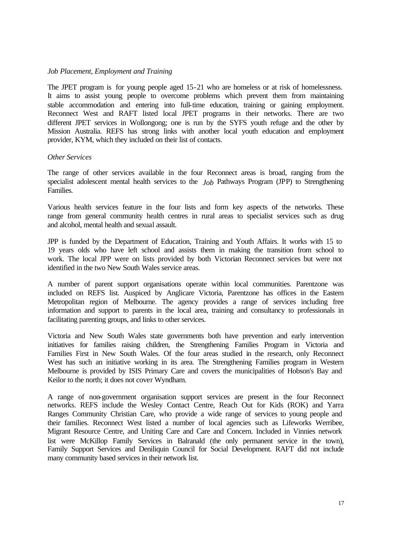#### *Job Placement, Employment and Training*

The JPET program is for young people aged 15-21 who are homeless or at risk of homelessness. It aims to assist young people to overcome problems which prevent them from maintaining stable accommodation and entering into full-time education, training or gaining employment. Reconnect West and RAFT listed local JPET programs in their networks. There are two different JPET services in Wollongong; one is run by the SYFS youth refuge and the other by Mission Australia. REFS has strong links with another local youth education and employment provider, KYM, which they included on their list of contacts.

#### *Other Services*

The range of other services available in the four Reconnect areas is broad, ranging from the specialist adolescent mental health services to the *Job* Pathways Program (JPP) to Strengthening Families.

Various health services feature in the four lists and form key aspects of the networks. These range from general community health centres in rural areas to specialist services such as drug and alcohol, mental health and sexual assault.

JPP is funded by the Department of Education, Training and Youth Affairs. It works with 15 to 19 years olds who have left school and assists them in making the transition from school to work. The local JPP were on lists provided by both Victorian Reconnect services but were not identified in the two New South Wales service areas.

A number of parent support organisations operate within local communities. Parentzone was included on REFS list. Auspiced by Anglicare Victoria, Parentzone has offices in the Eastern Metropolitan region of Melbourne. The agency provides a range of services including free information and support to parents in the local area, training and consultancy to professionals in facilitating parenting groups, and links to other services.

Victoria and New South Wales state governments both have prevention and early intervention initiatives for families raising children, the Strengthening Families Program in Victoria and Families First in New South Wales. Of the four areas studied in the research, only Reconnect West has such an initiative working in its area. The Strengthening Families program in Western Melbourne is provided by ISIS Primary Care and covers the municipalities of Hobson's Bay and Keilor to the north; it does not cover Wyndham.

A range of non-government organisation support services are present in the four Reconnect networks. REFS include the Wesley Contact Centre, Reach Out for Kids (ROK) and Yarra Ranges Community Christian Care, who provide a wide range of services to young people and their families. Reconnect West listed a number of local agencies such as Lifeworks Werribee, Migrant Resource Centre, and Uniting Care and Care and Concern. Included in Vinnies network list were McKillop Family Services in Balranald (the only permanent service in the town), Family Support Services and Deniliquin Council for Social Development. RAFT did not include many community based services in their network list.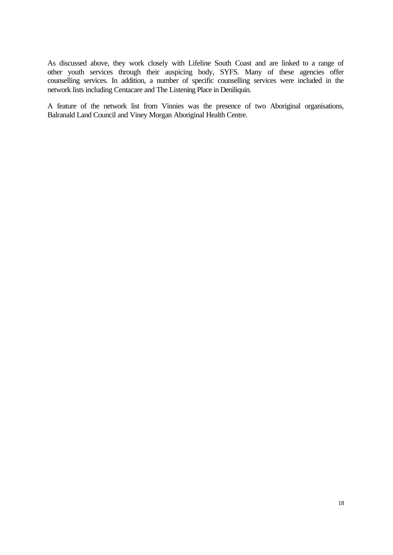As discussed above, they work closely with Lifeline South Coast and are linked to a range of other youth services through their auspicing body, SYFS. Many of these agencies offer counselling services. In addition, a number of specific counselling services were included in the network lists including Centacare and The Listening Place in Deniliquin.

A feature of the network list from Vinnies was the presence of two Aboriginal organisations, Balranald Land Council and Viney Morgan Aboriginal Health Centre.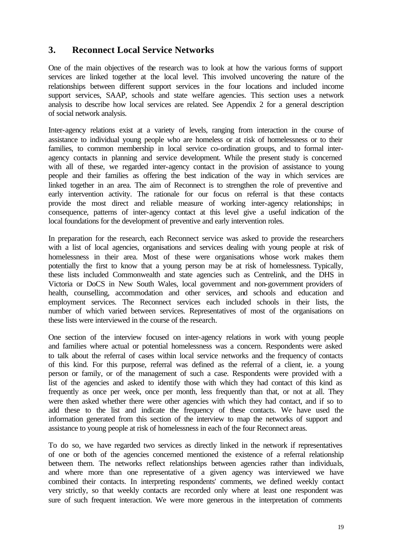#### **3. Reconnect Local Service Networks**

One of the main objectives of the research was to look at how the various forms of support services are linked together at the local level. This involved uncovering the nature of the relationships between different support services in the four locations and included income support services, SAAP, schools and state welfare agencies. This section uses a network analysis to describe how local services are related. See Appendix 2 for a general description of social network analysis.

Inter-agency relations exist at a variety of levels, ranging from interaction in the course of assistance to individual young people who are homeless or at risk of homelessness or to their families, to common membership in local service co-ordination groups, and to formal interagency contacts in planning and service development. While the present study is concerned with all of these, we regarded inter-agency contact in the provision of assistance to young people and their families as offering the best indication of the way in which services are linked together in an area. The aim of Reconnect is to strengthen the role of preventive and early intervention activity. The rationale for our focus on referral is that these contacts provide the most direct and reliable measure of working inter-agency relationships; in consequence, patterns of inter-agency contact at this level give a useful indication of the local foundations for the development of preventive and early intervention roles.

In preparation for the research, each Reconnect service was asked to provide the researchers with a list of local agencies, organisations and services dealing with young people at risk of homelessness in their area. Most of these were organisations whose work makes them potentially the first to know that a young person may be at risk of homelessness. Typically, these lists included Commonwealth and state agencies such as Centrelink, and the DHS in Victoria or DoCS in New South Wales, local government and non-government providers of health, counselling, accommodation and other services, and schools and education and employment services. The Reconnect services each included schools in their lists, the number of which varied between services. Representatives of most of the organisations on these lists were interviewed in the course of the research.

One section of the interview focused on inter-agency relations in work with young people and families where actual or potential homelessness was a concern. Respondents were asked to talk about the referral of cases within local service networks and the frequency of contacts of this kind. For this purpose, referral was defined as the referral of a client, ie. a young person or family, or of the management of such a case. Respondents were provided with a list of the agencies and asked to identify those with which they had contact of this kind as frequently as once per week, once per month, less frequently than that, or not at all. They were then asked whether there were other agencies with which they had contact, and if so to add these to the list and indicate the frequency of these contacts. We have used the information generated from this section of the interview to map the networks of support and assistance to young people at risk of homelessness in each of the four Reconnect areas.

To do so, we have regarded two services as directly linked in the network if representatives of one or both of the agencies concerned mentioned the existence of a referral relationship between them. The networks reflect relationships between agencies rather than individuals, and where more than one representative of a given agency was interviewed we have combined their contacts. In interpreting respondents' comments, we defined weekly contact very strictly, so that weekly contacts are recorded only where at least one respondent was sure of such frequent interaction. We were more generous in the interpretation of comments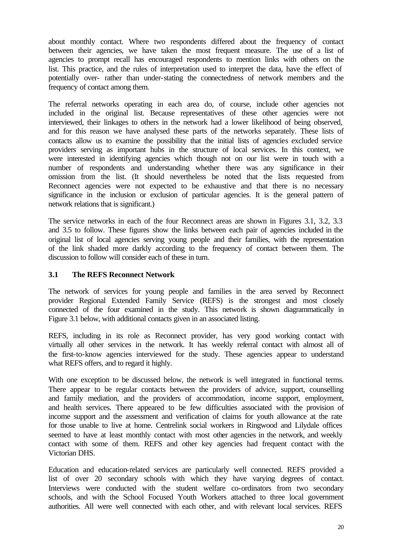about monthly contact. Where two respondents differed about the frequency of contact between their agencies, we have taken the most frequent measure. The use of a list of agencies to prompt recall has encouraged respondents to mention links with others on the list. This practice, and the rules of interpretation used to interpret the data, have the effect of potentially over- rather than under-stating the connectedness of network members and the frequency of contact among them.

The referral networks operating in each area do, of course, include other agencies not included in the original list. Because representatives of these other agencies were not interviewed, their linkages to others in the network had a lower likelihood of being observed, and for this reason we have analysed these parts of the networks separately. These lists of contacts allow us to examine the possibility that the initial lists of agencies excluded service providers serving as important hubs in the structure of local services. In this context, we were interested in identifying agencies which though not on our list were in touch with a number of respondents and understanding whether there was any significance in their omission from the list. (It should nevertheless be noted that the lists requested from Reconnect agencies were not expected to be exhaustive and that there is no necessary significance in the inclusion or exclusion of particular agencies. It is the general pattern of network relations that is significant.)

The service networks in each of the four Reconnect areas are shown in Figures 3.1, 3.2, 3.3 and 3.5 to follow. These figures show the links between each pair of agencies included in the original list of local agencies serving young people and their families, with the representation of the link shaded more darkly according to the frequency of contact between them. The discussion to follow will consider each of these in turn.

#### **3.1 The REFS Reconnect Network**

The network of services for young people and families in the area served by Reconnect provider Regional Extended Family Service (REFS) is the strongest and most closely connected of the four examined in the study. This network is shown diagrammatically in Figure 3.1 below, with additional contacts given in an associated listing.

REFS, including in its role as Reconnect provider, has very good working contact with virtually all other services in the network. It has weekly referral contact with almost all of the first-to-know agencies interviewed for the study. These agencies appear to understand what REFS offers, and to regard it highly.

With one exception to be discussed below, the network is well integrated in functional terms. There appear to be regular contacts between the providers of advice, support, counselling and family mediation, and the providers of accommodation, income support, employment, and health services. There appeared to be few difficulties associated with the provision of income support and the assessment and verification of claims for youth allowance at the rate for those unable to live at home. Centrelink social workers in Ringwood and Lilydale offices seemed to have at least monthly contact with most other agencies in the network, and weekly contact with some of them. REFS and other key agencies had frequent contact with the Victorian DHS.

Education and education-related services are particularly well connected. REFS provided a list of over 20 secondary schools with which they have varying degrees of contact. Interviews were conducted with the student welfare co-ordinators from two secondary schools, and with the School Focused Youth Workers attached to three local government authorities. All were well connected with each other, and with relevant local services. REFS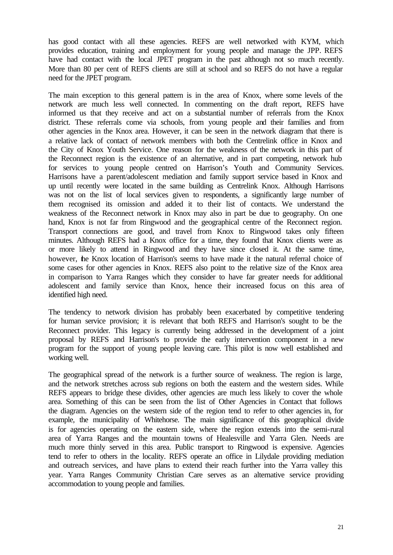has good contact with all these agencies. REFS are well networked with KYM, which provides education, training and employment for young people and manage the JPP. REFS have had contact with the local JPET program in the past although not so much recently. More than 80 per cent of REFS clients are still at school and so REFS do not have a regular need for the JPET program.

The main exception to this general pattern is in the area of Knox, where some levels of the network are much less well connected. In commenting on the draft report, REFS have informed us that they receive and act on a substantial number of referrals from the Knox district. These referrals come via schools, from young people and their families and from other agencies in the Knox area. However, it can be seen in the network diagram that there is a relative lack of contact of network members with both the Centrelink office in Knox and the City of Knox Youth Service. One reason for the weakness of the network in this part of the Reconnect region is the existence of an alternative, and in part competing, network hub for services to young people centred on Harrison's Youth and Community Services. Harrisons have a parent/adolescent mediation and family support service based in Knox and up until recently were located in the same building as Centrelink Knox. Although Harrisons was not on the list of local services given to respondents, a significantly large number of them recognised its omission and added it to their list of contacts. We understand the weakness of the Reconnect network in Knox may also in part be due to geography. On one hand, Knox is not far from Ringwood and the geographical centre of the Reconnect region. Transport connections are good, and travel from Knox to Ringwood takes only fifteen minutes. Although REFS had a Knox office for a time, they found that Knox clients were as or more likely to attend in Ringwood and they have since closed it. At the same time, however, the Knox location of Harrison's seems to have made it the natural referral choice of some cases for other agencies in Knox. REFS also point to the relative size of the Knox area in comparison to Yarra Ranges which they consider to have far greater needs for additional adolescent and family service than Knox, hence their increased focus on this area of identified high need.

The tendency to network division has probably been exacerbated by competitive tendering for human service provision; it is relevant that both REFS and Harrison's sought to be the Reconnect provider. This legacy is currently being addressed in the development of a joint proposal by REFS and Harrison's to provide the early intervention component in a new program for the support of young people leaving care. This pilot is now well established and working well.

The geographical spread of the network is a further source of weakness. The region is large, and the network stretches across sub regions on both the eastern and the western sides. While REFS appears to bridge these divides, other agencies are much less likely to cover the whole area. Something of this can be seen from the list of Other Agencies in Contact that follows the diagram. Agencies on the western side of the region tend to refer to other agencies in, for example, the municipality of Whitehorse. The main significance of this geographical divide is for agencies operating on the eastern side, where the region extends into the semi-rural area of Yarra Ranges and the mountain towns of Healesville and Yarra Glen. Needs are much more thinly served in this area. Public transport to Ringwood is expensive. Agencies tend to refer to others in the locality. REFS operate an office in Lilydale providing mediation and outreach services, and have plans to extend their reach further into the Yarra valley this year. Yarra Ranges Community Christian Care serves as an alternative service providing accommodation to young people and families.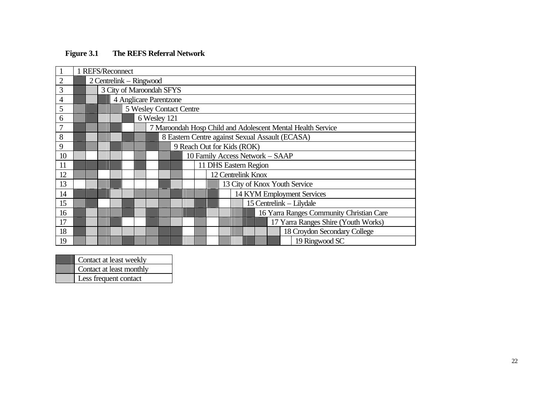|                | 1 REFS/Reconnect |                          |                         |                                                             |                                                 |  |  |  |  |  |                            |  |                    |  |  |  |                                          |
|----------------|------------------|--------------------------|-------------------------|-------------------------------------------------------------|-------------------------------------------------|--|--|--|--|--|----------------------------|--|--------------------|--|--|--|------------------------------------------|
| $\overline{2}$ |                  | 2 Centrelink – Ringwood  |                         |                                                             |                                                 |  |  |  |  |  |                            |  |                    |  |  |  |                                          |
| 3              |                  | 3 City of Maroondah SFYS |                         |                                                             |                                                 |  |  |  |  |  |                            |  |                    |  |  |  |                                          |
| 4              |                  | 4 Anglicare Parentzone   |                         |                                                             |                                                 |  |  |  |  |  |                            |  |                    |  |  |  |                                          |
| 5              |                  |                          | 5 Wesley Contact Centre |                                                             |                                                 |  |  |  |  |  |                            |  |                    |  |  |  |                                          |
| 6              |                  |                          |                         | 6 Wesley 121                                                |                                                 |  |  |  |  |  |                            |  |                    |  |  |  |                                          |
| 7              |                  |                          |                         | 7 Maroondah Hosp Child and Adolescent Mental Health Service |                                                 |  |  |  |  |  |                            |  |                    |  |  |  |                                          |
| 8              |                  |                          |                         |                                                             | 8 Eastern Centre against Sexual Assault (ECASA) |  |  |  |  |  |                            |  |                    |  |  |  |                                          |
| 9              |                  |                          |                         |                                                             |                                                 |  |  |  |  |  | 9 Reach Out for Kids (ROK) |  |                    |  |  |  |                                          |
| 10             |                  |                          |                         |                                                             |                                                 |  |  |  |  |  |                            |  |                    |  |  |  | 10 Family Access Network - SAAP          |
| 11             |                  |                          |                         |                                                             |                                                 |  |  |  |  |  | 11 DHS Eastern Region      |  |                    |  |  |  |                                          |
| 12             |                  |                          |                         |                                                             |                                                 |  |  |  |  |  |                            |  | 12 Centrelink Knox |  |  |  |                                          |
| 13             |                  |                          |                         |                                                             |                                                 |  |  |  |  |  |                            |  |                    |  |  |  | 13 City of Knox Youth Service            |
| 14             |                  |                          |                         |                                                             |                                                 |  |  |  |  |  |                            |  |                    |  |  |  | 14 KYM Employment Services               |
| 15             |                  |                          |                         |                                                             |                                                 |  |  |  |  |  |                            |  |                    |  |  |  | 15 Centrelink - Lilydale                 |
| 16             |                  |                          |                         |                                                             |                                                 |  |  |  |  |  |                            |  |                    |  |  |  | 16 Yarra Ranges Community Christian Care |
| 17             |                  |                          |                         |                                                             |                                                 |  |  |  |  |  |                            |  |                    |  |  |  | 17 Yarra Ranges Shire (Youth Works)      |
| 18             |                  |                          |                         |                                                             |                                                 |  |  |  |  |  |                            |  |                    |  |  |  | 18 Croydon Secondary College             |
| 19             |                  |                          |                         |                                                             |                                                 |  |  |  |  |  |                            |  |                    |  |  |  | 19 Ringwood SC                           |

| Contact at least weekly  |  |
|--------------------------|--|
| Contact at least monthly |  |
| Less frequent contact    |  |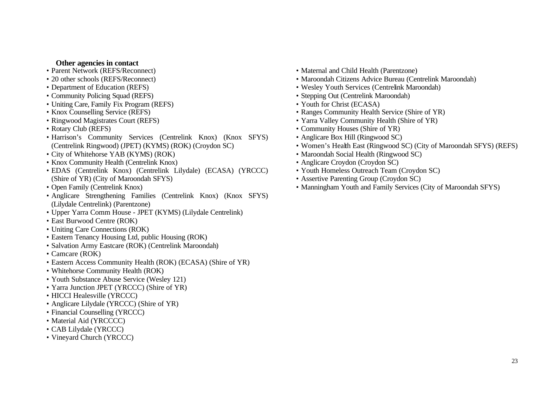#### **Other agencies in contact**

- Parent Network (REFS/Reconnect)
- 20 other schools (REFS/Reconnect)
- Department of Education (REFS)
- Community Policing Squad (REFS)
- Uniting Care, Family Fix Program (REFS)
- Knox Counselling Service (REFS)
- Ringwood Magistrates Court (REFS)
- Rotary Club (REFS)
- Harrison's Community Services (Centrelink Knox) (Knox SFYS) (Centrelink Ringwood) (JPET) (KYMS) (ROK) (Croydon SC)
- City of Whitehorse YAB (KYMS) (ROK)
- Knox Community Health (Centrelink Knox)
- EDAS (Centrelink Knox) (Centrelink Lilydale) (ECASA) (YRCCC) (Shire of YR) (City of Maroondah SFYS)
- Open Family (Centrelink Knox)
- Anglicare Strengthening Families (Centrelink Knox) (Knox SFYS) (Lilydale Centrelink) (Parentzone)
- Upper Yarra Comm House JPET (KYMS) (Lilydale Centrelink)
- East Burwood Centre (ROK)
- Uniting Care Connections (ROK)
- Eastern Tenancy Housing Ltd, public Housing (ROK)
- Salvation Army Eastcare (ROK) (Centrelink Maroondah)
- Camcare (ROK)
- Eastern Access Community Health (ROK) (ECASA) (Shire of YR)
- Whitehorse Community Health (ROK)
- Youth Substance Abuse Service (Wesley 121)
- Yarra Junction JPET (YRCCC) (Shire of YR)
- HICCI Healesville (YRCCC)
- Anglicare Lilydale (YRCCC) (Shire of YR)
- Financial Counselling (YRCCC)
- Material Aid (YRCCCC)
- CAB Lilydale (YRCCC)
- Vineyard Church (YRCCC)
- Maternal and Child Health (Parentzone)
- Maroondah Citizens Advice Bureau (Centrelink Maroondah)
- Wesley Youth Services (Centrelink Maroondah)
- Stepping Out (Centrelink Maroondah)
- Youth for Christ (ECASA)
- Ranges Community Health Service (Shire of YR)
- Yarra Valley Community Health (Shire of YR)
- Community Houses (Shire of YR)
- Anglicare Box Hill (Ringwood SC)
- Women's Health East (Ringwood SC) (City of Maroondah SFYS) (REFS)
- Maroondah Social Health (Ringwood SC)
- Anglicare Croydon (Croydon SC)
- Youth Homeless Outreach Team (Croydon SC)
- Assertive Parenting Group (Croydon SC)
- Manningham Youth and Family Services (City of Maroondah SFYS)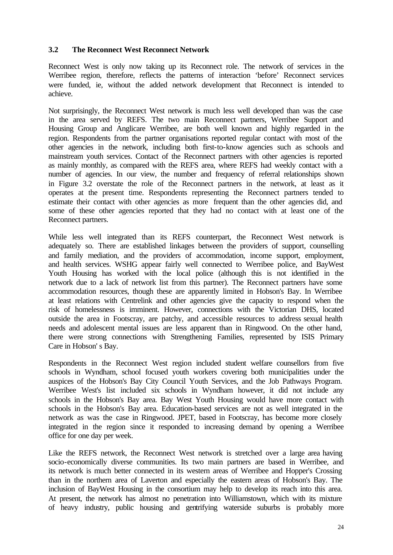#### **3.2 The Reconnect West Reconnect Network**

Reconnect West is only now taking up its Reconnect role. The network of services in the Werribee region, therefore, reflects the patterns of interaction 'before' Reconnect services were funded, ie, without the added network development that Reconnect is intended to achieve.

Not surprisingly, the Reconnect West network is much less well developed than was the case in the area served by REFS. The two main Reconnect partners, Werribee Support and Housing Group and Anglicare Werribee, are both well known and highly regarded in the region. Respondents from the partner organisations reported regular contact with most of the other agencies in the network, including both first-to-know agencies such as schools and mainstream youth services. Contact of the Reconnect partners with other agencies is reported as mainly monthly, as compared with the REFS area, where REFS had weekly contact with a number of agencies. In our view, the number and frequency of referral relationships shown in Figure 3.2 overstate the role of the Reconnect partners in the network, at least as it operates at the present time. Respondents representing the Reconnect partners tended to estimate their contact with other agencies as more frequent than the other agencies did, and some of these other agencies reported that they had no contact with at least one of the Reconnect partners.

While less well integrated than its REFS counterpart, the Reconnect West network is adequately so. There are established linkages between the providers of support, counselling and family mediation, and the providers of accommodation, income support, employment, and health services. WSHG appear fairly well connected to Werribee police, and BayWest Youth Housing has worked with the local police (although this is not identified in the network due to a lack of network list from this partner). The Reconnect partners have some accommodation resources, though these are apparently limited in Hobson's Bay. In Werribee at least relations with Centrelink and other agencies give the capacity to respond when the risk of homelessness is imminent. However, connections with the Victorian DHS, located outside the area in Footscray, are patchy, and accessible resources to address sexual health needs and adolescent mental issues are less apparent than in Ringwood. On the other hand, there were strong connections with Strengthening Families, represented by ISIS Primary Care in Hobson' s Bay.

Respondents in the Reconnect West region included student welfare counsellors from five schools in Wyndham, school focused youth workers covering both municipalities under the auspices of the Hobson's Bay City Council Youth Services, and the Job Pathways Program. Werribee West's list included six schools in Wyndham however, it did not include any schools in the Hobson's Bay area. Bay West Youth Housing would have more contact with schools in the Hobson's Bay area. Education-based services are not as well integrated in the network as was the case in Ringwood. JPET, based in Footscray, has become more closely integrated in the region since it responded to increasing demand by opening a Werribee office for one day per week.

Like the REFS network, the Reconnect West network is stretched over a large area having socio-economically diverse communities. Its two main partners are based in Werribee, and its network is much better connected in its western areas of Werribee and Hopper's Crossing than in the northern area of Laverton and especially the eastern areas of Hobson's Bay. The inclusion of BayWest Housing in the consortium may help to develop its reach into this area. At present, the network has almost no penetration into Williamstown, which with its mixture of heavy industry, public housing and gentrifying waterside suburbs is probably more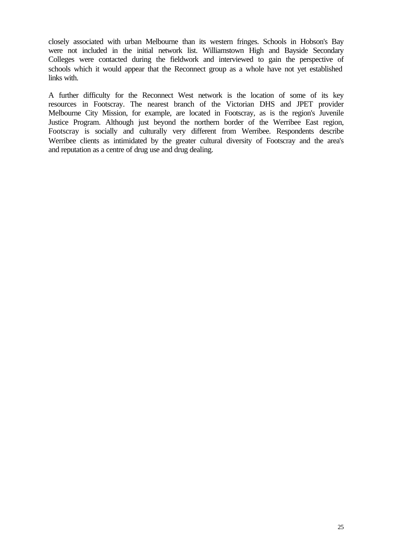closely associated with urban Melbourne than its western fringes. Schools in Hobson's Bay were not included in the initial network list. Williamstown High and Bayside Secondary Colleges were contacted during the fieldwork and interviewed to gain the perspective of schools which it would appear that the Reconnect group as a whole have not yet established links with.

A further difficulty for the Reconnect West network is the location of some of its key resources in Footscray. The nearest branch of the Victorian DHS and JPET provider Melbourne City Mission, for example, are located in Footscray, as is the region's Juvenile Justice Program. Although just beyond the northern border of the Werribee East region, Footscray is socially and culturally very different from Werribee. Respondents describe Werribee clients as intimidated by the greater cultural diversity of Footscray and the area's and reputation as a centre of drug use and drug dealing.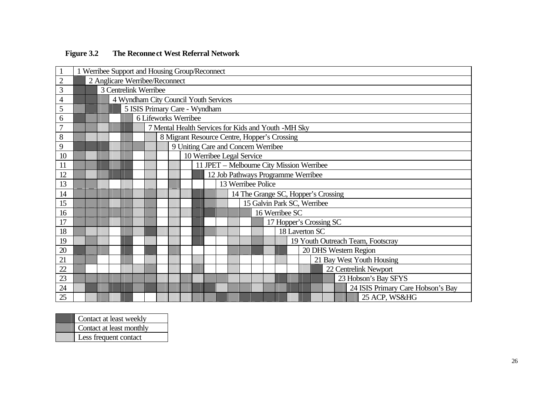|                | 1 Werribee Support and Housing Group/Reconnect |                                       |  |                      |  |                                              |                                     |  |                                                     |  |  |  |  |                           |  |                    |                |  |  |                                           |                                     |
|----------------|------------------------------------------------|---------------------------------------|--|----------------------|--|----------------------------------------------|-------------------------------------|--|-----------------------------------------------------|--|--|--|--|---------------------------|--|--------------------|----------------|--|--|-------------------------------------------|-------------------------------------|
| $\overline{2}$ | 2 Anglicare Werribee/Reconnect                 |                                       |  |                      |  |                                              |                                     |  |                                                     |  |  |  |  |                           |  |                    |                |  |  |                                           |                                     |
| $\overline{3}$ |                                                | 3 Centrelink Werribee                 |  |                      |  |                                              |                                     |  |                                                     |  |  |  |  |                           |  |                    |                |  |  |                                           |                                     |
| $\overline{4}$ |                                                | 4 Wyndham City Council Youth Services |  |                      |  |                                              |                                     |  |                                                     |  |  |  |  |                           |  |                    |                |  |  |                                           |                                     |
| 5              |                                                |                                       |  |                      |  |                                              |                                     |  | 5 ISIS Primary Care - Wyndham                       |  |  |  |  |                           |  |                    |                |  |  |                                           |                                     |
| 6              |                                                |                                       |  | 6 Lifeworks Werribee |  |                                              |                                     |  |                                                     |  |  |  |  |                           |  |                    |                |  |  |                                           |                                     |
| $\overline{7}$ |                                                |                                       |  |                      |  |                                              |                                     |  | 7 Mental Health Services for Kids and Youth -MH Sky |  |  |  |  |                           |  |                    |                |  |  |                                           |                                     |
| $8\,$          |                                                |                                       |  |                      |  | 8 Migrant Resource Centre, Hopper's Crossing |                                     |  |                                                     |  |  |  |  |                           |  |                    |                |  |  |                                           |                                     |
| 9              |                                                |                                       |  |                      |  |                                              | 9 Uniting Care and Concern Werribee |  |                                                     |  |  |  |  |                           |  |                    |                |  |  |                                           |                                     |
| 10             |                                                |                                       |  |                      |  |                                              |                                     |  |                                                     |  |  |  |  | 10 Werribee Legal Service |  |                    |                |  |  |                                           |                                     |
| 11             |                                                |                                       |  |                      |  |                                              |                                     |  |                                                     |  |  |  |  |                           |  |                    |                |  |  | 11 JPET - Melbourne City Mission Werribee |                                     |
| 12             |                                                |                                       |  |                      |  |                                              |                                     |  |                                                     |  |  |  |  |                           |  |                    |                |  |  | 12 Job Pathways Programme Werribee        |                                     |
| 13             |                                                |                                       |  |                      |  |                                              |                                     |  |                                                     |  |  |  |  |                           |  | 13 Werribee Police |                |  |  |                                           |                                     |
| 14             |                                                |                                       |  |                      |  |                                              |                                     |  |                                                     |  |  |  |  |                           |  |                    |                |  |  |                                           | 14 The Grange SC, Hopper's Crossing |
| 15             |                                                |                                       |  |                      |  |                                              |                                     |  |                                                     |  |  |  |  |                           |  |                    |                |  |  | 15 Galvin Park SC, Werribee               |                                     |
| 16             |                                                |                                       |  |                      |  |                                              |                                     |  |                                                     |  |  |  |  |                           |  |                    | 16 Werribee SC |  |  |                                           |                                     |
| 17             |                                                |                                       |  |                      |  |                                              |                                     |  |                                                     |  |  |  |  |                           |  |                    |                |  |  | 17 Hopper's Crossing SC                   |                                     |
| 18             |                                                |                                       |  |                      |  |                                              |                                     |  |                                                     |  |  |  |  |                           |  |                    |                |  |  | 18 Laverton SC                            |                                     |
| 19             |                                                |                                       |  |                      |  |                                              |                                     |  |                                                     |  |  |  |  |                           |  |                    |                |  |  |                                           | 19 Youth Outreach Team, Footscray   |
| 20             |                                                |                                       |  |                      |  |                                              |                                     |  |                                                     |  |  |  |  |                           |  |                    |                |  |  |                                           | 20 DHS Western Region               |
| 21             |                                                |                                       |  |                      |  |                                              |                                     |  |                                                     |  |  |  |  |                           |  |                    |                |  |  |                                           | 21 Bay West Youth Housing           |
| 22             |                                                |                                       |  |                      |  |                                              |                                     |  |                                                     |  |  |  |  |                           |  |                    |                |  |  |                                           | 22 Centrelink Newport               |
| 23             |                                                |                                       |  |                      |  |                                              |                                     |  |                                                     |  |  |  |  |                           |  |                    |                |  |  |                                           | 23 Hobson's Bay SFYS                |
| 24             |                                                |                                       |  |                      |  |                                              |                                     |  |                                                     |  |  |  |  |                           |  |                    |                |  |  |                                           | 24 ISIS Primary Care Hobson's Bay   |
| 25             |                                                |                                       |  |                      |  |                                              |                                     |  |                                                     |  |  |  |  |                           |  |                    |                |  |  |                                           | 25 ACP, WS&HG                       |

## **Figure 3.2 The Reconnect West Referral Network**

| Contact at least weekly  |
|--------------------------|
| Contact at least monthly |
| Less frequent contact    |
|                          |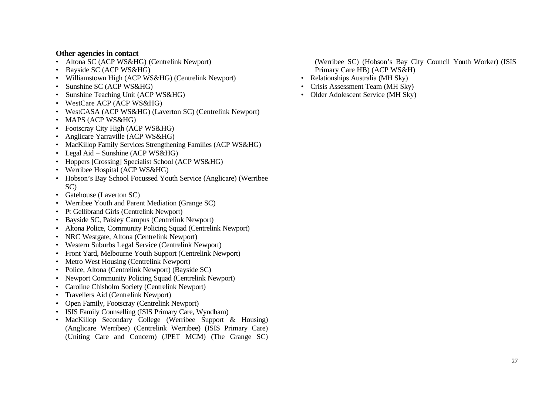#### **Other agencies in contact**

- Altona SC (ACP WS&HG) (Centrelink Newport)
- Bayside SC (ACP WS&HG)
- Williamstown High (ACP WS&HG) (Centrelink Newport)
- Sunshine SC (ACP WS&HG)
- Sunshine Teaching Unit (ACP WS&HG)
- WestCare ACP (ACP WS&HG)
- WestCASA (ACP WS&HG) (Laverton SC) (Centrelink Newport)
- MAPS (ACP WS&HG)
- Footscray City High (ACP WS&HG)
- Anglicare Yarraville (ACP WS&HG)
- MacKillop Family Services Strengthening Families (ACP WS&HG)
- Legal Aid Sunshine (ACP WS&HG)
- Hoppers [Crossing] Specialist School (ACP WS&HG)
- Werribee Hospital (ACP WS&HG)
- Hobson's Bay School Focussed Youth Service (Anglicare) (Werribee SC)
- Gatehouse (Laverton SC)
- Werribee Youth and Parent Mediation (Grange SC)
- Pt Gellibrand Girls (Centrelink Newport)
- Bayside SC, Paisley Campus (Centrelink Newport)
- Altona Police, Community Policing Squad (Centrelink Newport)
- NRC Westgate, Altona (Centrelink Newport)
- Western Suburbs Legal Service (Centrelink Newport)
- Front Yard, Melbourne Youth Support (Centrelink Newport)
- Metro West Housing (Centrelink Newport)
- Police, Altona (Centrelink Newport) (Bayside SC)
- Newport Community Policing Squad (Centrelink Newport)
- Caroline Chisholm Society (Centrelink Newport)
- Travellers Aid (Centrelink Newport)
- Open Family, Footscray (Centrelink Newport)
- ISIS Family Counselling (ISIS Primary Care, Wyndham)
- MacKillop Secondary College (Werribee Support & Housing) (Anglicare Werribee) (Centrelink Werribee) (ISIS Primary Care) (Uniting Care and Concern) (JPET MCM) (The Grange SC)

(Werribee SC) (Hobson's Bay City Council Youth Worker) (ISIS Primary Care HB) (ACP WS&H)

- Relationships Australia (MH Sky)
- Crisis Assessment Team (MH Sky)
- Older Adolescent Service (MH Sky)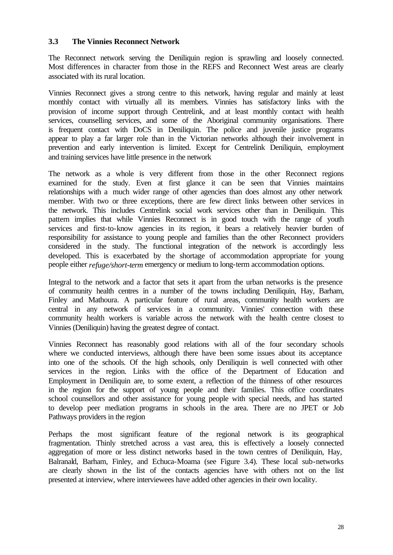#### **3.3 The Vinnies Reconnect Network**

The Reconnect network serving the Deniliquin region is sprawling and loosely connected. Most differences in character from those in the REFS and Reconnect West areas are clearly associated with its rural location.

Vinnies Reconnect gives a strong centre to this network, having regular and mainly at least monthly contact with virtually all its members. Vinnies has satisfactory links with the provision of income support through Centrelink, and at least monthly contact with health services, counselling services, and some of the Aboriginal community organisations. There is frequent contact with DoCS in Deniliquin. The police and juvenile justice programs appear to play a far larger role than in the Victorian networks although their involvement in prevention and early intervention is limited. Except for Centrelink Deniliquin, employment and training services have little presence in the network

The network as a whole is very different from those in the other Reconnect regions examined for the study. Even at first glance it can be seen that Vinnies maintains relationships with a much wider range of other agencies than does almost any other network member. With two or three exceptions, there are few direct links between other services in the network. This includes Centrelink social work services other than in Deniliquin. This pattern implies that while Vinnies Reconnect is in good touch with the range of youth services and first-to-know agencies in its region, it bears a relatively heavier burden of responsibility for assistance to young people and families than the other Reconnect providers considered in the study. The functional integration of the network is accordingly less developed. This is exacerbated by the shortage of accommodation appropriate for young people either *refuge/short-term* emergency or medium to long-term accommodation options.

Integral to the network and a factor that sets it apart from the urban networks is the presence of community health centres in a number of the towns including Deniliquin, Hay, Barham, Finley and Mathoura. A particular feature of rural areas, community health workers are central in any network of services in a community. Vinnies' connection with these community health workers is variable across the network with the health centre closest to Vinnies (Deniliquin) having the greatest degree of contact.

Vinnies Reconnect has reasonably good relations with all of the four secondary schools where we conducted interviews, although there have been some issues about its acceptance into one of the schools. Of the high schools, only Deniliquin is well connected with other services in the region. Links with the office of the Department of Education and Employment in Deniliquin are, to some extent, a reflection of the thinness of other resources in the region for the support of young people and their families. This office coordinates school counsellors and other assistance for young people with special needs, and has started to develop peer mediation programs in schools in the area. There are no JPET or Job Pathways providers in the region

Perhaps the most significant feature of the regional network is its geographical fragmentation. Thinly stretched across a vast area, this is effectively a loosely connected aggregation of more or less distinct networks based in the town centres of Deniliquin, Hay, Balranald, Barham, Finley, and Echuca-Moama (see Figure 3.4). These local sub-networks are clearly shown in the list of the contacts agencies have with others not on the list presented at interview, where interviewees have added other agencies in their own locality.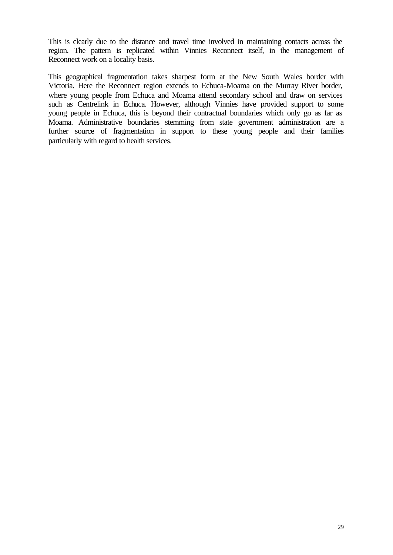This is clearly due to the distance and travel time involved in maintaining contacts across the region. The pattern is replicated within Vinnies Reconnect itself, in the management of Reconnect work on a locality basis.

This geographical fragmentation takes sharpest form at the New South Wales border with Victoria. Here the Reconnect region extends to Echuca-Moama on the Murray River border, where young people from Echuca and Moama attend secondary school and draw on services such as Centrelink in Echuca. However, although Vinnies have provided support to some young people in Echuca, this is beyond their contractual boundaries which only go as far as Moama. Administrative boundaries stemming from state government administration are a further source of fragmentation in support to these young people and their families particularly with regard to health services.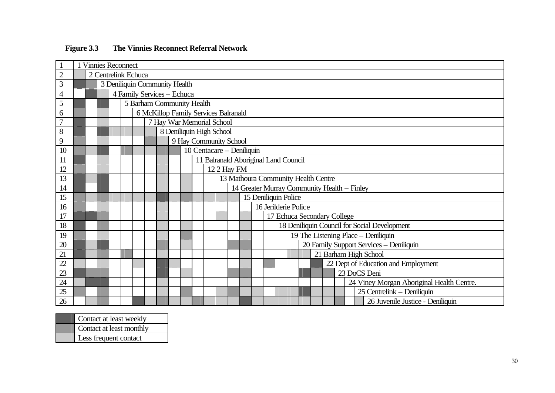|                |                     | <b>Vinnies Reconnect</b>  |                                      |                           |  |  |  |  |  |  |  |                        |                      |  |  |  |                                      |                                     |                             |                                              |
|----------------|---------------------|---------------------------|--------------------------------------|---------------------------|--|--|--|--|--|--|--|------------------------|----------------------|--|--|--|--------------------------------------|-------------------------------------|-----------------------------|----------------------------------------------|
| $\overline{2}$ | 2 Centrelink Echuca |                           |                                      |                           |  |  |  |  |  |  |  |                        |                      |  |  |  |                                      |                                     |                             |                                              |
| 3              |                     |                           | 3 Deniliquin Community Health        |                           |  |  |  |  |  |  |  |                        |                      |  |  |  |                                      |                                     |                             |                                              |
| $\overline{4}$ |                     |                           | 4 Family Services - Echuca           |                           |  |  |  |  |  |  |  |                        |                      |  |  |  |                                      |                                     |                             |                                              |
| 5              |                     |                           | 5 Barham Community Health            |                           |  |  |  |  |  |  |  |                        |                      |  |  |  |                                      |                                     |                             |                                              |
| 6              |                     |                           | 6 McKillop Family Services Balranald |                           |  |  |  |  |  |  |  |                        |                      |  |  |  |                                      |                                     |                             |                                              |
| $\overline{7}$ |                     |                           |                                      | 7 Hay War Memorial School |  |  |  |  |  |  |  |                        |                      |  |  |  |                                      |                                     |                             |                                              |
| 8              |                     |                           | 8 Deniliquin High School             |                           |  |  |  |  |  |  |  |                        |                      |  |  |  |                                      |                                     |                             |                                              |
| 9              |                     |                           |                                      |                           |  |  |  |  |  |  |  | 9 Hay Community School |                      |  |  |  |                                      |                                     |                             |                                              |
| 10             |                     | 10 Centacare - Deniliquin |                                      |                           |  |  |  |  |  |  |  |                        |                      |  |  |  |                                      |                                     |                             |                                              |
| 11             |                     |                           |                                      |                           |  |  |  |  |  |  |  |                        |                      |  |  |  | 11 Balranald Aboriginal Land Council |                                     |                             |                                              |
| 12             |                     |                           |                                      |                           |  |  |  |  |  |  |  | 12 2 Hay FM            |                      |  |  |  |                                      |                                     |                             |                                              |
| 13             |                     |                           |                                      |                           |  |  |  |  |  |  |  |                        |                      |  |  |  |                                      | 13 Mathoura Community Health Centre |                             |                                              |
| 14             |                     |                           |                                      |                           |  |  |  |  |  |  |  |                        |                      |  |  |  |                                      |                                     |                             | 14 Greater Murray Community Health - Finley  |
| 15             |                     |                           |                                      |                           |  |  |  |  |  |  |  | 15 Deniliquin Police   |                      |  |  |  |                                      |                                     |                             |                                              |
| 16             |                     |                           |                                      |                           |  |  |  |  |  |  |  |                        | 16 Jerilderie Police |  |  |  |                                      |                                     |                             |                                              |
| 17             |                     |                           |                                      |                           |  |  |  |  |  |  |  |                        |                      |  |  |  |                                      |                                     | 17 Echuca Secondary College |                                              |
| 18             |                     |                           |                                      |                           |  |  |  |  |  |  |  |                        |                      |  |  |  |                                      |                                     |                             | 18 Deniliquin Council for Social Development |
| 19             |                     |                           |                                      |                           |  |  |  |  |  |  |  |                        |                      |  |  |  |                                      |                                     |                             | 19 The Listening Place - Deniliquin          |
| 20             |                     |                           |                                      |                           |  |  |  |  |  |  |  |                        |                      |  |  |  |                                      |                                     |                             | 20 Family Support Services - Deniliquin      |
| 21             |                     |                           |                                      |                           |  |  |  |  |  |  |  |                        |                      |  |  |  |                                      |                                     |                             | 21 Barham High School                        |
| 22             |                     |                           |                                      |                           |  |  |  |  |  |  |  |                        |                      |  |  |  |                                      |                                     |                             | 22 Dept of Education and Employment          |
| 23             |                     |                           |                                      |                           |  |  |  |  |  |  |  |                        |                      |  |  |  |                                      |                                     |                             | 23 DoCS Deni                                 |
| 24             |                     |                           |                                      |                           |  |  |  |  |  |  |  |                        |                      |  |  |  |                                      |                                     |                             | 24 Viney Morgan Aboriginal Health Centre.    |
| 25             |                     |                           |                                      |                           |  |  |  |  |  |  |  |                        |                      |  |  |  |                                      |                                     |                             | 25 Centrelink - Deniliquin                   |
| 26             |                     |                           |                                      |                           |  |  |  |  |  |  |  |                        |                      |  |  |  |                                      |                                     |                             | 26 Juvenile Justice - Deniliquin             |

| Contact at least weekly  |
|--------------------------|
| Contact at least monthly |
| Less frequent contact    |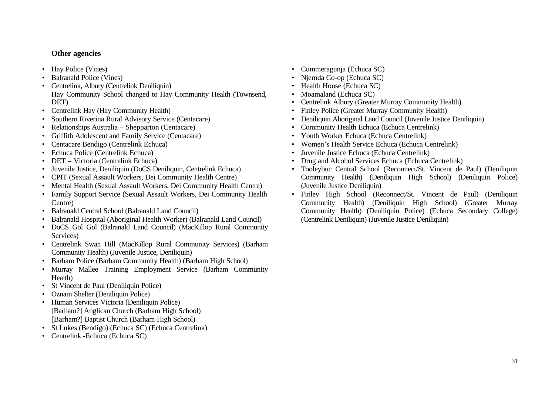## **Other agencies**

- Hay Police (Vines)
- Balranald Police (Vines)
- Centrelink, Albury (Centrelink Deniliquin) Hay Community School changed to Hay Community Health (Townsend, DET)
- Centrelink Hay (Hay Community Health)
- Southern Riverina Rural Advisory Service (Centacare)
- Relationships Australia Shepparton (Centacare)
- Griffith Adolescent and Family Service (Centacare)
- Centacare Bendigo (Centrelink Echuca)
- Echuca Police (Centrelink Echuca)
- DET Victoria (Centrelink Echuca)
- Juvenile Justice, Deniliquin (DoCS Deniliquin, Centrelink Echuca)
- CPIT (Sexual Assault Workers, Dei Community Health Centre)
- Mental Health (Sexual Assault Workers, Dei Community Health Centre)
- Family Support Service (Sexual Assault Workers, Dei Community Health Centre)
- Balranald Central School (Balranald Land Council)
- Balranald Hospital (Aboriginal Health Worker) (Balranald Land Council)
- DoCS Gol Gol (Balranald Land Council) (MacKillop Rural Community Services)
- Centrelink Swan Hill (MacKillop Rural Community Services) (Barham Community Health) (Juvenile Justice, Deniliquin)
- Barham Police (Barham Community Health) (Barham High School)
- Murray Mallee Training Employment Service (Barham Community Health)
- St Vincent de Paul (Deniliquin Police)
- Oznam Shelter (Deniliquin Police)
- Human Services Victoria (Deniliquin Police) [Barham?] Anglican Church (Barham High School) [Barham?] Baptist Church (Barham High School)
- St Lukes (Bendigo) (Echuca SC) (Echuca Centrelink)
- Centrelink -Echuca (Echuca SC)
- Cummeragunja (Echuca SC)
- Njernda Co-op (Echuca SC)
- Health House (Echuca SC)
- Moamaland (Echuca SC)
- Centrelink Albury (Greater Murray Community Health)
- Finley Police (Greater Murray Community Health)
- Deniliquin Aboriginal Land Council (Juvenile Justice Deniliquin)
- Community Health Echuca (Echuca Centrelink)
- Youth Worker Echuca (Echuca Centrelink)
- Women's Health Service Echuca (Echuca Centrelink)
- Juvenile Justice Echuca (Echuca Centrelink)
- Drug and Alcohol Services Echuca (Echuca Centrelink)
- Tooleybuc Central School (Reconnect/St. Vincent de Paul) (Deniliquin Community Health) (Deniliquin High School) (Deniliquin Police) (Juvenile Justice Deniliquin)
- Finley High School (Reconnect/St. Vincent de Paul) (Deniliquin Community Health) (Deniliquin High School) (Greater Murray Community Health) (Deniliquin Police) (Echuca Secondary College) (Centrelink Deniliquin) (Juvenile Justice Deniliquin)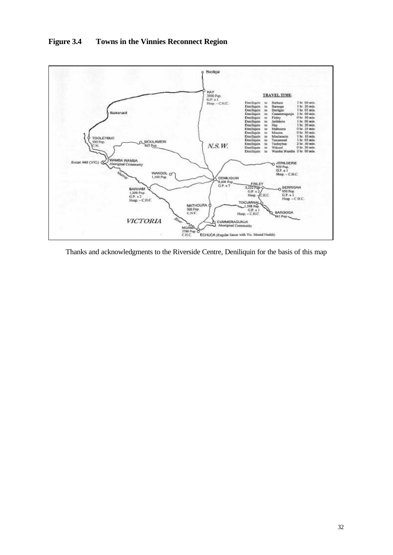

**Figure 3.4 Towns in the Vinnies Reconnect Region**

Thanks and acknowledgments to the Riverside Centre, Deniliquin for the basis of this map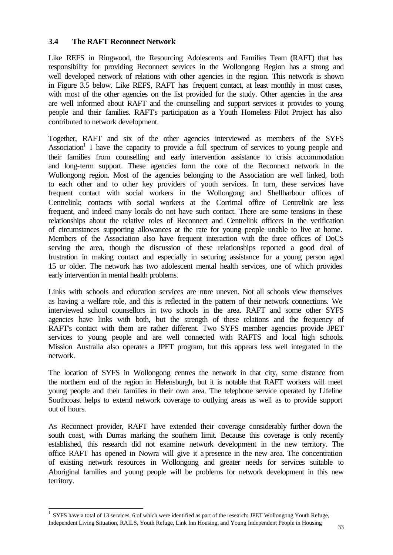## **3.4 The RAFT Reconnect Network**

Like REFS in Ringwood, the Resourcing Adolescents and Families Team (RAFT) that has responsibility for providing Reconnect services in the Wollongong Region has a strong and well developed network of relations with other agencies in the region. This network is shown in Figure 3.5 below. Like REFS, RAFT has frequent contact, at least monthly in most cases, with most of the other agencies on the list provided for the study. Other agencies in the area are well informed about RAFT and the counselling and support services it provides to young people and their families. RAFT's participation as a Youth Homeless Pilot Project has also contributed to network development.

Together, RAFT and six of the other agencies interviewed as members of the SYFS Association<sup>1</sup> I have the capacity to provide a full spectrum of services to young people and their families from counselling and early intervention assistance to crisis accommodation and long-term support. These agencies form the core of the Reconnect network in the Wollongong region. Most of the agencies belonging to the Association are well linked, both to each other and to other key providers of youth services. In turn, these services have frequent contact with social workers in the Wollongong and Shellharbour offices of Centrelink; contacts with social workers at the Corrimal office of Centrelink are less frequent, and indeed many locals do not have such contact. There are some tensions in these relationships about the relative roles of Reconnect and Centrelink officers in the verification of circumstances supporting allowances at the rate for young people unable to live at home. Members of the Association also have frequent interaction with the three offices of DoCS serving the area, though the discussion of these relationships reported a good deal of frustration in making contact and especially in securing assistance for a young person aged 15 or older. The network has two adolescent mental health services, one of which provides early intervention in mental health problems.

Links with schools and education services are more uneven. Not all schools view themselves as having a welfare role, and this is reflected in the pattern of their network connections. We interviewed school counsellors in two schools in the area. RAFT and some other SYFS agencies have links with both, but the strength of these relations and the frequency of RAFT's contact with them are rather different. Two SYFS member agencies provide JPET services to young people and are well connected with RAFTS and local high schools. Mission Australia also operates a JPET program, but this appears less well integrated in the network.

The location of SYFS in Wollongong centres the network in that city, some distance from the northern end of the region in Helensburgh, but it is notable that RAFT workers will meet young people and their families in their own area. The telephone service operated by Lifeline Southcoast helps to extend network coverage to outlying areas as well as to provide support out of hours.

As Reconnect provider, RAFT have extended their coverage considerably further down the south coast, with Durras marking the southern limit. Because this coverage is only recently established, this research did not examine network development in the new territory. The office RAFT has opened in Nowra will give it a presence in the new area. The concentration of existing network resources in Wollongong and greater needs for services suitable to Aboriginal families and young people will be problems for network development in this new territory.

 1 SYFS have a total of 13 services, 6 of which were identified as part of the research: JPET Wollongong Youth Refuge, Independent Living Situation, RAILS, Youth Refuge, Link Inn Housing, and Young Independent People in Housing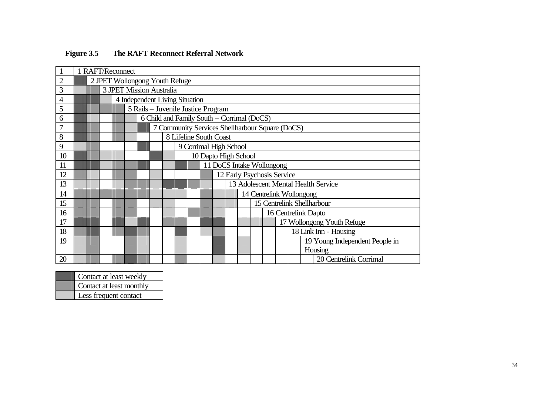|                | 1 RAFT/Reconnect |  |                                    |  |  |                                                 |  |  |  |                            |                                     |  |                          |                      |  |  |  |                                |  |
|----------------|------------------|--|------------------------------------|--|--|-------------------------------------------------|--|--|--|----------------------------|-------------------------------------|--|--------------------------|----------------------|--|--|--|--------------------------------|--|
| $\overline{2}$ |                  |  | 2 JPET Wollongong Youth Refuge     |  |  |                                                 |  |  |  |                            |                                     |  |                          |                      |  |  |  |                                |  |
| 3              |                  |  | 3 JPET Mission Australia           |  |  |                                                 |  |  |  |                            |                                     |  |                          |                      |  |  |  |                                |  |
| 4              |                  |  | 4 Independent Living Situation     |  |  |                                                 |  |  |  |                            |                                     |  |                          |                      |  |  |  |                                |  |
| 5              |                  |  | 5 Rails – Juvenile Justice Program |  |  |                                                 |  |  |  |                            |                                     |  |                          |                      |  |  |  |                                |  |
| 6              |                  |  |                                    |  |  | 6 Child and Family South - Corrimal (DoCS)      |  |  |  |                            |                                     |  |                          |                      |  |  |  |                                |  |
| 7              |                  |  |                                    |  |  | 7 Community Services Shellharbour Square (DoCS) |  |  |  |                            |                                     |  |                          |                      |  |  |  |                                |  |
| 8              |                  |  | 8 Lifeline South Coast             |  |  |                                                 |  |  |  |                            |                                     |  |                          |                      |  |  |  |                                |  |
| 9              |                  |  |                                    |  |  |                                                 |  |  |  | 9 Corrimal High School     |                                     |  |                          |                      |  |  |  |                                |  |
| 10             |                  |  |                                    |  |  |                                                 |  |  |  |                            |                                     |  |                          | 10 Dapto High School |  |  |  |                                |  |
| 11             |                  |  |                                    |  |  |                                                 |  |  |  | 11 DoCS Intake Wollongong  |                                     |  |                          |                      |  |  |  |                                |  |
| 12             |                  |  |                                    |  |  |                                                 |  |  |  | 12 Early Psychosis Service |                                     |  |                          |                      |  |  |  |                                |  |
| 13             |                  |  |                                    |  |  |                                                 |  |  |  |                            | 13 Adolescent Mental Health Service |  |                          |                      |  |  |  |                                |  |
| 14             |                  |  |                                    |  |  |                                                 |  |  |  |                            |                                     |  | 14 Centrelink Wollongong |                      |  |  |  |                                |  |
| 15             |                  |  |                                    |  |  |                                                 |  |  |  |                            |                                     |  |                          |                      |  |  |  | 15 Centrelink Shellharbour     |  |
| 16             |                  |  |                                    |  |  |                                                 |  |  |  |                            |                                     |  |                          |                      |  |  |  | 16 Centrelink Dapto            |  |
| 17             |                  |  |                                    |  |  |                                                 |  |  |  |                            |                                     |  |                          |                      |  |  |  | 17 Wollongong Youth Refuge     |  |
| 18             |                  |  |                                    |  |  |                                                 |  |  |  |                            |                                     |  |                          |                      |  |  |  | 18 Link Inn - Housing          |  |
| 19             |                  |  |                                    |  |  |                                                 |  |  |  |                            |                                     |  |                          |                      |  |  |  | 19 Young Independent People in |  |
|                |                  |  |                                    |  |  |                                                 |  |  |  |                            |                                     |  |                          |                      |  |  |  | Housing                        |  |
| 20             |                  |  |                                    |  |  |                                                 |  |  |  |                            |                                     |  |                          |                      |  |  |  | 20 Centrelink Corrimal         |  |

# **Figure 3.5 The RAFT Reconnect Referral Network**

| Contact at least weekly  |
|--------------------------|
| Contact at least monthly |
| Less frequent contact    |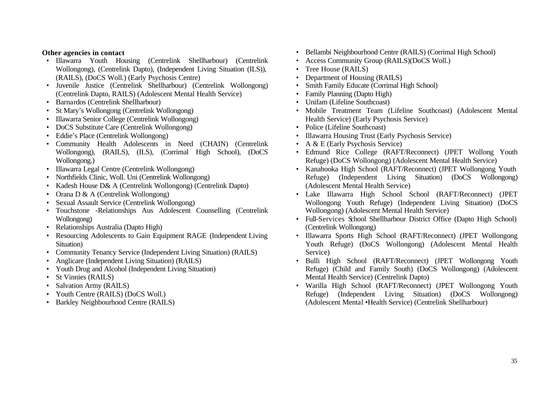#### **Other agencies in contact**

- Illawarra Youth Housing (Centrelink Shellharbour) (Centrelink Wollongong), (Centrelink Dapto), (Independent Living Situation (ILS)), (RAILS), (DoCS Woll.) (Early Psychosis Centre)
- Juvenile Justice (Centrelink Shellharbour) (Centrelink Wollongong) (Centrelink Dapto, RAILS) (Adolescent Mental Health Service)
- Barnardos (Centrelink Shellharbour)
- St Mary's Wollongong (Centrelink Wollongong)
- Illawarra Senior College (Centrelink Wollongong)
- DoCS Substitute Care (Centrelink Wollongong)
- Eddie's Place (Centrelink Wollongong)
- Community Health Adolescents in Need (CHAIN) (Centrelink Wollongong), (RAILS), (ILS), (Corrimal High School), (DoCS Wollongong.)
- Illawarra Legal Centre (Centrelink Wollongong)
- Northfields Clinic, Woll. Uni (Centrelink Wollongong)
- Kadesh House D& A (Centrelink Wollongong) (Centrelink Dapto)
- Orana D & A (Centrelink Wollongong)
- Sexual Assault Service (Centrelink Wollongong)
- Touchstone -Relationships Aus Adolescent Counselling (Centrelink Wollongong)
- Relationships Australia (Dapto High)
- Resourcing Adolescents to Gain Equipment RAGE (Independent Living Situation)
- Community Tenancy Service (Independent Living Situation) (RAILS)
- Anglicare (Independent Living Situation) (RAILS)
- Youth Drug and Alcohol (Independent Living Situation)
- St Vinnies (RAILS)
- Salvation Army (RAILS)
- Youth Centre (RAILS) (DoCS Woll.)
- Barkley Neighbourhood Centre (RAILS)
- Bellambi Neighbourhood Centre (RAILS) (Corrimal High School)
- Access Community Group (RAILS)(DoCS Woll.)
- Tree House (RAILS)
- Department of Housing (RAILS)
- Smith Family Educate (Corrimal High School)
- Family Planning (Dapto High)
- Unifam (Lifeline Southcoast)
- Mobile Treatment Team (Lifeline Southcoast) (Adolescent Mental Health Service) (Early Psychosis Service)
- Police (Lifeline Southcoast)
- Illawarra Housing Trust (Early Psychosis Service)
- A & E (Early Psychosis Service)
- Edmund Rice College (RAFT/Reconnect) (JPET Wollong Youth Refuge) (DoCS Wollongong) (Adolescent Mental Health Service)
- Kanahooka High School (RAFT/Reconnect) (JPET Wollongong Youth Refuge) (Independent Living Situation) (DoCS Wollongong) (Adolescent Mental Health Service)
- Lake Illawarra High School School (RAFT/Reconnect) (JPET Wollongong Youth Refuge) (Independent Living Situation) (DoCS Wollongong) (Adolescent Mental Health Service)
- Full-Services School Shellharbour District Office (Dapto High School) (Centrelink Wollongong)
- Illawarra Sports High School (RAFT/Reconnect) (JPET Wollongong Youth Refuge) (DoCS Wollongong) (Adolescent Mental Health Service)
- Bulli High School (RAFT/Reconnect) (JPET Wollongong Youth Refuge) (Child and Family South) (DoCS Wollongong) (Adolescent Mental Health Service) (Centrelink Dapto)
- Warilla High School (RAFT/Reconnect) (JPET Wollongong Youth Refuge) (Independent Living Situation) (DoCS Wollongong) (Adolescent Mental •Health Service) (Centrelink Shellharbour)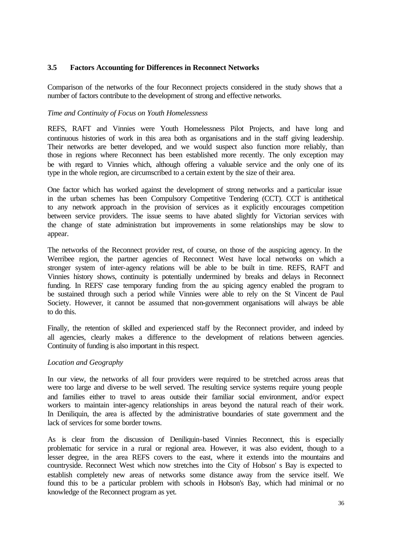### **3.5 Factors Accounting for Differences in Reconnect Networks**

Comparison of the networks of the four Reconnect projects considered in the study shows that a number of factors contribute to the development of strong and effective networks.

#### *Time and Continuity of Focus on Youth Homelessness*

REFS, RAFT and Vinnies were Youth Homelessness Pilot Projects, and have long and continuous histories of work in this area both as organisations and in the staff giving leadership. Their networks are better developed, and we would suspect also function more reliably, than those in regions where Reconnect has been established more recently. The only exception may be with regard to Vinnies which, although offering a valuable service and the only one of its type in the whole region, are circumscribed to a certain extent by the size of their area.

One factor which has worked against the development of strong networks and a particular issue in the urban schemes has been Compulsory Competitive Tendering (CCT). CCT is antithetical to any network approach in the provision of services as it explicitly encourages competition between service providers. The issue seems to have abated slightly for Victorian services with the change of state administration but improvements in some relationships may be slow to appear.

The networks of the Reconnect provider rest, of course, on those of the auspicing agency. In the Werribee region, the partner agencies of Reconnect West have local networks on which a stronger system of inter-agency relations will be able to be built in time. REFS, RAFT and Vinnies history shows, continuity is potentially undermined by breaks and delays in Reconnect funding. In REFS' case temporary funding from the au spicing agency enabled the program to be sustained through such a period while Vinnies were able to rely on the St Vincent de Paul Society. However, it cannot be assumed that non-government organisations will always be able to do this.

Finally, the retention of skilled and experienced staff by the Reconnect provider, and indeed by all agencies, clearly makes a difference to the development of relations between agencies. Continuity of funding is also important in this respect.

#### *Location and Geography*

In our view, the networks of all four providers were required to be stretched across areas that were too large and diverse to be well served. The resulting service systems require young people and families either to travel to areas outside their familiar social environment, and/or expect workers to maintain inter-agency relationships in areas beyond the natural reach of their work. In Deniliquin, the area is affected by the administrative boundaries of state government and the lack of services for some border towns.

As is clear from the discussion of Deniliquin-based Vinnies Reconnect, this is especially problematic for service in a rural or regional area. However, it was also evident, though to a lesser degree, in the area REFS covers to the east, where it extends into the mountains and countryside. Reconnect West which now stretches into the City of Hobson' s Bay is expected to establish completely new areas of networks some distance away from the service itself. We found this to be a particular problem with schools in Hobson's Bay, which had minimal or no knowledge of the Reconnect program as yet.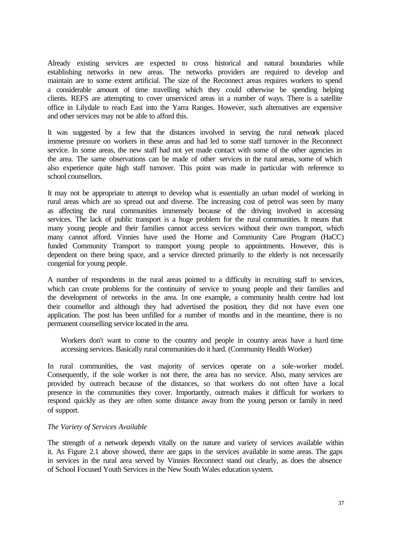Already existing services are expected to cross historical and natural boundaries while establishing networks in new areas. The networks providers are required to develop and maintain are to some extent artificial. The size of the Reconnect areas requires workers to spend a considerable amount of time travelling which they could otherwise be spending helping clients. REFS are attempting to cover unserviced areas in a number of ways. There is a satellite office in Lilydale to reach East into the Yarra Ranges. However, such alternatives are expensive and other services may not be able to afford this.

It was suggested by a few that the distances involved in serving the rural network placed immense pressure on workers in these areas and had led to some staff turnover in the Reconnect service. In some areas, the new staff had not yet made contact with some of the other agencies in the area. The same observations can be made of other services in the rural areas, some of which also experience quite high staff turnover. This point was made in particular with reference to school counsellors.

It may not be appropriate to attempt to develop what is essentially an urban model of working in rural areas which are so spread out and diverse. The increasing cost of petrol was seen by many as affecting the rural communities immensely because of the driving involved in accessing services. The lack of public transport is a huge problem for the rural communities. It means that many young people and their families cannot access services without their own transport, which many cannot afford. Vinnies have used the Home and Community Care Program (HaCC) funded Community Transport to transport young people to appointments. However, this is dependent on there being space, and a service directed primarily to the elderly is not necessarily congenial for young people.

A number of respondents in the rural areas pointed to a difficulty in recruiting staff to services, which can create problems for the continuity of service to young people and their families and the development of networks in the area. In one example, a community health centre had lost their counsellor and although they had advertised the position, they did not have even one application. The post has been unfilled for a number of months and in the meantime, there is no permanent counselling service located in the area.

Workers don't want to come to the country and people in country areas have a hard time accessing services. Basically rural communities do it hard. (Community Health Worker)

In rural communities, the vast majority of services operate on a sole-worker model. Consequently, if the sole worker is not there, the area has no service. Also, many services are provided by outreach because of the distances, so that workers do not often have a local presence in the communities they cover. Importantly, outreach makes it difficult for workers to respond quickly as they are often some distance away from the young person or family in need of support.

#### *The Variety of Services Available*

The strength of a network depends vitally on the nature and variety of services available within it. As Figure 2.1 above showed, there are gaps in the services available in some areas. The gaps in services in the rural area served by Vinnies Reconnect stand out clearly, as does the absence of School Focused Youth Services in the New South Wales education system.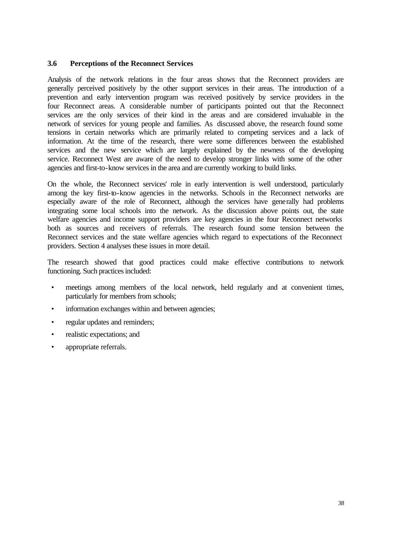### **3.6 Perceptions of the Reconnect Services**

Analysis of the network relations in the four areas shows that the Reconnect providers are generally perceived positively by the other support services in their areas. The introduction of a prevention and early intervention program was received positively by service providers in the four Reconnect areas. A considerable number of participants pointed out that the Reconnect services are the only services of their kind in the areas and are considered invaluable in the network of services for young people and families. As discussed above, the research found some tensions in certain networks which are primarily related to competing services and a lack of information. At the time of the research, there were some differences between the established services and the new service which are largely explained by the newness of the developing service. Reconnect West are aware of the need to develop stronger links with some of the other agencies and first-to-know services in the area and are currently working to build links.

On the whole, the Reconnect services' role in early intervention is well understood, particularly among the key first-to-know agencies in the networks. Schools in the Reconnect networks are especially aware of the role of Reconnect, although the services have generally had problems integrating some local schools into the network. As the discussion above points out, the state welfare agencies and income support providers are key agencies in the four Reconnect networks both as sources and receivers of referrals. The research found some tension between the Reconnect services and the state welfare agencies which regard to expectations of the Reconnect providers. Section 4 analyses these issues in more detail.

The research showed that good practices could make effective contributions to network functioning. Such practices included:

- meetings among members of the local network, held regularly and at convenient times, particularly for members from schools;
- information exchanges within and between agencies;
- regular updates and reminders;
- realistic expectations; and
- appropriate referrals.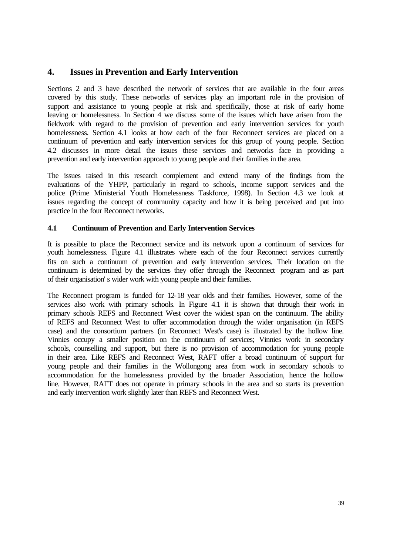# **4. Issues in Prevention and Early Intervention**

Sections 2 and 3 have described the network of services that are available in the four areas covered by this study. These networks of services play an important role in the provision of support and assistance to young people at risk and specifically, those at risk of early home leaving or homelessness. In Section 4 we discuss some of the issues which have arisen from the fieldwork with regard to the provision of prevention and early intervention services for youth homelessness. Section 4.1 looks at how each of the four Reconnect services are placed on a continuum of prevention and early intervention services for this group of young people. Section 4.2 discusses in more detail the issues these services and networks face in providing a prevention and early intervention approach to young people and their families in the area.

The issues raised in this research complement and extend many of the findings from the evaluations of the YHPP, particularly in regard to schools, income support services and the police (Prime Ministerial Youth Homelessness Taskforce, 1998). In Section 4.3 we look at issues regarding the concept of community capacity and how it is being perceived and put into practice in the four Reconnect networks.

## **4.1 Continuum of Prevention and Early Intervention Services**

It is possible to place the Reconnect service and its network upon a continuum of services for youth homelessness. Figure 4.1 illustrates where each of the four Reconnect services currently fits on such a continuum of prevention and early intervention services. Their location on the continuum is determined by the services they offer through the Reconnect program and as part of their organisation' s wider work with young people and their families.

The Reconnect program is funded for 12-18 year olds and their families. However, some of the services also work with primary schools. In Figure 4.1 it is shown that through their work in primary schools REFS and Reconnect West cover the widest span on the continuum. The ability of REFS and Reconnect West to offer accommodation through the wider organisation (in REFS case) and the consortium partners (in Reconnect West's case) is illustrated by the hollow line. Vinnies occupy a smaller position on the continuum of services; Vinnies work in secondary schools, counselling and support, but there is no provision of accommodation for young people in their area. Like REFS and Reconnect West, RAFT offer a broad continuum of support for young people and their families in the Wollongong area from work in secondary schools to accommodation for the homelessness provided by the broader Association, hence the hollow line. However, RAFT does not operate in primary schools in the area and so starts its prevention and early intervention work slightly later than REFS and Reconnect West.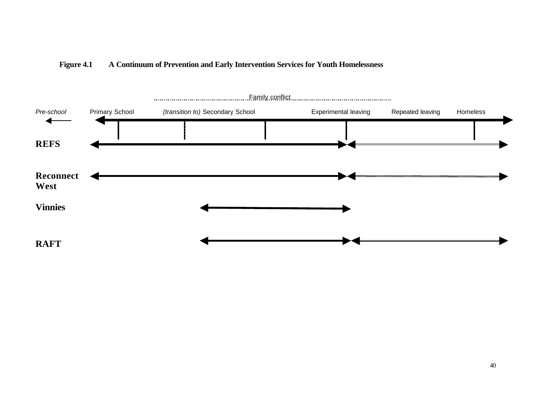

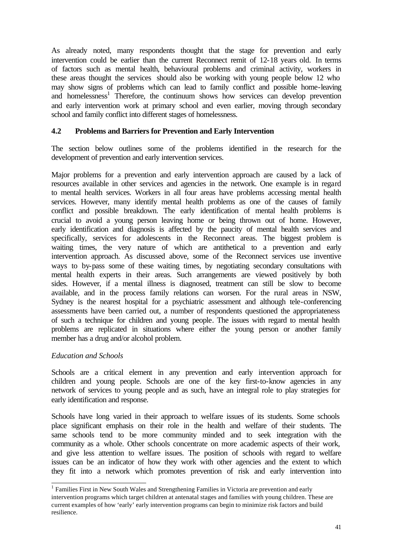As already noted, many respondents thought that the stage for prevention and early intervention could be earlier than the current Reconnect remit of 12-18 years old. In terms of factors such as mental health, behavioural problems and criminal activity, workers in these areas thought the services should also be working with young people below 12 who may show signs of problems which can lead to family conflict and possible home-leaving and homelessness<sup>1</sup> Therefore, the continuum shows how services can develop prevention and early intervention work at primary school and even earlier, moving through secondary school and family conflict into different stages of homelessness.

## **4.2 Problems and Barriers for Prevention and Early Intervention**

The section below outlines some of the problems identified in the research for the development of prevention and early intervention services.

Major problems for a prevention and early intervention approach are caused by a lack of resources available in other services and agencies in the network. One example is in regard to mental health services. Workers in all four areas have problems accessing mental health services. However, many identify mental health problems as one of the causes of family conflict and possible breakdown. The early identification of mental health problems is crucial to avoid a young person leaving home or being thrown out of home. However, early identification and diagnosis is affected by the paucity of mental health services and specifically, services for adolescents in the Reconnect areas. The biggest problem is waiting times, the very nature of which are antithetical to a prevention and early intervention approach. As discussed above, some of the Reconnect services use inventive ways to by-pass some of these waiting times, by negotiating secondary consultations with mental health experts in their areas. Such arrangements are viewed positively by both sides. However, if a mental illness is diagnosed, treatment can still be slow to become available, and in the process family relations can worsen. For the rural areas in NSW, Sydney is the nearest hospital for a psychiatric assessment and although tele-conferencing assessments have been carried out, a number of respondents questioned the appropriateness of such a technique for children and young people. The issues with regard to mental health problems are replicated in situations where either the young person or another family member has a drug and/or alcohol problem.

### *Education and Schools*

Schools are a critical element in any prevention and early intervention approach for children and young people. Schools are one of the key first-to-know agencies in any network of services to young people and as such, have an integral role to play strategies for early identification and response.

Schools have long varied in their approach to welfare issues of its students. Some schools place significant emphasis on their role in the health and welfare of their students. The same schools tend to be more community minded and to seek integration with the community as a whole. Other schools concentrate on more academic aspects of their work, and give less attention to welfare issues. The position of schools with regard to welfare issues can be an indicator of how they work with other agencies and the extent to which they fit into a network which promotes prevention of risk and early intervention into

<sup>&</sup>lt;sup>1</sup> Families First in New South Wales and Strengthening Families in Victoria are prevention and early intervention programs which target children at antenatal stages and families with young children. These are current examples of how 'early' early intervention programs can begin to minimize risk factors and build resilience.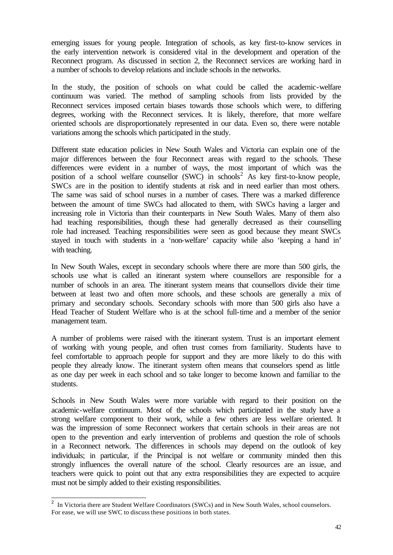emerging issues for young people. Integration of schools, as key first-to-know services in the early intervention network is considered vital in the development and operation of the Reconnect program. As discussed in section 2, the Reconnect services are working hard in a number of schools to develop relations and include schools in the networks.

In the study, the position of schools on what could be called the academic-welfare continuum was varied. The method of sampling schools from lists provided by the Reconnect services imposed certain biases towards those schools which were, to differing degrees, working with the Reconnect services. It is likely, therefore, that more welfare oriented schools are disproportionately represented in our data. Even so, there were notable variations among the schools which participated in the study.

Different state education policies in New South Wales and Victoria can explain one of the major differences between the four Reconnect areas with regard to the schools. These differences were evident in a number of ways, the most important of which was the position of a school welfare counsellor  $(SWC)$  in schools<sup>2</sup> As key first-to-know people, SWCs are in the position to identify students at risk and in need earlier than most others. The same was said of school nurses in a number of cases. There was a marked difference between the amount of time SWCs had allocated to them, with SWCs having a larger and increasing role in Victoria than their counterparts in New South Wales. Many of them also had teaching responsibilities, though these had generally decreased as their counselling role had increased. Teaching responsibilities were seen as good because they meant SWCs stayed in touch with students in a 'non-welfare' capacity while also 'keeping a hand in' with teaching.

In New South Wales, except in secondary schools where there are more than 500 girls, the schools use what is called an itinerant system where counsellors are responsible for a number of schools in an area. The itinerant system means that counsellors divide their time between at least two and often more schools, and these schools are generally a mix of primary and secondary schools. Secondary schools with more than 500 girls also have a Head Teacher of Student Welfare who is at the school full-time and a member of the senior management team.

A number of problems were raised with the itinerant system. Trust is an important element of working with young people, and often trust comes from familiarity. Students have to feel comfortable to approach people for support and they are more likely to do this with people they already know. The itinerant system often means that counselors spend as little as one day per week in each school and so take longer to become known and familiar to the students.

Schools in New South Wales were more variable with regard to their position on the academic-welfare continuum. Most of the schools which participated in the study have a strong welfare component to their work, while a few others are less welfare oriented. It was the impression of some Reconnect workers that certain schools in their areas are not open to the prevention and early intervention of problems and question the role of schools in a Reconnect network. The differences in schools may depend on the outlook of key individuals; in particular, if the Principal is not welfare or community minded then this strongly influences the overall nature of the school. Clearly resources are an issue, and teachers were quick to point out that any extra responsibilities they are expected to acquire must not be simply added to their existing responsibilities.

<sup>&</sup>lt;sup>2</sup> In Victoria there are Student Welfare Coordinators (SWCs) and in New South Wales, school counselors. For ease, we will use SWC to discuss these positions in both states.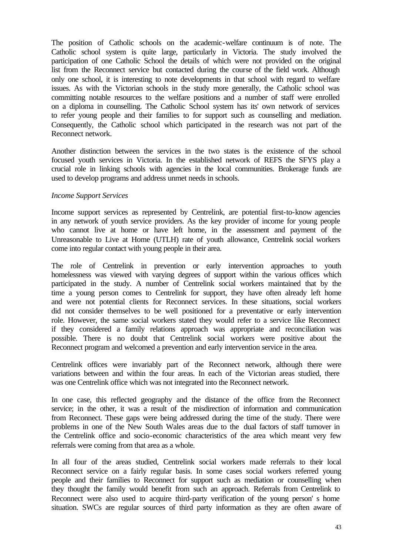The position of Catholic schools on the academic-welfare continuum is of note. The Catholic school system is quite large, particularly in Victoria. The study involved the participation of one Catholic School the details of which were not provided on the original list from the Reconnect service but contacted during the course of the field work. Although only one school, it is interesting to note developments in that school with regard to welfare issues. As with the Victorian schools in the study more generally, the Catholic school was committing notable resources to the welfare positions and a number of staff were enrolled on a diploma in counselling. The Catholic School system has its' own network of services to refer young people and their families to for support such as counselling and mediation. Consequently, the Catholic school which participated in the research was not part of the Reconnect network.

Another distinction between the services in the two states is the existence of the school focused youth services in Victoria. In the established network of REFS the SFYS play a crucial role in linking schools with agencies in the local communities. Brokerage funds are used to develop programs and address unmet needs in schools.

#### *Income Support Services*

Income support services as represented by Centrelink, are potential first-to-know agencies in any network of youth service providers. As the key provider of income for young people who cannot live at home or have left home, in the assessment and payment of the Unreasonable to Live at Home (UTLH) rate of youth allowance, Centrelink social workers come into regular contact with young people in their area.

The role of Centrelink in prevention or early intervention approaches to youth homelessness was viewed with varying degrees of support within the various offices which participated in the study. A number of Centrelink social workers maintained that by the time a young person comes to Centrelink for support, they have often already left home and were not potential clients for Reconnect services. In these situations, social workers did not consider themselves to be well positioned for a preventative or early intervention role. However, the same social workers stated they would refer to a service like Reconnect if they considered a family relations approach was appropriate and reconciliation was possible. There is no doubt that Centrelink social workers were positive about the Reconnect program and welcomed a prevention and early intervention service in the area.

Centrelink offices were invariably part of the Reconnect network, although there were variations between and within the four areas. In each of the Victorian areas studied, there was one Centrelink office which was not integrated into the Reconnect network.

In one case, this reflected geography and the distance of the office from the Reconnect service; in the other, it was a result of the misdirection of information and communication from Reconnect. These gaps were being addressed during the time of the study. There were problems in one of the New South Wales areas due to the dual factors of staff turnover in the Centrelink office and socio-economic characteristics of the area which meant very few referrals were coming from that area as a whole.

In all four of the areas studied, Centrelink social workers made referrals to their local Reconnect service on a fairly regular basis. In some cases social workers referred young people and their families to Reconnect for support such as mediation or counselling when they thought the family would benefit from such an approach. Referrals from Centrelink to Reconnect were also used to acquire third-party verification of the young person' s home situation. SWCs are regular sources of third party information as they are often aware of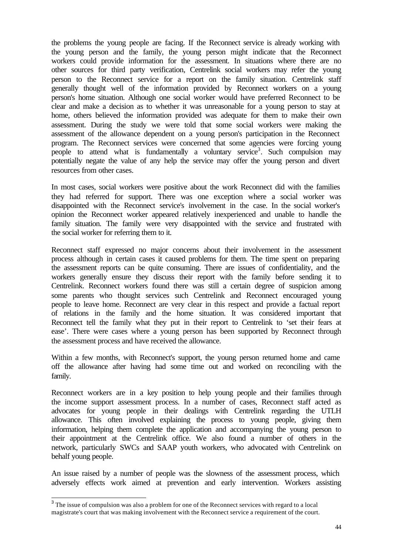the problems the young people are facing. If the Reconnect service is already working with the young person and the family, the young person might indicate that the Reconnect workers could provide information for the assessment. In situations where there are no other sources for third party verification, Centrelink social workers may refer the young person to the Reconnect service for a report on the family situation. Centrelink staff generally thought well of the information provided by Reconnect workers on a young person's home situation. Although one social worker would have preferred Reconnect to be clear and make a decision as to whether it was unreasonable for a young person to stay at home, others believed the information provided was adequate for them to make their own assessment. During the study we were told that some social workers were making the assessment of the allowance dependent on a young person's participation in the Reconnect program. The Reconnect services were concerned that some agencies were forcing young people to attend what is fundamentally a voluntary service<sup>3</sup>. Such compulsion may potentially negate the value of any help the service may offer the young person and divert resources from other cases.

In most cases, social workers were positive about the work Reconnect did with the families they had referred for support. There was one exception where a social worker was disappointed with the Reconnect service's involvement in the case. In the social worker's opinion the Reconnect worker appeared relatively inexperienced and unable to handle the family situation. The family were very disappointed with the service and frustrated with the social worker for referring them to it.

Reconnect staff expressed no major concerns about their involvement in the assessment process although in certain cases it caused problems for them. The time spent on preparing the assessment reports can be quite consuming. There are issues of confidentiality, and the workers generally ensure they discuss their report with the family before sending it to Centrelink. Reconnect workers found there was still a certain degree of suspicion among some parents who thought services such Centrelink and Reconnect encouraged young people to leave home. Reconnect are very clear in this respect and provide a factual report of relations in the family and the home situation. It was considered important that Reconnect tell the family what they put in their report to Centrelink to 'set their fears at ease'. There were cases where a young person has been supported by Reconnect through the assessment process and have received the allowance.

Within a few months, with Reconnect's support, the young person returned home and came off the allowance after having had some time out and worked on reconciling with the family.

Reconnect workers are in a key position to help young people and their families through the income support assessment process. In a number of cases, Reconnect staff acted as advocates for young people in their dealings with Centrelink regarding the UTLH allowance. This often involved explaining the process to young people, giving them information, helping them complete the application and accompanying the young person to their appointment at the Centrelink office. We also found a number of others in the network, particularly SWCs and SAAP youth workers, who advocated with Centrelink on behalf young people.

An issue raised by a number of people was the slowness of the assessment process, which adversely effects work aimed at prevention and early intervention. Workers assisting

<sup>&</sup>lt;sup>3</sup> The issue of compulsion was also a problem for one of the Reconnect services with regard to a local magistrate's court that was making involvement with the Reconnect service a requirement of the court.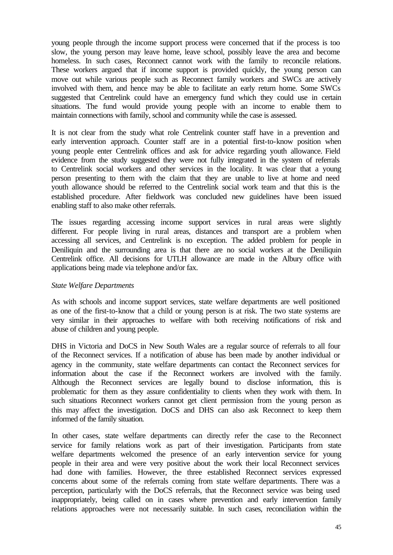young people through the income support process were concerned that if the process is too slow, the young person may leave home, leave school, possibly leave the area and become homeless. In such cases, Reconnect cannot work with the family to reconcile relations. These workers argued that if income support is provided quickly, the young person can move out while various people such as Reconnect family workers and SWCs are actively involved with them, and hence may be able to facilitate an early return home. Some SWCs suggested that Centrelink could have an emergency fund which they could use in certain situations. The fund would provide young people with an income to enable them to maintain connections with family, school and community while the case is assessed.

It is not clear from the study what role Centrelink counter staff have in a prevention and early intervention approach. Counter staff are in a potential first-to-know position when young people enter Centrelink offices and ask for advice regarding youth allowance. Field evidence from the study suggested they were not fully integrated in the system of referrals to Centrelink social workers and other services in the locality. It was clear that a young person presenting to them with the claim that they are unable to live at home and need youth allowance should be referred to the Centrelink social work team and that this is the established procedure. After fieldwork was concluded new guidelines have been issued enabling staff to also make other referrals.

The issues regarding accessing income support services in rural areas were slightly different. For people living in rural areas, distances and transport are a problem when accessing all services, and Centrelink is no exception. The added problem for people in Deniliquin and the surrounding area is that there are no social workers at the Deniliquin Centrelink office. All decisions for UTLH allowance are made in the Albury office with applications being made via telephone and/or fax.

### *State Welfare Departments*

As with schools and income support services, state welfare departments are well positioned as one of the first-to-know that a child or young person is at risk. The two state systems are very similar in their approaches to welfare with both receiving notifications of risk and abuse of children and young people.

DHS in Victoria and DoCS in New South Wales are a regular source of referrals to all four of the Reconnect services. If a notification of abuse has been made by another individual or agency in the community, state welfare departments can contact the Reconnect services for information about the case if the Reconnect workers are involved with the family. Although the Reconnect services are legally bound to disclose information, this is problematic for them as they assure confidentiality to clients when they work with them. In such situations Reconnect workers cannot get client permission from the young person as this may affect the investigation. DoCS and DHS can also ask Reconnect to keep them informed of the family situation.

In other cases, state welfare departments can directly refer the case to the Reconnect service for family relations work as part of their investigation. Participants from state welfare departments welcomed the presence of an early intervention service for young people in their area and were very positive about the work their local Reconnect services had done with families. However, the three established Reconnect services expressed concerns about some of the referrals coming from state welfare departments. There was a perception, particularly with the DoCS referrals, that the Reconnect service was being used inappropriately, being called on in cases where prevention and early intervention family relations approaches were not necessarily suitable. In such cases, reconciliation within the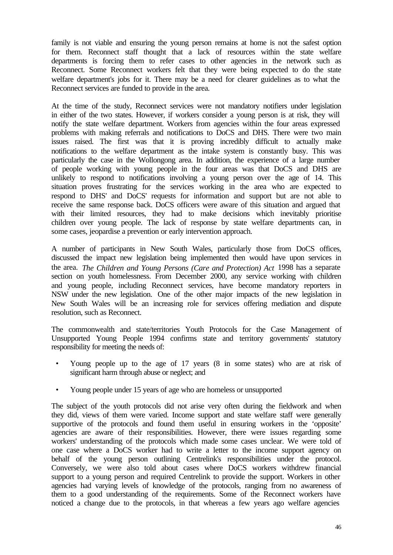family is not viable and ensuring the young person remains at home is not the safest option for them. Reconnect staff thought that a lack of resources within the state welfare departments is forcing them to refer cases to other agencies in the network such as Reconnect. Some Reconnect workers felt that they were being expected to do the state welfare department's jobs for it. There may be a need for clearer guidelines as to what the Reconnect services are funded to provide in the area.

At the time of the study, Reconnect services were not mandatory notifiers under legislation in either of the two states. However, if workers consider a young person is at risk, they will notify the state welfare department. Workers from agencies within the four areas expressed problems with making referrals and notifications to DoCS and DHS. There were two main issues raised. The first was that it is proving incredibly difficult to actually make notifications to the welfare department as the intake system is constantly busy. This was particularly the case in the Wollongong area. In addition, the experience of a large number of people working with young people in the four areas was that DoCS and DHS are unlikely to respond to notifications involving a young person over the age of 14. This situation proves frustrating for the services working in the area who are expected to respond to DHS' and DoCS' requests for information and support but are not able to receive the same response back. DoCS officers were aware of this situation and argued that with their limited resources, they had to make decisions which inevitably prioritise children over young people. The lack of response by state welfare departments can, in some cases, jeopardise a prevention or early intervention approach.

A number of participants in New South Wales, particularly those from DoCS offices, discussed the impact new legislation being implemented then would have upon services in the area. *The Children and Young Persons (Care and Protection) Act* 1998 has a separate section on youth homelessness. From December 2000, any service working with children and young people, including Reconnect services, have become mandatory reporters in NSW under the new legislation. One of the other major impacts of the new legislation in New South Wales will be an increasing role for services offering mediation and dispute resolution, such as Reconnect.

The commonwealth and state/territories Youth Protocols for the Case Management of Unsupported Young People 1994 confirms state and territory governments' statutory responsibility for meeting the needs of:

- Young people up to the age of 17 years (8 in some states) who are at risk of significant harm through abuse or neglect; and
- Young people under 15 years of age who are homeless or unsupported

The subject of the youth protocols did not arise very often during the fieldwork and when they did, views of them were varied. Income support and state welfare staff were generally supportive of the protocols and found them useful in ensuring workers in the 'opposite' agencies are aware of their responsibilities. However, there were issues regarding some workers' understanding of the protocols which made some cases unclear. We were told of one case where a DoCS worker had to write a letter to the income support agency on behalf of the young person outlining Centrelink's responsibilities under the protocol. Conversely, we were also told about cases where DoCS workers withdrew financial support to a young person and required Centrelink to provide the support. Workers in other agencies had varying levels of knowledge of the protocols, ranging from no awareness of them to a good understanding of the requirements. Some of the Reconnect workers have noticed a change due to the protocols, in that whereas a few years ago welfare agencies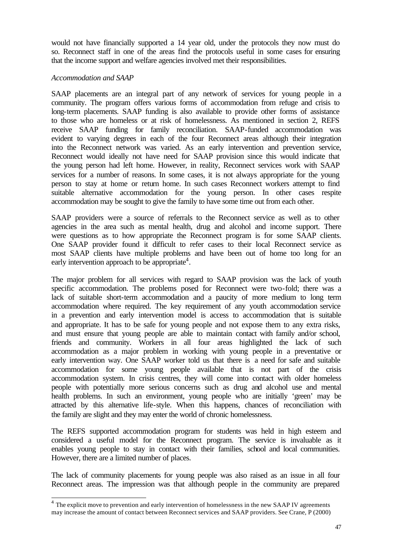would not have financially supported a 14 year old, under the protocols they now must do so. Reconnect staff in one of the areas find the protocols useful in some cases for ensuring that the income support and welfare agencies involved met their responsibilities.

#### *Accommodation and SAAP*

SAAP placements are an integral part of any network of services for young people in a community. The program offers various forms of accommodation from refuge and crisis to long-term placements. SAAP funding is also available to provide other forms of assistance to those who are homeless or at risk of homelessness. As mentioned in section 2, REFS receive SAAP funding for family reconciliation. SAAP-funded accommodation was evident to varying degrees in each of the four Reconnect areas although their integration into the Reconnect network was varied. As an early intervention and prevention service, Reconnect would ideally not have need for SAAP provision since this would indicate that the young person had left home. However, in reality, Reconnect services work with SAAP services for a number of reasons. In some cases, it is not always appropriate for the young person to stay at home or return home. In such cases Reconnect workers attempt to find suitable alternative accommodation for the young person. In other cases respite accommodation may be sought to give the family to have some time out from each other.

SAAP providers were a source of referrals to the Reconnect service as well as to other agencies in the area such as mental health, drug and alcohol and income support. There were questions as to how appropriate the Reconnect program is for some SAAP clients. One SAAP provider found it difficult to refer cases to their local Reconnect service as most SAAP clients have multiple problems and have been out of home too long for an early intervention approach to be appropriate<sup>4</sup>.

The major problem for all services with regard to SAAP provision was the lack of youth specific accommodation. The problems posed for Reconnect were two-fold; there was a lack of suitable short-term accommodation and a paucity of more medium to long term accommodation where required. The key requirement of any youth accommodation service in a prevention and early intervention model is access to accommodation that is suitable and appropriate. It has to be safe for young people and not expose them to any extra risks, and must ensure that young people are able to maintain contact with family and/or school, friends and community. Workers in all four areas highlighted the lack of such accommodation as a major problem in working with young people in a preventative or early intervention way. One SAAP worker told us that there is a need for safe and suitable accommodation for some young people available that is not part of the crisis accommodation system. In crisis centres, they will come into contact with older homeless people with potentially more serious concerns such as drug and alcohol use and mental health problems. In such an environment, young people who are initially 'green' may be attracted by this alternative life-style. When this happens, chances of reconciliation with the family are slight and they may enter the world of chronic homelessness.

The REFS supported accommodation program for students was held in high esteem and considered a useful model for the Reconnect program. The service is invaluable as it enables young people to stay in contact with their families, school and local communities. However, there are a limited number of places.

The lack of community placements for young people was also raised as an issue in all four Reconnect areas. The impression was that although people in the community are prepared

<sup>&</sup>lt;sup>4</sup> The explicit move to prevention and early intervention of homelessness in the new SAAP IV agreements may increase the amount of contact between Reconnect services and SAAP providers. See Crane, P (2000)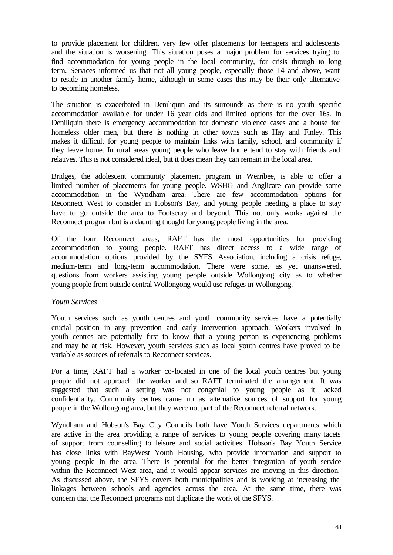to provide placement for children, very few offer placements for teenagers and adolescents and the situation is worsening. This situation poses a major problem for services trying to find accommodation for young people in the local community, for crisis through to long term. Services informed us that not all young people, especially those 14 and above, want to reside in another family home, although in some cases this may be their only alternative to becoming homeless.

The situation is exacerbated in Deniliquin and its surrounds as there is no youth specific accommodation available for under 16 year olds and limited options for the over 16s. In Deniliquin there is emergency accommodation for domestic violence cases and a house for homeless older men, but there is nothing in other towns such as Hay and Finley. This makes it difficult for young people to maintain links with family, school, and community if they leave home. In rural areas young people who leave home tend to stay with friends and relatives. This is not considered ideal, but it does mean they can remain in the local area.

Bridges, the adolescent community placement program in Werribee, is able to offer a limited number of placements for young people. WSHG and Anglicare can provide some accommodation in the Wyndham area. There are few accommodation options for Reconnect West to consider in Hobson's Bay, and young people needing a place to stay have to go outside the area to Footscray and beyond. This not only works against the Reconnect program but is a daunting thought for young people living in the area.

Of the four Reconnect areas, RAFT has the most opportunities for providing accommodation to young people. RAFT has direct access to a wide range of accommodation options provided by the SYFS Association, including a crisis refuge, medium-term and long-term accommodation. There were some, as yet unanswered, questions from workers assisting young people outside Wollongong city as to whether young people from outside central Wollongong would use refuges in Wollongong.

### *Youth Services*

Youth services such as youth centres and youth community services have a potentially crucial position in any prevention and early intervention approach. Workers involved in youth centres are potentially first to know that a young person is experiencing problems and may be at risk. However, youth services such as local youth centres have proved to be variable as sources of referrals to Reconnect services.

For a time, RAFT had a worker co-located in one of the local youth centres but young people did not approach the worker and so RAFT terminated the arrangement. It was suggested that such a setting was not congenial to young people as it lacked confidentiality. Community centres came up as alternative sources of support for young people in the Wollongong area, but they were not part of the Reconnect referral network.

Wyndham and Hobson's Bay City Councils both have Youth Services departments which are active in the area providing a range of services to young people covering many facets of support from counselling to leisure and social activities. Hobson's Bay Youth Service has close links with BayWest Youth Housing, who provide information and support to young people in the area. There is potential for the better integration of youth service within the Reconnect West area, and it would appear services are moving in this direction. As discussed above, the SFYS covers both municipalities and is working at increasing the linkages between schools and agencies across the area. At the same time, there was concern that the Reconnect programs not duplicate the work of the SFYS.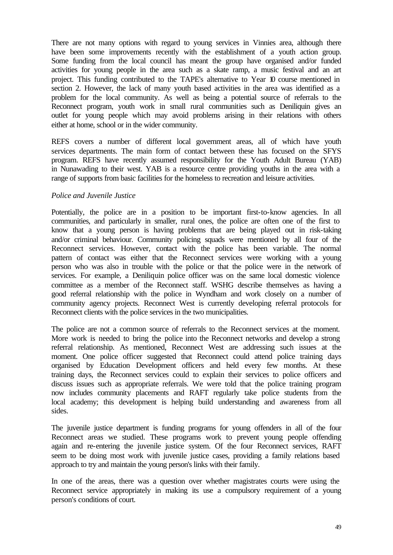There are not many options with regard to young services in Vinnies area, although there have been some improvements recently with the establishment of a youth action group. Some funding from the local council has meant the group have organised and/or funded activities for young people in the area such as a skate ramp, a music festival and an art project. This funding contributed to the TAPE's alternative to Year 10 course mentioned in section 2. However, the lack of many youth based activities in the area was identified as a problem for the local community. As well as being a potential source of referrals to the Reconnect program, youth work in small rural communities such as Deniliquin gives an outlet for young people which may avoid problems arising in their relations with others either at home, school or in the wider community.

REFS covers a number of different local government areas, all of which have youth services departments. The main form of contact between these has focused on the SFYS program. REFS have recently assumed responsibility for the Youth Adult Bureau (YAB) in Nunawading to their west. YAB is a resource centre providing youths in the area with a range of supports from basic facilities for the homeless to recreation and leisure activities.

### *Police and Juvenile Justice*

Potentially, the police are in a position to be important first-to-know agencies. In all communities, and particularly in smaller, rural ones, the police are often one of the first to know that a young person is having problems that are being played out in risk-taking and/or criminal behaviour. Community policing squads were mentioned by all four of the Reconnect services. However, contact with the police has been variable. The normal pattern of contact was either that the Reconnect services were working with a young person who was also in trouble with the police or that the police were in the network of services. For example, a Deniliquin police officer was on the same local domestic violence committee as a member of the Reconnect staff. WSHG describe themselves as having a good referral relationship with the police in Wyndham and work closely on a number of community agency projects. Reconnect West is currently developing referral protocols for Reconnect clients with the police services in the two municipalities.

The police are not a common source of referrals to the Reconnect services at the moment. More work is needed to bring the police into the Reconnect networks and develop a strong referral relationship. As mentioned, Reconnect West are addressing such issues at the moment. One police officer suggested that Reconnect could attend police training days organised by Education Development officers and held every few months. At these training days, the Reconnect services could to explain their services to police officers and discuss issues such as appropriate referrals. We were told that the police training program now includes community placements and RAFT regularly take police students from the local academy; this development is helping build understanding and awareness from all sides.

The juvenile justice department is funding programs for young offenders in all of the four Reconnect areas we studied. These programs work to prevent young people offending again and re-entering the juvenile justice system. Of the four Reconnect services, RAFT seem to be doing most work with juvenile justice cases, providing a family relations based approach to try and maintain the young person's links with their family.

In one of the areas, there was a question over whether magistrates courts were using the Reconnect service appropriately in making its use a compulsory requirement of a young person's conditions of court.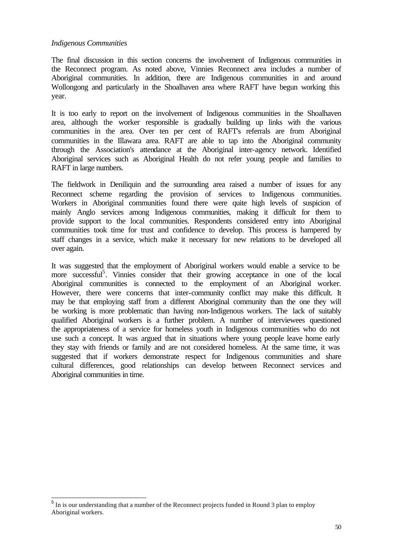### *Indigenous Communities*

The final discussion in this section concerns the involvement of Indigenous communities in the Reconnect program. As noted above, Vinnies Reconnect area includes a number of Aboriginal communities. In addition, there are Indigenous communities in and around Wollongong and particularly in the Shoalhaven area where RAFT have begun working this year.

It is too early to report on the involvement of Indigenous communities in the Shoalhaven area, although the worker responsible is gradually building up links with the various communities in the area. Over ten per cent of RAFT's referrals are from Aboriginal communities in the Illawara area. RAFT are able to tap into the Aboriginal community through the Association's attendance at the Aboriginal inter-agency network. Identified Aboriginal services such as Aboriginal Health do not refer young people and families to RAFT in large numbers.

The fieldwork in Deniliquin and the surrounding area raised a number of issues for any Reconnect scheme regarding the provision of services to Indigenous communities. Workers in Aboriginal communities found there were quite high levels of suspicion of mainly Anglo services among Indigenous communities, making it difficult for them to provide support to the local communities. Respondents considered entry into Aboriginal communities took time for trust and confidence to develop. This process is hampered by staff changes in a service, which make it necessary for new relations to be developed all over again.

It was suggested that the employment of Aboriginal workers would enable a service to be more successful<sup>5</sup>. Vinnies consider that their growing acceptance in one of the local Aboriginal communities is connected to the employment of an Aboriginal worker. However, there were concerns that inter-community conflict may make this difficult. It may be that employing staff from a different Aboriginal community than the one they will be working is more problematic than having non-Indigenous workers. The lack of suitably qualified Aboriginal workers is a further problem. A number of interviewees questioned the appropriateness of a service for homeless youth in Indigenous communities who do not use such a concept. It was argued that in situations where young people leave home early they stay with friends or family and are not considered homeless. At the same time, it was suggested that if workers demonstrate respect for Indigenous communities and share cultural differences, good relationships can develop between Reconnect services and Aboriginal communities in time.

<sup>&</sup>lt;sup>5</sup> In is our understanding that a number of the Reconnect projects funded in Round 3 plan to employ Aboriginal workers.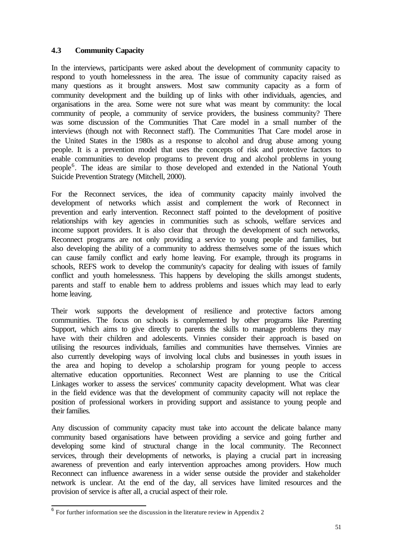# **4.3 Community Capacity**

In the interviews, participants were asked about the development of community capacity to respond to youth homelessness in the area. The issue of community capacity raised as many questions as it brought answers. Most saw community capacity as a form of community development and the building up of links with other individuals, agencies, and organisations in the area. Some were not sure what was meant by community: the local community of people, a community of service providers, the business community? There was some discussion of the Communities That Care model in a small number of the interviews (though not with Reconnect staff). The Communities That Care model arose in the United States in the 1980s as a response to alcohol and drug abuse among young people. It is a prevention model that uses the concepts of risk and protective factors to enable communities to develop programs to prevent drug and alcohol problems in young people<sup>6</sup>. The ideas are similar to those developed and extended in the National Youth Suicide Prevention Strategy (Mitchell, 2000).

For the Reconnect services, the idea of community capacity mainly involved the development of networks which assist and complement the work of Reconnect in prevention and early intervention. Reconnect staff pointed to the development of positive relationships with key agencies in communities such as schools, welfare services and income support providers. It is also clear that through the development of such networks, Reconnect programs are not only providing a service to young people and families, but also developing the ability of a community to address themselves some of the issues which can cause family conflict and early home leaving. For example, through its programs in schools, REFS work to develop the community's capacity for dealing with issues of family conflict and youth homelessness. This happens by developing the skills amongst students, parents and staff to enable them to address problems and issues which may lead to early home leaving.

Their work supports the development of resilience and protective factors among communities. The focus on schools is complemented by other programs like Parenting Support, which aims to give directly to parents the skills to manage problems they may have with their children and adolescents. Vinnies consider their approach is based on utilising the resources individuals, families and communities have themselves. Vinnies are also currently developing ways of involving local clubs and businesses in youth issues in the area and hoping to develop a scholarship program for young people to access alternative education opportunities. Reconnect West are planning to use the Critical Linkages worker to assess the services' community capacity development. What was clear in the field evidence was that the development of community capacity will not replace the position of professional workers in providing support and assistance to young people and their families.

Any discussion of community capacity must take into account the delicate balance many community based organisations have between providing a service and going further and developing some kind of structural change in the local community. The Reconnect services, through their developments of networks, is playing a crucial part in increasing awareness of prevention and early intervention approaches among providers. How much Reconnect can influence awareness in a wider sense outside the provider and stakeholder network is unclear. At the end of the day, all services have limited resources and the provision of service is after all, a crucial aspect of their role.

<sup>&</sup>lt;sup>6</sup> For further information see the discussion in the literature review in Appendix 2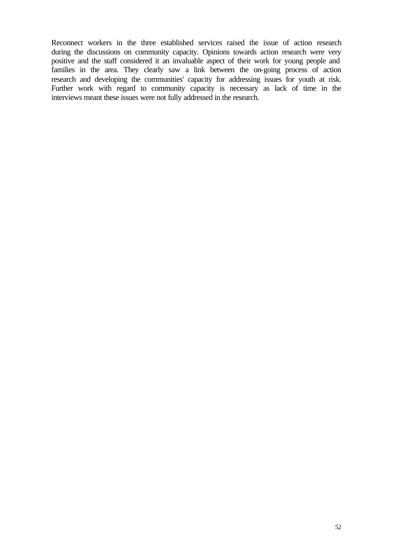Reconnect workers in the three established services raised the issue of action research during the discussions on community capacity. Opinions towards action research were very positive and the staff considered it an invaluable aspect of their work for young people and families in the area. They clearly saw a link between the on-going process of action research and developing the communities' capacity for addressing issues for youth at risk. Further work with regard to community capacity is necessary as lack of time in the interviews meant these issues were not fully addressed in the research.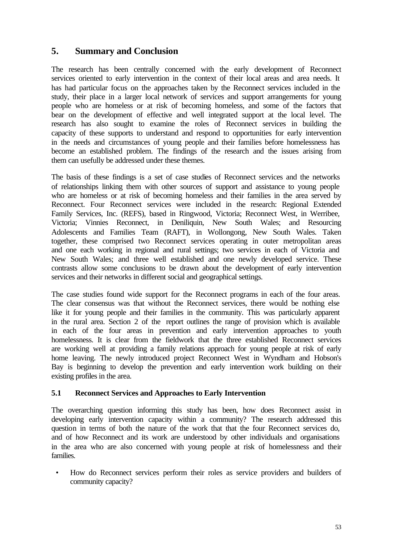# **5. Summary and Conclusion**

The research has been centrally concerned with the early development of Reconnect services oriented to early intervention in the context of their local areas and area needs. It has had particular focus on the approaches taken by the Reconnect services included in the study, their place in a larger local network of services and support arrangements for young people who are homeless or at risk of becoming homeless, and some of the factors that bear on the development of effective and well integrated support at the local level. The research has also sought to examine the roles of Reconnect services in building the capacity of these supports to understand and respond to opportunities for early intervention in the needs and circumstances of young people and their families before homelessness has become an established problem. The findings of the research and the issues arising from them can usefully be addressed under these themes.

The basis of these findings is a set of case studies of Reconnect services and the networks of relationships linking them with other sources of support and assistance to young people who are homeless or at risk of becoming homeless and their families in the area served by Reconnect. Four Reconnect services were included in the research: Regional Extended Family Services, Inc. (REFS), based in Ringwood, Victoria; Reconnect West, in Werribee, Victoria; Vinnies Reconnect, in Deniliquin, New South Wales; and Resourcing Adolescents and Families Team (RAFT), in Wollongong, New South Wales. Taken together, these comprised two Reconnect services operating in outer metropolitan areas and one each working in regional and rural settings; two services in each of Victoria and New South Wales; and three well established and one newly developed service. These contrasts allow some conclusions to be drawn about the development of early intervention services and their networks in different social and geographical settings.

The case studies found wide support for the Reconnect programs in each of the four areas. The clear consensus was that without the Reconnect services, there would be nothing else like it for young people and their families in the community. This was particularly apparent in the rural area. Section 2 of the report outlines the range of provision which is available in each of the four areas in prevention and early intervention approaches to youth homelessness. It is clear from the fieldwork that the three established Reconnect services are working well at providing a family relations approach for young people at risk of early home leaving. The newly introduced project Reconnect West in Wyndham and Hobson's Bay is beginning to develop the prevention and early intervention work building on their existing profiles in the area.

## **5.1 Reconnect Services and Approaches to Early Intervention**

The overarching question informing this study has been, how does Reconnect assist in developing early intervention capacity within a community? The research addressed this question in terms of both the nature of the work that that the four Reconnect services do, and of how Reconnect and its work are understood by other individuals and organisations in the area who are also concerned with young people at risk of homelessness and their families.

• How do Reconnect services perform their roles as service providers and builders of community capacity?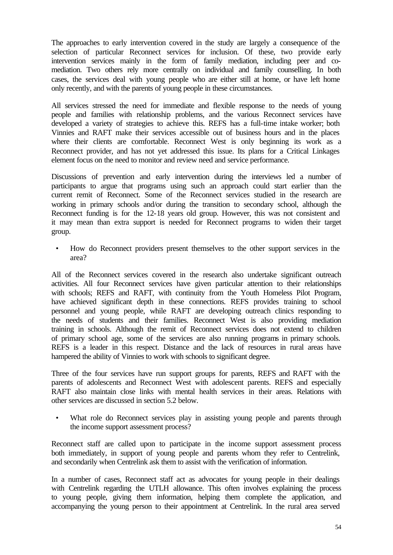The approaches to early intervention covered in the study are largely a consequence of the selection of particular Reconnect services for inclusion. Of these, two provide early intervention services mainly in the form of family mediation, including peer and comediation. Two others rely more centrally on individual and family counselling. In both cases, the services deal with young people who are either still at home, or have left home only recently, and with the parents of young people in these circumstances.

All services stressed the need for immediate and flexible response to the needs of young people and families with relationship problems, and the various Reconnect services have developed a variety of strategies to achieve this. REFS has a full-time intake worker; both Vinnies and RAFT make their services accessible out of business hours and in the places where their clients are comfortable. Reconnect West is only beginning its work as a Reconnect provider, and has not yet addressed this issue. Its plans for a Critical Linkages element focus on the need to monitor and review need and service performance.

Discussions of prevention and early intervention during the interviews led a number of participants to argue that programs using such an approach could start earlier than the current remit of Reconnect. Some of the Reconnect services studied in the research are working in primary schools and/or during the transition to secondary school, although the Reconnect funding is for the 12-18 years old group. However, this was not consistent and it may mean than extra support is needed for Reconnect programs to widen their target group.

• How do Reconnect providers present themselves to the other support services in the area?

All of the Reconnect services covered in the research also undertake significant outreach activities. All four Reconnect services have given particular attention to their relationships with schools; REFS and RAFT, with continuity from the Youth Homeless Pilot Program, have achieved significant depth in these connections. REFS provides training to school personnel and young people, while RAFT are developing outreach clinics responding to the needs of students and their families. Reconnect West is also providing mediation training in schools. Although the remit of Reconnect services does not extend to children of primary school age, some of the services are also running programs in primary schools. REFS is a leader in this respect. Distance and the lack of resources in rural areas have hampered the ability of Vinnies to work with schools to significant degree.

Three of the four services have run support groups for parents, REFS and RAFT with the parents of adolescents and Reconnect West with adolescent parents. REFS and especially RAFT also maintain close links with mental health services in their areas. Relations with other services are discussed in section 5.2 below.

What role do Reconnect services play in assisting young people and parents through the income support assessment process?

Reconnect staff are called upon to participate in the income support assessment process both immediately, in support of young people and parents whom they refer to Centrelink, and secondarily when Centrelink ask them to assist with the verification of information.

In a number of cases, Reconnect staff act as advocates for young people in their dealings with Centrelink regarding the UTLH allowance. This often involves explaining the process to young people, giving them information, helping them complete the application, and accompanying the young person to their appointment at Centrelink. In the rural area served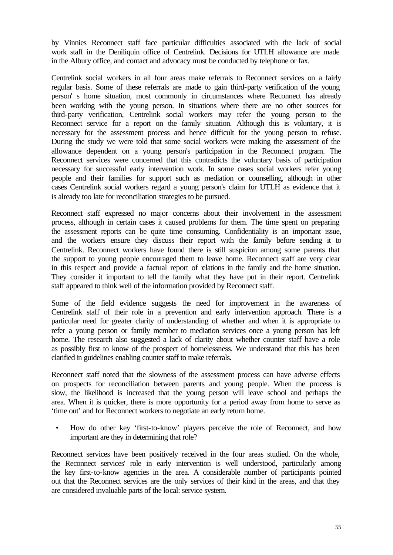by Vinnies Reconnect staff face particular difficulties associated with the lack of social work staff in the Deniliquin office of Centrelink. Decisions for UTLH allowance are made in the Albury office, and contact and advocacy must be conducted by telephone or fax.

Centrelink social workers in all four areas make referrals to Reconnect services on a fairly regular basis. Some of these referrals are made to gain third-party verification of the young person' s home situation, most commonly in circumstances where Reconnect has already been working with the young person. In situations where there are no other sources for third-party verification, Centrelink social workers may refer the young person to the Reconnect service for a report on the family situation. Although this is voluntary, it is necessary for the assessment process and hence difficult for the young person to refuse. During the study we were told that some social workers were making the assessment of the allowance dependent on a young person's participation in the Reconnect program. The Reconnect services were concerned that this contradicts the voluntary basis of participation necessary for successful early intervention work. In some cases social workers refer young people and their families for support such as mediation or counselling, although in other cases Centrelink social workers regard a young person's claim for UTLH as evidence that it is already too late for reconciliation strategies to be pursued.

Reconnect staff expressed no major concerns about their involvement in the assessment process, although in certain cases it caused problems for them. The time spent on preparing the assessment reports can be quite time consuming. Confidentiality is an important issue, and the workers ensure they discuss their report with the family before sending it to Centrelink. Reconnect workers have found there is still suspicion among some parents that the support to young people encouraged them to leave home. Reconnect staff are very clear in this respect and provide a factual report of relations in the family and the home situation. They consider it important to tell the family what they have put in their report. Centrelink staff appeared to think well of the information provided by Reconnect staff.

Some of the field evidence suggests the need for improvement in the awareness of Centrelink staff of their role in a prevention and early intervention approach. There is a particular need for greater clarity of understanding of whether and when it is appropriate to refer a young person or family member to mediation services once a young person has left home. The research also suggested a lack of clarity about whether counter staff have a role as possibly first to know of the prospect of homelessness. We understand that this has been clarified in guidelines enabling counter staff to make referrals.

Reconnect staff noted that the slowness of the assessment process can have adverse effects on prospects for reconciliation between parents and young people. When the process is slow, the likelihood is increased that the young person will leave school and perhaps the area. When it is quicker, there is more opportunity for a period away from home to serve as 'time out' and for Reconnect workers to negotiate an early return home.

• How do other key 'first-to-know' players perceive the role of Reconnect, and how important are they in determining that role?

Reconnect services have been positively received in the four areas studied. On the whole, the Reconnect services' role in early intervention is well understood, particularly among the key first-to-know agencies in the area. A considerable number of participants pointed out that the Reconnect services are the only services of their kind in the areas, and that they are considered invaluable parts of the local: service system.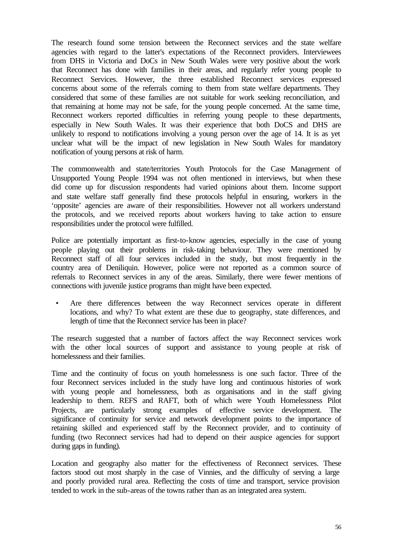The research found some tension between the Reconnect services and the state welfare agencies with regard to the latter's expectations of the Reconnect providers. Interviewees from DHS in Victoria and DoCs in New South Wales were very positive about the work that Reconnect has done with families in their areas, and regularly refer young people to Reconnect Services. However, the three established Reconnect services expressed concerns about some of the referrals coming to them from state welfare departments. They considered that some of these families are not suitable for work seeking reconciliation, and that remaining at home may not be safe, for the young people concerned. At the same time, Reconnect workers reported difficulties in referring young people to these departments, especially in New South Wales. It was their experience that both DoCS and DHS are unlikely to respond to notifications involving a young person over the age of 14. It is as yet unclear what will be the impact of new legislation in New South Wales for mandatory notification of young persons at risk of harm.

The commonwealth and state/territories Youth Protocols for the Case Management of Unsupported Young People 1994 was not often mentioned in interviews, but when these did come up for discussion respondents had varied opinions about them. Income support and state welfare staff generally find these protocols helpful in ensuring, workers in the 'opposite' agencies are aware of their responsibilities. However not all workers understand the protocols, and we received reports about workers having to take action to ensure responsibilities under the protocol were fulfilled.

Police are potentially important as first-to-know agencies, especially in the case of young people playing out their problems in risk-taking behaviour. They were mentioned by Reconnect staff of all four services included in the study, but most frequently in the country area of Deniliquin. However, police were not reported as a common source of referrals to Reconnect services in any of the areas. Similarly, there were fewer mentions of connections with juvenile justice programs than might have been expected.

• Are there differences between the way Reconnect services operate in different locations, and why? To what extent are these due to geography, state differences, and length of time that the Reconnect service has been in place?

The research suggested that a number of factors affect the way Reconnect services work with the other local sources of support and assistance to young people at risk of homelessness and their families.

Time and the continuity of focus on youth homelessness is one such factor. Three of the four Reconnect services included in the study have long and continuous histories of work with young people and homelessness, both as organisations and in the staff giving leadership to them. REFS and RAFT, both of which were Youth Homelessness Pilot Projects, are particularly strong examples of effective service development. The significance of continuity for service and network development points to the importance of retaining skilled and experienced staff by the Reconnect provider, and to continuity of funding (two Reconnect services had had to depend on their auspice agencies for support during gaps in funding).

Location and geography also matter for the effectiveness of Reconnect services. These factors stood out most sharply in the case of Vinnies, and the difficulty of serving a large and poorly provided rural area. Reflecting the costs of time and transport, service provision tended to work in the sub-areas of the towns rather than as an integrated area system.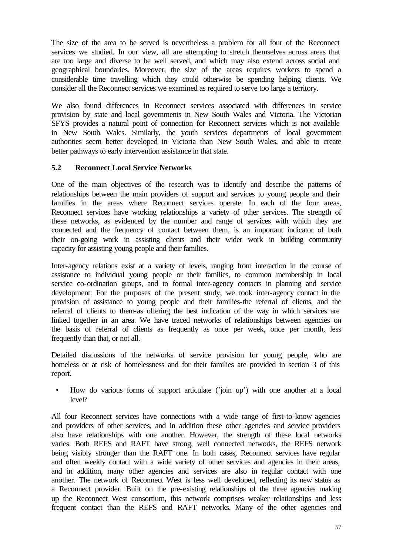The size of the area to be served is nevertheless a problem for all four of the Reconnect services we studied. In our view, all are attempting to stretch themselves across areas that are too large and diverse to be well served, and which may also extend across social and geographical boundaries. Moreover, the size of the areas requires workers to spend a considerable time travelling which they could otherwise be spending helping clients. We consider all the Reconnect services we examined as required to serve too large a territory.

We also found differences in Reconnect services associated with differences in service provision by state and local governments in New South Wales and Victoria. The Victorian SFYS provides a natural point of connection for Reconnect services which is not available in New South Wales. Similarly, the youth services departments of local government authorities seem better developed in Victoria than New South Wales, and able to create better pathways to early intervention assistance in that state.

## **5.2 Reconnect Local Service Networks**

One of the main objectives of the research was to identify and describe the patterns of relationships between the main providers of support and services to young people and their families in the areas where Reconnect services operate. In each of the four areas, Reconnect services have working relationships a variety of other services. The strength of these networks, as evidenced by the number and range of services with which they are connected and the frequency of contact between them, is an important indicator of both their on-going work in assisting clients and their wider work in building community capacity for assisting young people and their families.

Inter-agency relations exist at a variety of levels, ranging from interaction in the course of assistance to individual young people or their families, to common membership in local service co-ordination groups, and to formal inter-agency contacts in planning and service development. For the purposes of the present study, we took inter-agency contact in the provision of assistance to young people and their families-the referral of clients, and the referral of clients to them-as offering the best indication of the way in which services are linked together in an area. We have traced networks of relationships between agencies on the basis of referral of clients as frequently as once per week, once per month, less frequently than that, or not all.

Detailed discussions of the networks of service provision for young people, who are homeless or at risk of homelessness and for their families are provided in section 3 of this report.

• How do various forms of support articulate ('join up') with one another at a local level?

All four Reconnect services have connections with a wide range of first-to-know agencies and providers of other services, and in addition these other agencies and service providers also have relationships with one another. However, the strength of these local networks varies. Both REFS and RAFT have strong, well connected networks, the REFS network being visibly stronger than the RAFT one. In both cases, Reconnect services have regular and often weekly contact with a wide variety of other services and agencies in their areas, and in addition, many other agencies and services are also in regular contact with one another. The network of Reconnect West is less well developed, reflecting its new status as a Reconnect provider. Built on the pre-existing relationships of the three agencies making up the Reconnect West consortium, this network comprises weaker relationships and less frequent contact than the REFS and RAFT networks. Many of the other agencies and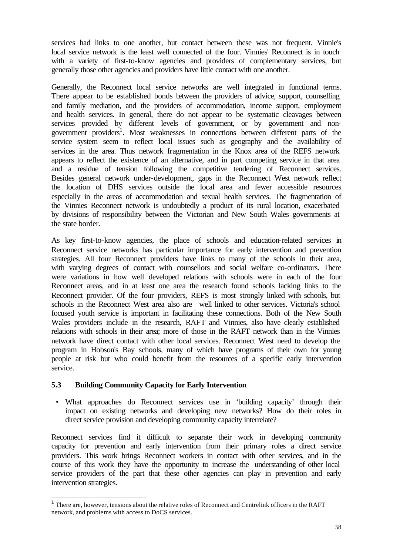services had links to one another, but contact between these was not frequent. Vinnie's local service network is the least well connected of the four. Vinnies' Reconnect is in touch with a variety of first-to-know agencies and providers of complementary services, but generally those other agencies and providers have little contact with one another.

Generally, the Reconnect local service networks are well integrated in functional terms. There appear to be established bonds between the providers of advice, support, counselling and family mediation, and the providers of accommodation, income support, employment and health services. In general, there do not appear to be systematic cleavages between services provided by different levels of government, or by government and nongovernment providers<sup>1</sup>. Most weaknesses in connections between different parts of the service system seem to reflect local issues such as geography and the availability of services in the area. Thus network fragmentation in the Knox area of the REFS network appears to reflect the existence of an alternative, and in part competing service in that area and a residue of tension following the competitive tendering of Reconnect services. Besides general network under-development, gaps in the Reconnect West network reflect the location of DHS services outside the local area and fewer accessible resources especially in the areas of accommodation and sexual health services. The fragmentation of the Vinnies Reconnect network is undoubtedly a product of its rural location, exacerbated by divisions of responsibility between the Victorian and New South Wales governments at the state border.

As key first-to-know agencies, the place of schools and education-related services in Reconnect service networks has particular importance for early intervention and prevention strategies. All four Reconnect providers have links to many of the schools in their area, with varying degrees of contact with counsellors and social welfare co-ordinators. There were variations in how well developed relations with schools were in each of the four Reconnect areas, and in at least one area the research found schools lacking links to the Reconnect provider. Of the four providers, REFS is most strongly linked with schools, but schools in the Reconnect West area also are well linked to other services. Victoria's school focused youth service is important in facilitating these connections. Both of the New South Wales providers include in the research, RAFT and Vinnies, also have clearly established relations with schools in their area; more of those in the RAFT network than in the Vinnies network have direct contact with other local services. Reconnect West need to develop the program in Hobson's Bay schools, many of which have programs of their own for young people at risk but who could benefit from the resources of a specific early intervention service.

## **5.3 Building Community Capacity for Early Intervention**

• What approaches do Reconnect services use in 'building capacity' through their impact on existing networks and developing new networks? How do their roles in direct service provision and developing community capacity interrelate?

Reconnect services find it difficult to separate their work in developing community capacity for prevention and early intervention from their primary roles a direct service providers. This work brings Reconnect workers in contact with other services, and in the course of this work they have the opportunity to increase the understanding of other local service providers of the part that these other agencies can play in prevention and early intervention strategies.

<sup>&</sup>lt;sup>1</sup> There are, however, tensions about the relative roles of Reconnect and Centrelink officers in the RAFT network, and problems with access to DoCS services.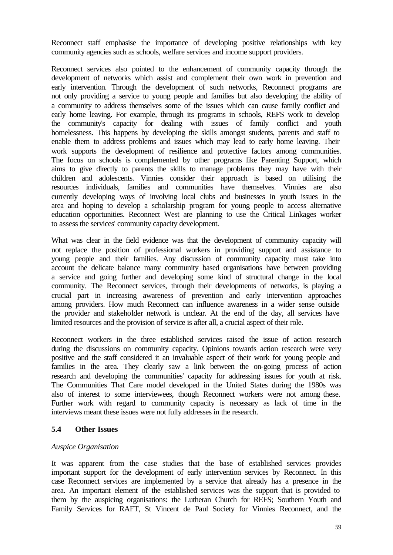Reconnect staff emphasise the importance of developing positive relationships with key community agencies such as schools, welfare services and income support providers.

Reconnect services also pointed to the enhancement of community capacity through the development of networks which assist and complement their own work in prevention and early intervention. Through the development of such networks, Reconnect programs are not only providing a service to young people and families but also developing the ability of a community to address themselves some of the issues which can cause family conflict and early home leaving. For example, through its programs in schools, REFS work to develop the community's capacity for dealing with issues of family conflict and youth homelessness. This happens by developing the skills amongst students, parents and staff to enable them to address problems and issues which may lead to early home leaving. Their work supports the development of resilience and protective factors among communities. The focus on schools is complemented by other programs like Parenting Support, which aims to give directly to parents the skills to manage problems they may have with their children and adolescents. Vinnies consider their approach is based on utilising the resources individuals, families and communities have themselves. Vinnies are also currently developing ways of involving local clubs and businesses in youth issues in the area and hoping to develop a scholarship program for young people to access alternative education opportunities. Reconnect West are planning to use the Critical Linkages worker to assess the services' community capacity development.

What was clear in the field evidence was that the development of community capacity will not replace the position of professional workers in providing support and assistance to young people and their families. Any discussion of community capacity must take into account the delicate balance many community based organisations have between providing a service and going further and developing some kind of structural change in the local community. The Reconnect services, through their developments of networks, is playing a crucial part in increasing awareness of prevention and early intervention approaches among providers. How much Reconnect can influence awareness in a wider sense outside the provider and stakeholder network is unclear. At the end of the day, all services have limited resources and the provision of service is after all, a crucial aspect of their role.

Reconnect workers in the three established services raised the issue of action research during the discussions on community capacity. Opinions towards action research were very positive and the staff considered it an invaluable aspect of their work for young people and families in the area. They clearly saw a link between the on-going process of action research and developing the communities' capacity for addressing issues for youth at risk. The Communities That Care model developed in the United States during the 1980s was also of interest to some interviewees, though Reconnect workers were not among these. Further work with regard to community capacity is necessary as lack of time in the interviews meant these issues were not fully addresses in the research.

## **5.4 Other Issues**

## *Auspice Organisation*

It was apparent from the case studies that the base of established services provides important support for the development of early intervention services by Reconnect. In this case Reconnect services are implemented by a service that already has a presence in the area. An important element of the established services was the support that is provided to them by the auspicing organisations: the Lutheran Church for REFS; Southern Youth and Family Services for RAFT, St Vincent de Paul Society for Vinnies Reconnect, and the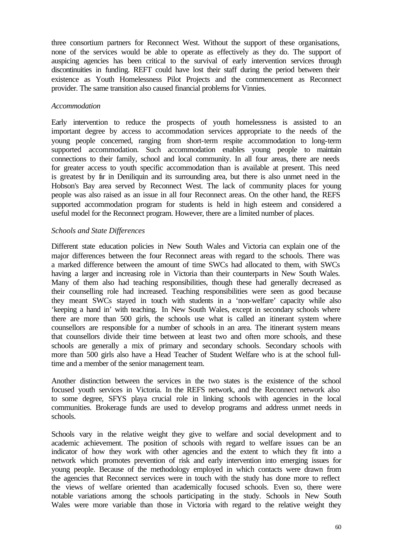three consortium partners for Reconnect West. Without the support of these organisations, none of the services would be able to operate as effectively as they do. The support of auspicing agencies has been critical to the survival of early intervention services through discontinuities in funding. REFT could have lost their staff during the period between their existence as Youth Homelessness Pilot Projects and the commencement as Reconnect provider. The same transition also caused financial problems for Vinnies.

### *Accommodation*

Early intervention to reduce the prospects of youth homelessness is assisted to an important degree by access to accommodation services appropriate to the needs of the young people concerned, ranging from short-term respite accommodation to long-term supported accommodation. Such accommodation enables young people to maintain connections to their family, school and local community. In all four areas, there are needs for greater access to youth specific accommodation than is available at present. This need is greatest by far in Deniliquin and its surrounding area, but there is also unmet need in the Hobson's Bay area served by Reconnect West. The lack of community places for young people was also raised as an issue in all four Reconnect areas. On the other hand, the REFS supported accommodation program for students is held in high esteem and considered a useful model for the Reconnect program. However, there are a limited number of places.

## *Schools and State Differences*

Different state education policies in New South Wales and Victoria can explain one of the major differences between the four Reconnect areas with regard to the schools. There was a marked difference between the amount of time SWCs had allocated to them, with SWCs having a larger and increasing role in Victoria than their counterparts in New South Wales. Many of them also had teaching responsibilities, though these had generally decreased as their counselling role had increased. Teaching responsibilities were seen as good because they meant SWCs stayed in touch with students in a 'non-welfare' capacity while also 'keeping a hand in' with teaching. In New South Wales, except in secondary schools where there are more than 500 girls, the schools use what is called an itinerant system where counsellors are responsible for a number of schools in an area. The itinerant system means that counsellors divide their time between at least two and often more schools, and these schools are generally a mix of primary and secondary schools. Secondary schools with more than 500 girls also have a Head Teacher of Student Welfare who is at the school fulltime and a member of the senior management team.

Another distinction between the services in the two states is the existence of the school focused youth services in Victoria. In the REFS network, and the Reconnect network also to some degree, SFYS playa crucial role in linking schools with agencies in the local communities. Brokerage funds are used to develop programs and address unmet needs in schools.

Schools vary in the relative weight they give to welfare and social development and to academic achievement. The position of schools with regard to welfare issues can be an indicator of how they work with other agencies and the extent to which they fit into a network which promotes prevention of risk and early intervention into emerging issues for young people. Because of the methodology employed in which contacts were drawn from the agencies that Reconnect services were in touch with the study has done more to reflect the views of welfare oriented than academically focused schools. Even so, there were notable variations among the schools participating in the study. Schools in New South Wales were more variable than those in Victoria with regard to the relative weight they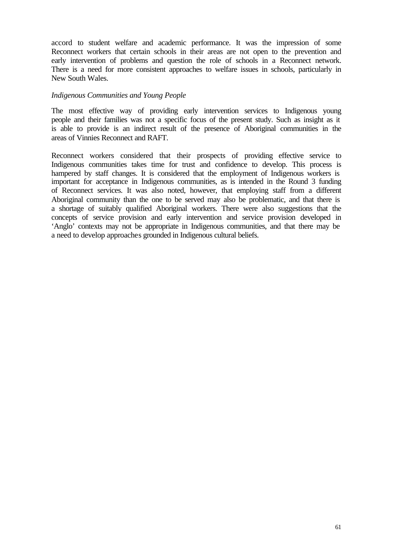accord to student welfare and academic performance. It was the impression of some Reconnect workers that certain schools in their areas are not open to the prevention and early intervention of problems and question the role of schools in a Reconnect network. There is a need for more consistent approaches to welfare issues in schools, particularly in New South Wales.

#### *Indigenous Communities and Young People*

The most effective way of providing early intervention services to Indigenous young people and their families was not a specific focus of the present study. Such as insight as it is able to provide is an indirect result of the presence of Aboriginal communities in the areas of Vinnies Reconnect and RAFT.

Reconnect workers considered that their prospects of providing effective service to Indigenous communities takes time for trust and confidence to develop. This process is hampered by staff changes. It is considered that the employment of Indigenous workers is important for acceptance in Indigenous communities, as is intended in the Round 3 funding of Reconnect services. It was also noted, however, that employing staff from a different Aboriginal community than the one to be served may also be problematic, and that there is a shortage of suitably qualified Aboriginal workers. There were also suggestions that the concepts of service provision and early intervention and service provision developed in 'Anglo' contexts may not be appropriate in Indigenous communities, and that there may be a need to develop approaches grounded in Indigenous cultural beliefs.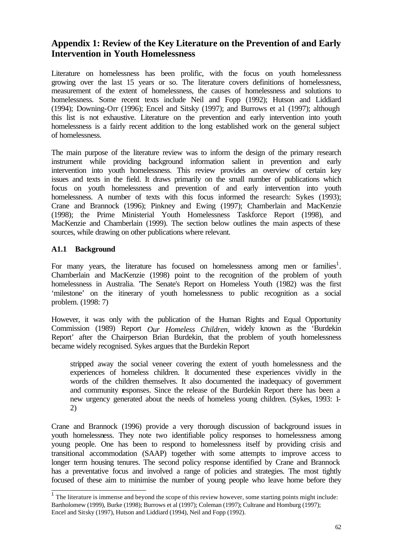# **Appendix 1: Review of the Key Literature on the Prevention of and Early Intervention in Youth Homelessness**

Literature on homelessness has been prolific, with the focus on youth homelessness growing over the last 15 years or so. The literature covers definitions of homelessness, measurement of the extent of homelessness, the causes of homelessness and solutions to homelessness. Some recent texts include Neil and Fopp (1992); Hutson and Liddiard (1994); Downing-Orr (1996); Encel and Sitsky (1997); and Burrows et a1 (1997); although this list is not exhaustive. Literature on the prevention and early intervention into youth homelessness is a fairly recent addition to the long established work on the general subject of homelessness.

The main purpose of the literature review was to inform the design of the primary research instrument while providing background information salient in prevention and early intervention into youth homelessness. This review provides an overview of certain key issues and texts in the field. It draws primarily on the small number of publications which focus on youth homelessness and prevention of and early intervention into youth homelessness. A number of texts with this focus informed the research: Sykes (1993); Crane and Brannock (1996); Pinkney and Ewing (1997); Chamberlain and MacKenzie (1998); the Prime Ministerial Youth Homelessness Taskforce Report (1998), and MacKenzie and Chamberlain (1999). The section below outlines the main aspects of these sources, while drawing on other publications where relevant.

## **A1.1 Background**

For many years, the literature has focused on homelessness among men or families<sup>1</sup>. Chamberlain and MacKenzie (1998) point to the recognition of the problem of youth homelessness in Australia. 'The Senate's Report on Homeless Youth (1982) was the first 'milestone' on the itinerary of youth homelessness to public recognition as a social problem. (1998: 7)

However, it was only with the publication of the Human Rights and Equal Opportunity Commission (1989) Report *Our Homeless Children,* widely known as the 'Burdekin Report' after the Chairperson Brian Burdekin, that the problem of youth homelessness became widely recognised. Sykes argues that the Burdekin Report

stripped away the social veneer covering the extent of youth homelessness and the experiences of homeless children. It documented these experiences vividly in the words of the children themselves. It also documented the inadequacy of government and community responses. Since the release of the Burdekin Report there has been a new urgency generated about the needs of homeless young children. (Sykes, 1993: 1- 2)

Crane and Brannock (1996) provide a very thorough discussion of background issues in youth homelessness. They note two identifiable policy responses to homelessness among young people. One has been to respond to homelessness itself by providing crisis and transitional accommodation (SAAP) together with some attempts to improve access to longer term housing tenures. The second policy response identified by Crane and Brannock has a preventative focus and involved a range of policies and strategies. The most tightly focused of these aim to minimise the number of young people who leave home before they

<sup>&</sup>lt;sup>1</sup> The literature is immense and beyond the scope of this review however, some starting points might include: Bartholomew (1999), Burke (1998); Burrows et al (1997); Coleman (1997); Cultrane and Homburg (1997); Encel and Sitsky (1997), Hutson and Liddiard (1994), Neil and Fopp (1992).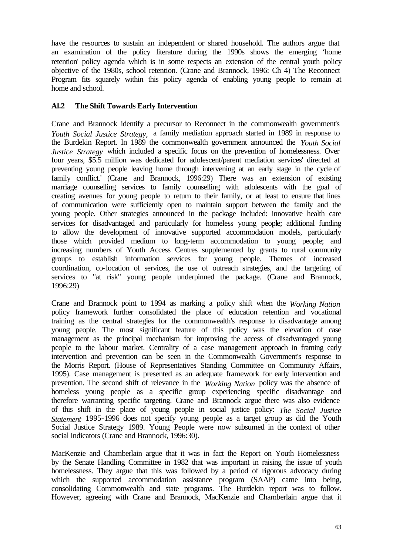have the resources to sustain an independent or shared household. The authors argue that an examination of the policy literature during the 1990s shows the emerging 'home retention' policy agenda which is in some respects an extension of the central youth policy objective of the 1980s, school retention. (Crane and Brannock, 1996: Ch 4) The Reconnect Program fits squarely within this policy agenda of enabling young people to remain at home and school.

## **Al.2 The Shift Towards Early Intervention**

Crane and Brannock identify a precursor to Reconnect in the commonwealth government's *Youth Social Justice Strategy,* a family mediation approach started in 1989 in response to the Burdekin Report. In 1989 the commonwealth government announced the *Youth Social Justice Strategy* which included a specific focus on the prevention of homelessness. Over four years, \$5.5 million was dedicated for adolescent/parent mediation services' directed at preventing young people leaving home through intervening at an early stage in the cycle of family conflict.' (Crane and Brannock, 1996:29) There was an extension of existing marriage counselling services to family counselling with adolescents with the goal of creating avenues for young people to return to their family, or at least to ensure that lines of communication were sufficiently open to maintain support between the family and the young people. Other strategies announced in the package included: innovative health care services for disadvantaged and particularly for homeless young people; additional funding to allow the development of innovative supported accommodation models, particularly those which provided medium to long-term accommodation to young people; and increasing numbers of Youth Access Centres supplemented by grants to rural community groups to establish information services for young people. Themes of increased coordination, co-location of services, the use of outreach strategies, and the targeting of services to "at risk" young people underpinned the package. (Crane and Brannock, 1996:29)

Crane and Brannock point to 1994 as marking a policy shift when the *Working Nation*  policy framework further consolidated the place of education retention and vocational training as the central strategies for the commonwealth's response to disadvantage among young people. The most significant feature of this policy was the elevation of case management as the principal mechanism for improving the access of disadvantaged young people to the labour market. Centrality of a case management approach in framing early intervention and prevention can be seen in the Commonwealth Government's response to the Morris Report. (House of Representatives Standing Committee on Community Affairs, 1995). Case management is presented as an adequate framework for early intervention and prevention. The second shift of relevance in the *Working Nation* policy was the absence of homeless young people as a specific group experiencing specific disadvantage and therefore warranting specific targeting. Crane and Brannock argue there was also evidence of this shift in the place of young people in social justice policy: *The Social Justice Statement* 1995-1996 does not specify young people as a target group as did the Youth Social Justice Strategy 1989. Young People were now subsumed in the context of other social indicators (Crane and Brannock, 1996:30).

MacKenzie and Chamberlain argue that it was in fact the Report on Youth Homelessness by the Senate Handling Committee in 1982 that was important in raising the issue of youth homelessness. They argue that this was followed by a period of rigorous advocacy during which the supported accommodation assistance program (SAAP) came into being, consolidating Commonwealth and state programs. The Burdekin report was to follow. However, agreeing with Crane and Brannock, MacKenzie and Chamberlain argue that it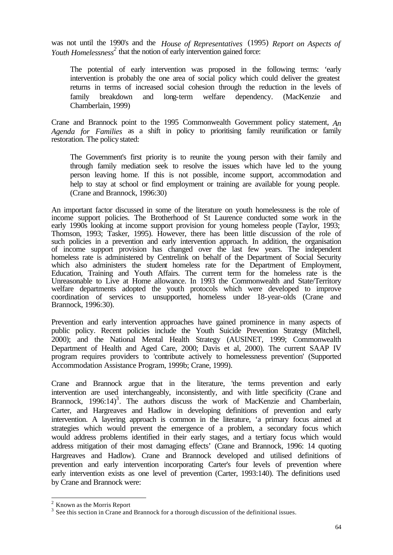was not until the 1990's and the *House of Representatives* (1995) *Report on Aspects of*  Youth Homelessness<sup>2</sup> that the notion of early intervention gained force:

The potential of early intervention was proposed in the following terms: 'early intervention is probably the one area of social policy which could deliver the greatest returns in terms of increased social cohesion through the reduction in the levels of family breakdown and long-term welfare dependency. (MacKenzie and Chamberlain, 1999)

Crane and Brannock point to the 1995 Commonwealth Government policy statement, *An Agenda for Families* as a shift in policy to prioritising family reunification or family restoration. The policy stated:

The Government's first priority is to reunite the young person with their family and through family mediation seek to resolve the issues which have led to the young person leaving home. If this is not possible, income support, accommodation and help to stay at school or find employment or training are available for young people. (Crane and Brannock, 1996:30)

An important factor discussed in some of the literature on youth homelessness is the role of income support policies. The Brotherhood of St Laurence conducted some work in the early 1990s looking at income support provision for young homeless people (Taylor, 1993; Thomson, 1993; Tasker, 1995). However, there has been little discussion of the role of such policies in a prevention and early intervention approach. In addition, the organisation of income support provision has changed over the last few years. The independent homeless rate is administered by Centrelink on behalf of the Department of Social Security which also administers the student homeless rate for the Department of Employment, Education, Training and Youth Affairs. The current term for the homeless rate is the Unreasonable to Live at Home allowance. In 1993 the Commonwealth and State/Territory welfare departments adopted the youth protocols which were developed to improve coordination of services to unsupported, homeless under 18-year-olds (Crane and Brannock, 1996:30).

Prevention and early intervention approaches have gained prominence in many aspects of public policy. Recent policies include the Youth Suicide Prevention Strategy (Mitchell, 2000); and the National Mental Health Strategy (AUSINET, 1999; Commonwealth Department of Health and Aged Care, 2000; Davis et al, 2000). The current SAAP IV program requires providers to 'contribute actively to homelessness prevention' (Supported Accommodation Assistance Program, 1999b; Crane, 1999).

Crane and Brannock argue that in the literature, 'the terms prevention and early intervention are used interchangeably, inconsistently, and with little specificity (Crane and Brannock, 1996:14)<sup>3</sup>. The authors discuss the work of MacKenzie and Chamberlain, Carter, and Hargreaves and Hadlow in developing definitions of prevention and early intervention. A layering approach is common in the literature, 'a primary focus aimed at strategies which would prevent the emergence of a problem, a secondary focus which would address problems identified in their early stages, and a tertiary focus which would address mitigation of their most damaging effects' (Crane and Brannock, 1996: 14 quoting Hargreaves and Hadlow). Crane and Brannock developed and utilised definitions of prevention and early intervention incorporating Carter's four levels of prevention where early intervention exists as one level of prevention (Carter, 1993:140). The definitions used by Crane and Brannock were:

<sup>2</sup> Known as the Morris Report

 $3$  See this section in Crane and Brannock for a thorough discussion of the definitional issues.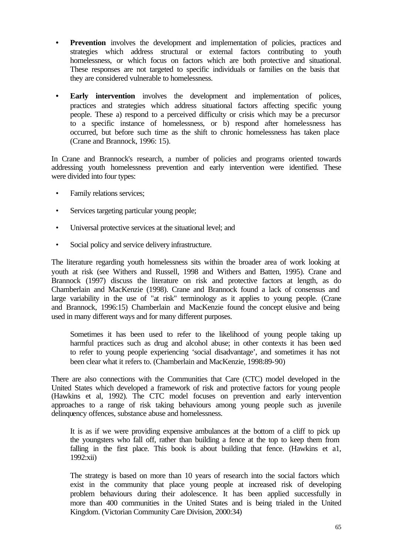- **Prevention** involves the development and implementation of policies, practices and strategies which address structural or external factors contributing to youth homelessness, or which focus on factors which are both protective and situational. These responses are not targeted to specific individuals or families on the basis that they are considered vulnerable to homelessness.
- **Early intervention** involves the development and implementation of polices, practices and strategies which address situational factors affecting specific young people. These a) respond to a perceived difficulty or crisis which may be a precursor to a specific instance of homelessness, or b) respond after homelessness has occurred, but before such time as the shift to chronic homelessness has taken place (Crane and Brannock, 1996: 15).

In Crane and Brannock's research, a number of policies and programs oriented towards addressing youth homelessness prevention and early intervention were identified. These were divided into four types:

- Family relations services;
- Services targeting particular young people;
- Universal protective services at the situational level; and
- Social policy and service delivery infrastructure.

The literature regarding youth homelessness sits within the broader area of work looking at youth at risk (see Withers and Russell, 1998 and Withers and Batten, 1995). Crane and Brannock (1997) discuss the literature on risk and protective factors at length, as do Chamberlain and MacKenzie (1998). Crane and Brannock found a lack of consensus and large variability in the use of "at risk" terminology as it applies to young people. (Crane and Brannock, 1996:15) Chamberlain and MacKenzie found the concept elusive and being used in many different ways and for many different purposes.

Sometimes it has been used to refer to the likelihood of young people taking up harmful practices such as drug and alcohol abuse; in other contexts it has been used to refer to young people experiencing 'social disadvantage', and sometimes it has not been clear what it refers to. (Chamberlain and MacKenzie, 1998:89-90)

There are also connections with the Communities that Care (CTC) model developed in the United States which developed a framework of risk and protective factors for young people (Hawkins et al, 1992). The CTC model focuses on prevention and early intervention approaches to a range of risk taking behaviours among young people such as juvenile delinquency offences, substance abuse and homelessness.

It is as if we were providing expensive ambulances at the bottom of a cliff to pick up the youngsters who fall off, rather than building a fence at the top to keep them from falling in the first place. This book is about building that fence. (Hawkins et a1, 1992:xii)

The strategy is based on more than 10 years of research into the social factors which exist in the community that place young people at increased risk of developing problem behaviours during their adolescence. It has been applied successfully in more than 400 communities in the United States and is being trialed in the United Kingdom. (Victorian Community Care Division, 2000:34)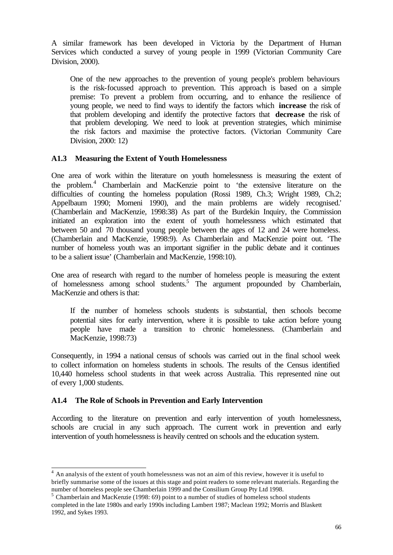A similar framework has been developed in Victoria by the Department of Human Services which conducted a survey of young people in 1999 (Victorian Community Care Division, 2000).

One of the new approaches to the prevention of young people's problem behaviours is the risk-focussed approach to prevention. This approach is based on a simple premise: To prevent a problem from occurring, and to enhance the resilience of young people, we need to find ways to identify the factors which **increase** the risk of that problem developing and identify the protective factors that **decrease** the risk of that problem developing. We need to look at prevention strategies, which minimise the risk factors and maximise the protective factors. (Victorian Community Care Division, 2000: 12)

# **A1.3 Measuring the Extent of Youth Homelessness**

One area of work within the literature on youth homelessness is measuring the extent of the problem.<sup>4</sup> Chamberlain and MacKenzie point to 'the extensive literature on the difficulties of counting the homeless population (Rossi 1989, Ch.3; Wright 1989, Ch.2; Appelbaum 1990; Momeni 1990), and the main problems are widely recognised.' (Chamberlain and MacKenzie, 1998:38) As part of the Burdekin Inquiry, the Commission initiated an exploration into the extent of youth homelessness which estimated that between 50 and 70 thousand young people between the ages of 12 and 24 were homeless. (Chamberlain and MacKenzie, 1998:9). As Chamberlain and MacKenzie point out. 'The number of homeless youth was an important signifier in the public debate and it continues to be a salient issue' (Chamberlain and MacKenzie, 1998:10).

One area of research with regard to the number of homeless people is measuring the extent of homelessness among school students.<sup>5</sup> The argument propounded by Chamberlain, MacKenzie and others is that:

If the number of homeless schools students is substantial, then schools become potential sites for early intervention, where it is possible to take action before young people have made a transition to chronic homelessness. (Chamberlain and MacKenzie, 1998:73)

Consequently, in 1994 a national census of schools was carried out in the final school week to collect information on homeless students in schools. The results of the Census identified 10,440 homeless school students in that week across Australia. This represented nine out of every 1,000 students.

# **A1.4 The Role of Schools in Prevention and Early Intervention**

According to the literature on prevention and early intervention of youth homelessness, schools are crucial in any such approach. The current work in prevention and early intervention of youth homelessness is heavily centred on schools and the education system.

 $4$  An analysis of the extent of youth homelessness was not an aim of this review, however it is useful to briefly summarise some of the issues at this stage and point readers to some relevant materials. Regarding the number of homeless people see Chamberlain 1999 and the Consilium Group Pty Ltd 1998.

 $<sup>5</sup>$  Chamberlain and MacKenzie (1998: 69) point to a number of studies of homeless school students</sup> completed in the late 1980s and early 1990s including Lambert 1987; Maclean 1992; Morris and Blaskett 1992, and Sykes 1993.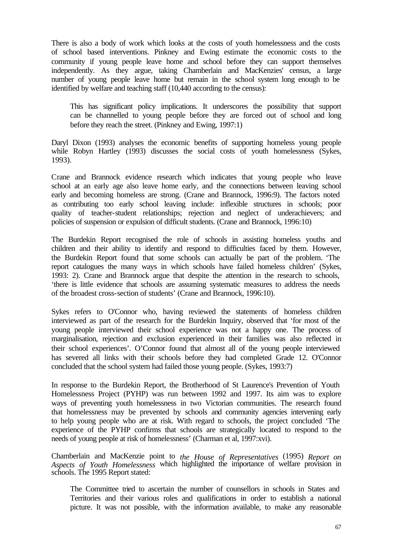There is also a body of work which looks at the costs of youth homelessness and the costs of school based interventions. Pinkney and Ewing estimate the economic costs to the community if young people leave home and school before they can support themselves independently. As they argue, taking Chamberlain and MacKenzies' census, a large number of young people leave home but remain in the school system long enough to be identified by welfare and teaching staff (10,440 according to the census):

This has significant policy implications. It underscores the possibility that support can be channelled to young people before they are forced out of school and long before they reach the street. (Pinkney and Ewing, 1997:1)

Daryl Dixon (1993) analyses the economic benefits of supporting homeless young people while Robyn Hartley (1993) discusses the social costs of youth homelessness (Sykes, 1993).

Crane and Brannock evidence research which indicates that young people who leave school at an early age also leave home early, and the connections between leaving school early and becoming homeless are strong. (Crane and Brannock, 1996:9). The factors noted as contributing too early school leaving include: inflexible structures in schools; poor quality of teacher-student relationships; rejection and neglect of underachievers; and policies of suspension or expulsion of difficult students. (Crane and Brannock, 1996:10)

The Burdekin Report recognised the role of schools in assisting homeless youths and children and their ability to identify and respond to difficulties faced by them. However, the Burdekin Report found that some schools can actually be part of the problem. 'The report catalogues the many ways in which schools have failed homeless children' (Sykes, 1993: 2). Crane and Brannock argue that despite the attention in the research to schools, 'there is little evidence that schools are assuming systematic measures to address the needs of the broadest cross-section of students' (Crane and Brannock, 1996:10).

Sykes refers to O'Connor who, having reviewed the statements of homeless children interviewed as part of the research for the Burdekin Inquiry, observed that 'for most of the young people interviewed their school experience was not a happy one. The process of marginalisation, rejection and exclusion experienced in their families was also reflected in their school experiences'. O'Connor found that almost all of the young people interviewed has severed all links with their schools before they had completed Grade 12. O'Connor concluded that the school system had failed those young people. (Sykes, 1993:7)

In response to the Burdekin Report, the Brotherhood of St Laurence's Prevention of Youth Homelessness Project (PYHP) was run between 1992 and 1997. Its aim was to explore ways of preventing youth homelessness in two Victorian communities. The research found that homelessness may be prevented by schools and community agencies intervening early to help young people who are at risk. With regard to schools, the project concluded 'The experience of the PYHP confirms that schools are strategically located to respond to the needs of young people at risk of homelessness' (Charman et al, 1997:xvi).

Chamberlain and MacKenzie point to *the House of Representatives* (1995) *Report on Aspects of Youth Homelessness* which highlighted the importance of welfare provision in schools. The 1995 Report stated:

The Committee tried to ascertain the number of counsellors in schools in States and Territories and their various roles and qualifications in order to establish a national picture. It was not possible, with the information available, to make any reasonable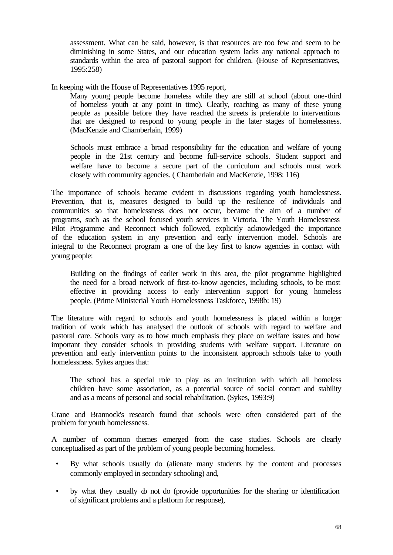assessment. What can be said, however, is that resources are too few and seem to be diminishing in some States, and our education system lacks any national approach to standards within the area of pastoral support for children. (House of Representatives, 1995:258)

In keeping with the House of Representatives 1995 report,

Many young people become homeless while they are still at school (about one-third of homeless youth at any point in time). Clearly, reaching as many of these young people as possible before they have reached the streets is preferable to interventions that are designed to respond to young people in the later stages of homelessness. (MacKenzie and Chamberlain, 1999)

Schools must embrace a broad responsibility for the education and welfare of young people in the 21st century and become full-service schools. Student support and welfare have to become a secure part of the curriculum and schools must work closely with community agencies. ( Chamberlain and MacKenzie, 1998: 116)

The importance of schools became evident in discussions regarding youth homelessness. Prevention, that is, measures designed to build up the resilience of individuals and communities so that homelessness does not occur, became the aim of a number of programs, such as the school focused youth services in Victoria. The Youth Homelessness Pilot Programme and Reconnect which followed, explicitly acknowledged the importance of the education system in any prevention and early intervention model. Schools are integral to the Reconnect program as one of the key first to know agencies in contact with young people:

Building on the findings of earlier work in this area, the pilot programme highlighted the need for a broad network of first-to-know agencies, including schools, to be most effective in providing access to early intervention support for young homeless people. (Prime Ministerial Youth Homelessness Taskforce, 1998b: 19)

The literature with regard to schools and youth homelessness is placed within a longer tradition of work which has analysed the outlook of schools with regard to welfare and pastoral care. Schools vary as to how much emphasis they place on welfare issues and how important they consider schools in providing students with welfare support. Literature on prevention and early intervention points to the inconsistent approach schools take to youth homelessness. Sykes argues that:

The school has a special role to play as an institution with which all homeless children have some association, as a potential source of social contact and stability and as a means of personal and social rehabilitation. (Sykes, 1993:9)

Crane and Brannock's research found that schools were often considered part of the problem for youth homelessness.

A number of common themes emerged from the case studies. Schools are clearly conceptualised as part of the problem of young people becoming homeless.

- By what schools usually do (alienate many students by the content and processes commonly employed in secondary schooling) and,
- by what they usually do not do (provide opportunities for the sharing or identification of significant problems and a platform for response),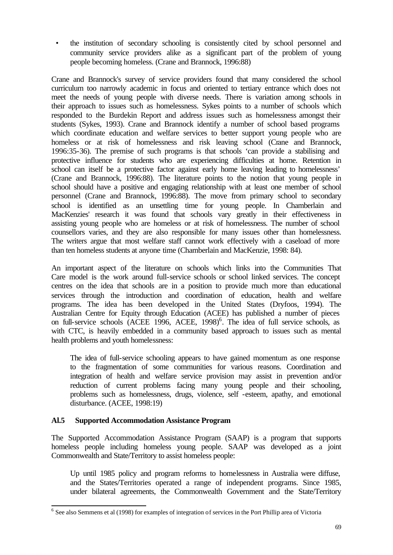• the institution of secondary schooling is consistently cited by school personnel and community service providers alike as a significant part of the problem of young people becoming homeless. (Crane and Brannock, 1996:88)

Crane and Brannock's survey of service providers found that many considered the school curriculum too narrowly academic in focus and oriented to tertiary entrance which does not meet the needs of young people with diverse needs. There is variation among schools in their approach to issues such as homelessness. Sykes points to a number of schools which responded to the Burdekin Report and address issues such as homelessness amongst their students (Sykes, 1993). Crane and Brannock identify a number of school based programs which coordinate education and welfare services to better support young people who are homeless or at risk of homelessness and risk leaving school (Crane and Brannock, 1996:35-36). The premise of such programs is that schools 'can provide a stabilising and protective influence for students who are experiencing difficulties at home. Retention in school can itself be a protective factor against early home leaving leading to homelessness' (Crane and Brannock, 1996:88). The literature points to the notion that young people in school should have a positive and engaging relationship with at least one member of school personnel (Crane and Brannock, 1996:88). The move from primary school to secondary school is identified as an unsettling time for young people. In Chamberlain and MacKenzies' research it was found that schools vary greatly in their effectiveness in assisting young people who are homeless or at risk of homelessness. The number of school counsellors varies, and they are also responsible for many issues other than homelessness. The writers argue that most welfare staff cannot work effectively with a caseload of more than ten homeless students at anyone time (Chamberlain and MacKenzie, 1998: 84).

An important aspect of the literature on schools which links into the Communities That Care model is the work around full-service schools or school linked services. The concept centres on the idea that schools are in a position to provide much more than educational services through the introduction and coordination of education, health and welfare programs. The idea has been developed in the United States (Dryfoos, 1994). The Australian Centre for Equity through Education (ACEE) has published a number of pieces on full-service schools (ACEE 1996, ACEE, 1998)<sup>6</sup>. The idea of full service schools, as with CTC, is heavily embedded in a community based approach to issues such as mental health problems and youth homelessness:

The idea of full-service schooling appears to have gained momentum as one response to the fragmentation of some communities for various reasons. Coordination and integration of health and welfare service provision may assist in prevention and/or reduction of current problems facing many young people and their schooling, problems such as homelessness, drugs, violence, self -esteem, apathy, and emotional disturbance. (ACEE, 1998:19)

# **Al.5 Supported Accommodation Assistance Program**

The Supported Accommodation Assistance Program (SAAP) is a program that supports homeless people including homeless young people. SAAP was developed as a joint Commonwealth and State/Territory to assist homeless people:

Up until 1985 policy and program reforms to homelessness in Australia were diffuse, and the States/Territories operated a range of independent programs. Since 1985, under bilateral agreements, the Commonwealth Government and the State/Territory

<sup>&</sup>lt;sup>6</sup> See also Semmens et al (1998) for examples of integration of services in the Port Phillip area of Victoria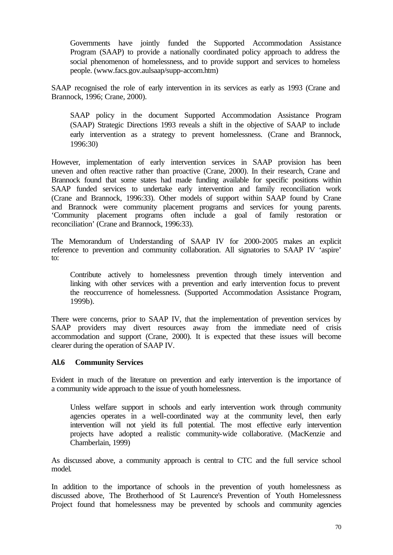Governments have jointly funded the Supported Accommodation Assistance Program (SAAP) to provide a nationally coordinated policy approach to address the social phenomenon of homelessness, and to provide support and services to homeless people. (www.facs.gov.aulsaap/supp-accom.htm)

SAAP recognised the role of early intervention in its services as early as 1993 (Crane and Brannock, 1996; Crane, 2000).

SAAP policy in the document Supported Accommodation Assistance Program (SAAP) Strategic Directions 1993 reveals a shift in the objective of SAAP to include early intervention as a strategy to prevent homelessness. (Crane and Brannock, 1996:30)

However, implementation of early intervention services in SAAP provision has been uneven and often reactive rather than proactive (Crane, 2000). In their research, Crane and Brannock found that some states had made funding available for specific positions within SAAP funded services to undertake early intervention and family reconciliation work (Crane and Brannock, 1996:33). Other models of support within SAAP found by Crane and Brannock were community placement programs and services for young parents. 'Community placement programs often include a goal of family restoration or reconciliation' (Crane and Brannock, 1996:33).

The Memorandum of Understanding of SAAP IV for 2000-2005 makes an explicit reference to prevention and community collaboration. All signatories to SAAP IV 'aspire' to:

Contribute actively to homelessness prevention through timely intervention and linking with other services with a prevention and early intervention focus to prevent the reoccurrence of homelessness. (Supported Accommodation Assistance Program, 1999b).

There were concerns, prior to SAAP IV, that the implementation of prevention services by SAAP providers may divert resources away from the immediate need of crisis accommodation and support (Crane, 2000). It is expected that these issues will become clearer during the operation of SAAP IV.

# **Al.6 Community Services**

Evident in much of the literature on prevention and early intervention is the importance of a community wide approach to the issue of youth homelessness.

Unless welfare support in schools and early intervention work through community agencies operates in a well-coordinated way at the community level, then early intervention will not yield its full potential. The most effective early intervention projects have adopted a realistic community-wide collaborative. (MacKenzie and Chamberlain, 1999)

As discussed above, a community approach is central to CTC and the full service school model.

In addition to the importance of schools in the prevention of youth homelessness as discussed above, The Brotherhood of St Laurence's Prevention of Youth Homelessness Project found that homelessness may be prevented by schools and community agencies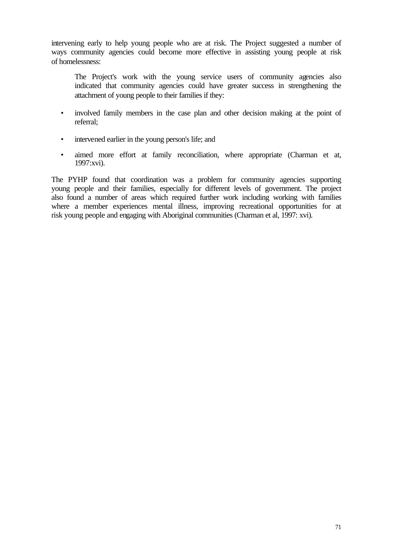intervening early to help young people who are at risk. The Project suggested a number of ways community agencies could become more effective in assisting young people at risk of homelessness:

- The Project's work with the young service users of community agencies also indicated that community agencies could have greater success in strengthening the attachment of young people to their families if they:
- involved family members in the case plan and other decision making at the point of referral;
- intervened earlier in the young person's life; and
- aimed more effort at family reconciliation, where appropriate (Charman et at, 1997:xvi).

The PYHP found that coordination was a problem for community agencies supporting young people and their families, especially for different levels of government. The project also found a number of areas which required further work including working with families where a member experiences mental illness, improving recreational opportunities for at risk young people and engaging with Aboriginal communities (Charman et al, 1997: xvi).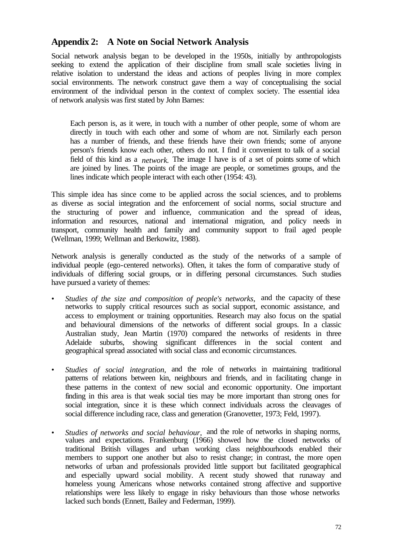# **Appendix 2: A Note on Social Network Analysis**

Social network analysis began to be developed in the 1950s, initially by anthropologists seeking to extend the application of their discipline from small scale societies living in relative isolation to understand the ideas and actions of peoples living in more complex social environments. The network construct gave them a way of conceptualising the social environment of the individual person in the context of complex society. The essential idea of network analysis was first stated by John Barnes:

Each person is, as it were, in touch with a number of other people, some of whom are directly in touch with each other and some of whom are not. Similarly each person has a number of friends, and these friends have their own friends; some of anyone person's friends know each other, others do not. I find it convenient to talk of a social field of this kind as a *network*. The image I have is of a set of points some of which are joined by lines. The points of the image are people, or sometimes groups, and the lines indicate which people interact with each other (1954: 43).

This simple idea has since come to be applied across the social sciences, and to problems as diverse as social integration and the enforcement of social norms, social structure and the structuring of power and influence, communication and the spread of ideas, information and resources, national and international migration, and policy needs in transport, community health and family and community support to frail aged people (Wellman, 1999; Wellman and Berkowitz, 1988).

Network analysis is generally conducted as the study of the networks of a sample of individual people (ego-centered networks). Often, it takes the form of comparative study of individuals of differing social groups, or in differing personal circumstances. Such studies have pursued a variety of themes:

- *• Studies of the size and composition of people's networks,* and the capacity of these networks to supply critical resources such as social support, economic assistance, and access to employment or training opportunities. Research may also focus on the spatial and behavioural dimensions of the networks of different social groups. In a classic Australian study, Jean Martin (1970) compared the networks of residents in three Adelaide suburbs, showing significant differences in the social content and geographical spread associated with social class and economic circumstances.
- *• Studies of social integration,* and the role of networks in maintaining traditional patterns of relations between kin, neighbours and friends, and in facilitating change in these patterns in the context of new social and economic opportunity. One important finding in this area is that weak social ties may be more important than strong ones for social integration, since it is these which connect individuals across the cleavages of social difference including race, class and generation (Granovetter, 1973; Feld, 1997).
- *Studies of networks and social behaviour*, and the role of networks in shaping norms, values and expectations. Frankenburg (1966) showed how the closed networks of traditional British villages and urban working class neighbourhoods enabled their members to support one another but also to resist change; in contrast, the more open networks of urban and professionals provided little support but facilitated geographical and especially upward social mobility. A recent study showed that runaway and homeless young Americans whose networks contained strong affective and supportive relationships were less likely to engage in risky behaviours than those whose networks lacked such bonds (Ennett, Bailey and Federman, 1999).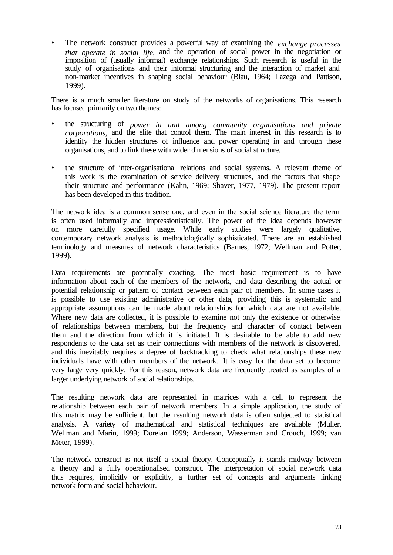• The network construct provides a powerful way of examining the *exchange processes that operate in social life,* and the operation of social power in the negotiation or imposition of (usually informal) exchange relationships. Such research is useful in the study of organisations and their informal structuring and the interaction of market and non-market incentives in shaping social behaviour (Blau, 1964; Lazega and Pattison, 1999).

There is a much smaller literature on study of the networks of organisations. This research has focused primarily on two themes:

- the structuring of *power in and among community organisations and private corporations,* and the elite that control them. The main interest in this research is to identify the hidden structures of influence and power operating in and through these organisations, and to link these with wider dimensions of social structure.
- the structure of inter-organisational relations and social systems. A relevant theme of this work is the examination of service delivery structures, and the factors that shape their structure and performance (Kahn, 1969; Shaver, 1977, 1979). The present report has been developed in this tradition.

The network idea is a common sense one, and even in the social science literature the term is often used informally and impressionistically. The power of the idea depends however on more carefully specified usage. While early studies were largely qualitative, contemporary network analysis is methodologically sophisticated. There are an established terminology and measures of network characteristics (Barnes, 1972; Wellman and Potter, 1999).

Data requirements are potentially exacting. The most basic requirement is to have information about each of the members of the network, and data describing the actual or potential relationship or pattern of contact between each pair of members. In some cases it is possible to use existing administrative or other data, providing this is systematic and appropriate assumptions can be made about relationships for which data are not available. Where new data are collected, it is possible to examine not only the existence or otherwise of relationships between members, but the frequency and character of contact between them and the direction from which it is initiated. It is desirable to be able to add new respondents to the data set as their connections with members of the network is discovered, and this inevitably requires a degree of backtracking to check what relationships these new individuals have with other members of the network. It is easy for the data set to become very large very quickly. For this reason, network data are frequently treated as samples of a larger underlying network of social relationships.

The resulting network data are represented in matrices with a cell to represent the relationship between each pair of network members. In a simple application, the study of this matrix may be sufficient, but the resulting network data is often subjected to statistical analysis. A variety of mathematical and statistical techniques are available (Muller, Wellman and Marin, 1999; Doreian 1999; Anderson, Wasserman and Crouch, 1999; van Meter, 1999).

The network construct is not itself a social theory. Conceptually it stands midway between a theory and a fully operationalised construct. The interpretation of social network data thus requires, implicitly or explicitly, a further set of concepts and arguments linking network form and social behaviour.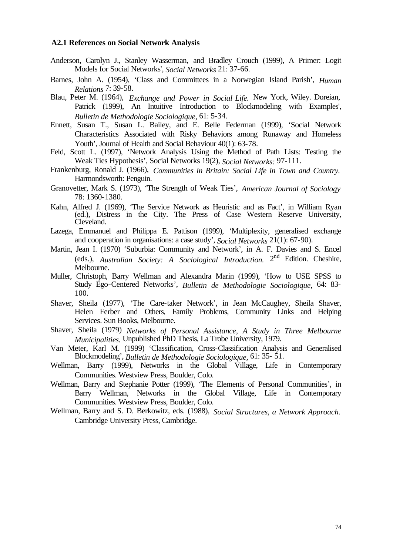#### **A2.1 References on Social Network Analysis**

- Anderson, Carolyn J., Stanley Wasserman, and Bradley Crouch (1999), A Primer: Logit Models for Social Networks', *Social Networks* 21: 37-66.
- Barnes, John A. (1954), 'Class and Committees in a Norwegian Island Parish', *Human Relations* 7: 39-58.
- Blau, Peter M. (1964), *Exchange and Power in Social Life.* New York, Wiley. Doreian, Patrick (1999), An Intuitive Introduction to Blockmodeling with Examples', *Bulletin de Methodologie Sociologique,* 61: 5-34.
- Ennett, Susan T., Susan L. Bailey, and E. Belle Federman (1999), 'Social Network Characteristics Associated with Risky Behaviors among Runaway and Homeless Youth', Journal of Health and Social Behaviour 40(1): 63-78.
- Feld, Scott L. (1997), 'Network Analysis Using the Method of Path Lists: Testing the Weak Ties Hypothesis', Social Networks 19(2), *Social Networks:* 97-111.
- Frankenburg, Ronald J. (1966), *Communities in Britain: Social Life in Town and Country.*  Harmondsworth: Penguin.
- Granovetter, Mark S. (1973), 'The Strength of Weak Ties', *American Journal of Sociology*  78: 1360-1380.
- Kahn, Alfred J. (1969), 'The Service Network as Heuristic and as Fact', in William Ryan (ed.), Distress in the City. The Press of Case Western Reserve University, Cleveland.
- Lazega, Emmanuel and Philippa E. Pattison (1999), 'Multiplexity, generalised exchange and cooperation in organisations: a case study', *Social Networks* 21(1): 67-90).
- Martin, Jean I. (1970) 'Suburbia: Community and Network', in A. F. Davies and S. Encel (eds.), *Australian Society: A Sociological Introduction*. 2<sup>nd</sup> Edition. Cheshire, Melbourne.
- Muller, Christoph, Barry Wellman and Alexandra Marin (1999), 'How to USE SPSS to Study Ego-Centered Networks', *Bulletin de Methodologie Sociologique,* 64: 83- 100.
- Shaver, Sheila (1977), 'The Care-taker Network', in Jean McCaughey, Sheila Shaver, Helen Ferber and Others, Family Problems, Community Links and Helping Services. Sun Books, Melbourne.
- Shaver, Sheila (1979) *Networks of Personal Assistance, A Study in Three Melbourne Municipalities.* Unpublished PhD Thesis, La Trobe University, 1979.
- Van Meter, Karl M. (1999) 'Classification, Cross-Classification Analysis and Generalised Blockmodeling', *Bulletin de Methodologie Sociologique,* 61: 35- 51.
- Wellman, Barry (1999), Networks in the Global Village, Life in Contemporary Communities. Westview Press, Boulder, Colo.
- Wellman, Barry and Stephanie Potter (1999), 'The Elements of Personal Communities', in Barry Wellman, Networks in the Global Village, Life in Contemporary Communities. Westview Press, Boulder, Colo.
- Wellman, Barry and S. D. Berkowitz, eds. (1988), *Social Structures, a Network Approach.*  Cambridge University Press, Cambridge.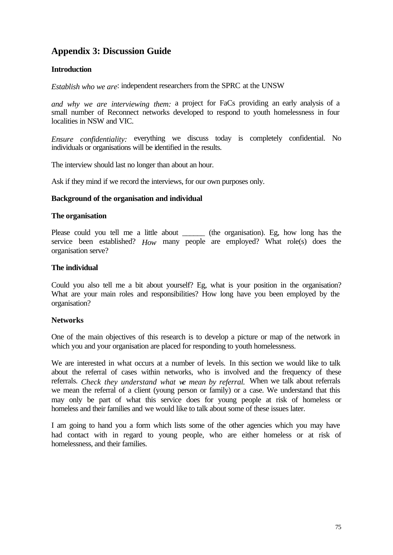# **Appendix 3: Discussion Guide**

# **Introduction**

*Establish who we are*: independent researchers from the SPRC at the UNSW

*and why we are interviewing them:* a project for FaCs providing an early analysis of a small number of Reconnect networks developed to respond to youth homelessness in four localities in NSW and VIC.

*Ensure confidentiality:* everything we discuss today is completely confidential. No individuals or organisations will be identified in the results.

The interview should last no longer than about an hour.

Ask if they mind if we record the interviews, for our own purposes only.

#### **Background of the organisation and individual**

#### **The organisation**

Please could you tell me a little about \_\_\_\_\_\_\_ (the organisation). Eg, how long has the service been established? *How* many people are employed? What role(s) does the organisation serve?

#### **The individual**

Could you also tell me a bit about yourself? Eg, what is your position in the organisation? What are your main roles and responsibilities? How long have you been employed by the organisation?

# **Networks**

One of the main objectives of this research is to develop a picture or map of the network in which you and your organisation are placed for responding to youth homelessness.

We are interested in what occurs at a number of levels. In this section we would like to talk about the referral of cases within networks, who is involved and the frequency of these referrals. *Check they understand what we mean by referral.* When we talk about referrals we mean the referral of a client (young person or family) or a case. We understand that this may only be part of what this service does for young people at risk of homeless or homeless and their families and we would like to talk about some of these issues later.

I am going to hand you a form which lists some of the other agencies which you may have had contact with in regard to young people, who are either homeless or at risk of homelessness, and their families.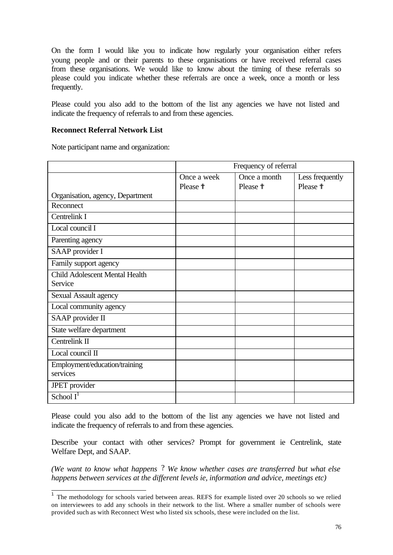On the form I would like you to indicate how regularly your organisation either refers young people and or their parents to these organisations or have received referral cases from these organisations. We would like to know about the timing of these referrals so please could you indicate whether these referrals are once a week, once a month or less frequently.

Please could you also add to the bottom of the list any agencies we have not listed and indicate the frequency of referrals to and from these agencies.

### **Reconnect Referral Network List**

Note participant name and organization:

|                                       | Frequency of referral |                     |                   |
|---------------------------------------|-----------------------|---------------------|-------------------|
|                                       | Once a week           | Once a month        | Less frequently   |
|                                       | Please <sup>†</sup>   | Please <sup>†</sup> | Please $\ddagger$ |
| Organisation, agency, Department      |                       |                     |                   |
| Reconnect                             |                       |                     |                   |
| Centrelink I                          |                       |                     |                   |
| Local council I                       |                       |                     |                   |
| Parenting agency                      |                       |                     |                   |
| SAAP provider I                       |                       |                     |                   |
| Family support agency                 |                       |                     |                   |
| <b>Child Adolescent Mental Health</b> |                       |                     |                   |
| Service                               |                       |                     |                   |
| Sexual Assault agency                 |                       |                     |                   |
| Local community agency                |                       |                     |                   |
| SAAP provider II                      |                       |                     |                   |
| State welfare department              |                       |                     |                   |
| Centrelink II                         |                       |                     |                   |
| Local council II                      |                       |                     |                   |
| Employment/education/training         |                       |                     |                   |
| services                              |                       |                     |                   |
| JPET provider                         |                       |                     |                   |
| $\overline{\text{School I}}^1$        |                       |                     |                   |

Please could you also add to the bottom of the list any agencies we have not listed and indicate the frequency of referrals to and from these agencies.

Describe your contact with other services? Prompt for government ie Centrelink, state Welfare Dept, and SAAP.

*(We want to know what happens* ? *We know whether cases are transferred but what else happens between services at the different levels ie, information and advice, meetings etc)* 

<sup>&</sup>lt;sup>1</sup> The methodology for schools varied between areas. REFS for example listed over 20 schools so we relied on interviewees to add any schools in their network to the list. Where a smaller number of schools were provided such as with Reconnect West who listed six schools, these were included on the list.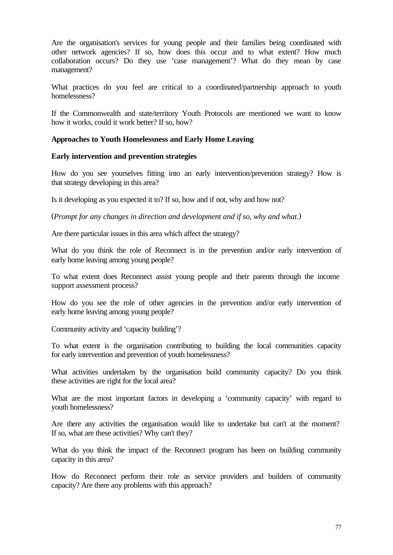Are the organisation's services for young people and their families being coordinated with other network agencies? If so, how does this occur and to what extent? How much collaboration occurs? Do they use 'case management'? What do they mean by case management?

What practices do you feel are critical to a coordinated/partnership approach to youth homelessness?

If the Commonwealth and state/territory Youth Protocols are mentioned we want to know how it works, could it work better? If so, how?

# **Approaches to Youth Homelessness and Early Home Leaving**

# **Early intervention and prevention strategies**

How do you see yourselves fitting into an early intervention/prevention strategy? How is that strategy developing in this area?

Is it developing as you expected it to? If so, how and if not, why and how not?

(*Prompt for any changes in direction and development and if so, why and what.*)

Are there particular issues in this area which affect the strategy?

What do you think the role of Reconnect is in the prevention and/or early intervention of early home leaving among young people?

To what extent does Reconnect assist young people and their parents through the income support assessment process?

How do you see the role of other agencies in the prevention and/or early intervention of early home leaving among young people?

Community activity and 'capacity building'?

To what extent is the organisation contributing to building the local communities capacity for early intervention and prevention of youth homelessness?

What activities undertaken by the organisation build community capacity? Do you think these activities are right for the local area?

What are the most important factors in developing a 'community capacity' with regard to youth homelessness?

Are there any activities the organisation would like to undertake but can't at the moment? If so, what are these activities? Why can't they?

What do you think the impact of the Reconnect program has been on building community capacity in this area?

How do Reconnect perform their role as service providers and builders of community capacity? Are there any problems with this approach?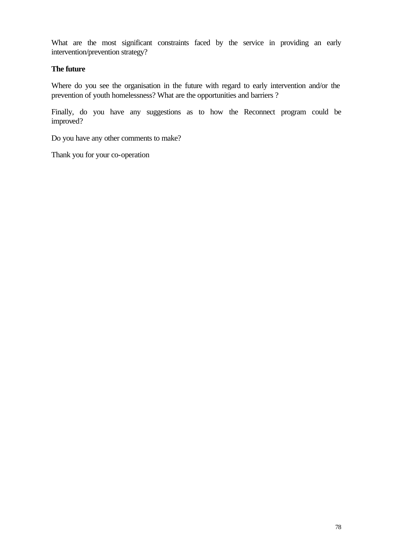What are the most significant constraints faced by the service in providing an early intervention/prevention strategy?

# **The future**

Where do you see the organisation in the future with regard to early intervention and/or the prevention of youth homelessness? What are the opportunities and barriers ?

Finally, do you have any suggestions as to how the Reconnect program could be improved?

Do you have any other comments to make?

Thank you for your co-operation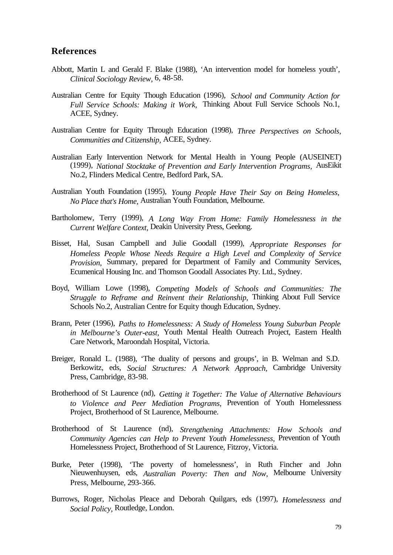# **References**

- Abbott, Martin L and Gerald F. Blake (1988), 'An intervention model for homeless youth', *Clinical Sociology Review,* 6, 48-58.
- Australian Centre for Equity Though Education (1996), *School and Community Action for Full Service Schools: Making it Work,* Thinking About Full Service Schools No.1, ACEE, Sydney.
- Australian Centre for Equity Through Education (1998), *Three Perspectives on Schools, Communities and Citizenship,* ACEE, Sydney.
- Australian Early Intervention Network for Mental Health in Young People (AUSEINET) (1999), *National Stocktake of Prevention and Early Intervention Programs,* AusEikit No.2, Flinders Medical Centre, Bedford Park, SA.
- Australian Youth Foundation (1995), *Young People Have Their Say on Being Homeless, No Place that's Home,* Australian Youth Foundation, Melbourne.
- Bartholomew, Terry (1999), *A Long Way From Home: Family Homelessness in the Current Welfare Context,* Deakin University Press, Geelong.
- Bisset, Hal, Susan Campbell and Julie Goodall (1999), *Appropriate Responses for Homeless People Whose Needs Require a High Level and Complexity of Service Provision*, Summary, prepared for Department of Family and Community Services, Ecumenical Housing Inc. and Thomson Goodall Associates Pty. Ltd., Sydney.
- Boyd, William Lowe (1998), *Competing Models of Schools and Communities: The Struggle to Reframe and Reinvent their Relationship,* Thinking About Full Service Schools No.2, Australian Centre for Equity though Education, Sydney.
- Brann, Peter (1996), *Paths to Homelessness: A Study of Homeless Young Suburban People in Melbourne's Outer-east,* Youth Mental Health Outreach Project, Eastern Health Care Network, Maroondah Hospital, Victoria.
- Breiger, Ronald L. (1988), 'The duality of persons and groups', in B. Welman and S.D. Berkowitz, eds, *Social Structures: A Network Approach,* Cambridge University Press, Cambridge, 83-98.
- Brotherhood of St Laurence (nd), *Getting it Together: The Value of Alternative Behaviours to Violence and Peer Mediation Programs,* Prevention of Youth Homelessness Project, Brotherhood of St Laurence, Melbourne.
- Brotherhood of St Laurence (nd), *Strengthening Attachments: How Schools and Community Agencies can Help to Prevent Youth Homelessness,* Prevention of Youth Homelessness Project, Brotherhood of St Laurence, Fitzroy, Victoria.
- Burke, Peter (1998), 'The poverty of homelessness', in Ruth Fincher and John Nieuwenhuysen, eds, *Australian Poverty: Then and Now,* Melbourne University Press, Melbourne, 293-366.
- Burrows, Roger, Nicholas Pleace and Deborah Quilgars, eds (1997), *Homelessness and Social Policy,* Routledge, London.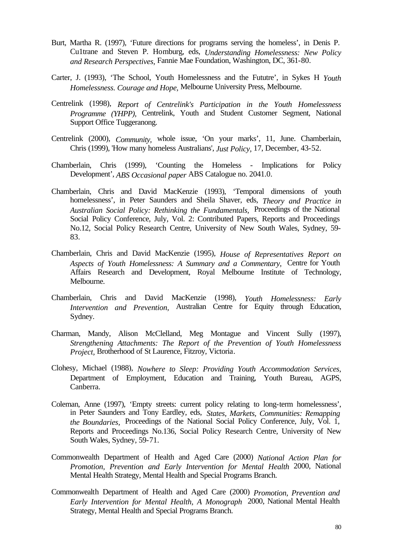- Burt, Martha R. (1997), 'Future directions for programs serving the homeless', in Denis P. Cu1trane and Steven P. Homburg, eds, *Understanding Homelessness: New Policy and Research Perspectives,* Fannie Mae Foundation, Washington, DC, 361-80.
- Carter, J. (1993), 'The School, Youth Homelessness and the Fututre', in Sykes H *Youth Homelessness. Courage and Hope,* Melbourne University Press, Melbourne.
- Centrelink (1998), *Report of Centrelink's Participation in the Youth Homelessness Programme (YHPP),* Centrelink, Youth and Student Customer Segment, National Support Office Tuggeranong.
- Centrelink (2000), *Community,* whole issue, 'On your marks', 11, June. Chamberlain, Chris (1999), 'How many homeless Australians', *Just Policy,* 17, December, 43-52.
- Chamberlain, Chris (1999), 'Counting the Homeless Implications for Policy Development', *ABS Occasional paper* ABS Catalogue no. 2041.0.
- Chamberlain, Chris and David MacKenzie (1993), 'Temporal dimensions of youth homelessness', in Peter Saunders and Sheila Shaver, eds, *Theory and Practice in Australian Social Policy: Rethinking the Fundamentals,* Proceedings of the National Social Policy Conference, July, Vol. 2: Contributed Papers, Reports and Proceedings No.12, Social Policy Research Centre, University of New South Wales, Sydney, 59- 83.
- Chamberlain, Chris and David MacKenzie (1995), *House of Representatives Report on Aspects of Youth Homelessness: A Summary and a Commentary,* Centre for Youth Affairs Research and Development, Royal Melbourne Institute of Technology, Melbourne.
- Chamberlain, Chris and David MacKenzie (1998), *Youth Homelessness: Early Intervention and Prevention,* Australian Centre for Equity through Education, Sydney.
- Charman, Mandy, Alison McClelland, Meg Montague and Vincent Sully (1997), *Strengthening Attachments: The Report of the Prevention of Youth Homelessness Project,* Brotherhood of St Laurence, Fitzroy, Victoria.
- Clohesy, Michael (1988), *Nowhere to Sleep: Providing Youth Accommodation Services,* Department of Employment, Education and Training, Youth Bureau, AGPS, Canberra.
- Coleman, Anne (1997), 'Empty streets: current policy relating to long-term homelessness', in Peter Saunders and Tony Eardley, eds, *States, Markets, Communities: Remapping the Boundaries, Proceedings of the National Social Policy Conference, July, Vol. 1,* Reports and Proceedings No.136, Social Policy Research Centre, University of New South Wales, Sydney, 59-71.
- Commonwealth Department of Health and Aged Care (2000) *National Action Plan for Promotion, Prevention and Early Intervention for Mental Health* 2000, National Mental Health Strategy, Mental Health and Special Programs Branch.
- Commonwealth Department of Health and Aged Care (2000) *Promotion, Prevention and Early Intervention for Mental Health, A Monograph* 2000, National Mental Health Strategy, Mental Health and Special Programs Branch.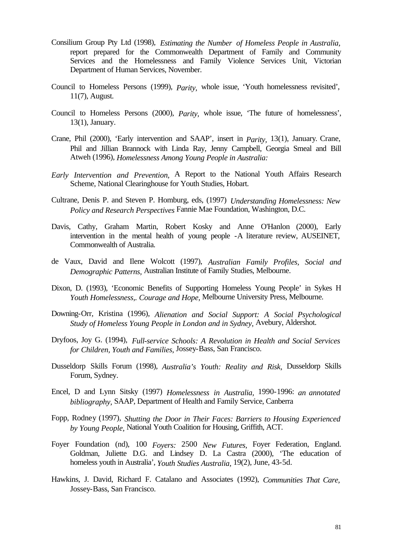- Consilium Group Pty Ltd (1998), *Estimating the Number of Homeless People in Australia,*  report prepared for the Commonwealth Department of Family and Community Services and the Homelessness and Family Violence Services Unit, Victorian Department of Human Services, November.
- Council to Homeless Persons (1999), *Parity,* whole issue, 'Youth homelessness revisited', 11(7), August.
- Council to Homeless Persons (2000), *Parity,* whole issue, 'The future of homelessness', 13(1), January.
- Crane, Phil (2000), 'Early intervention and SAAP', insert in *Parity,* 13(1), January. Crane, Phil and Jillian Brannock with Linda Ray, Jenny Campbell, Georgia Smeal and Bill Atweh (1996), *Homelessness Among Young People in Australia:*
- *Early Intervention and Prevention,* A Report to the National Youth Affairs Research Scheme, National Clearinghouse for Youth Studies, Hobart.
- Cultrane, Denis P. and Steven P. Homburg, eds, (1997) *Understanding Homelessness: New Policy and Research Perspectives* Fannie Mae Foundation, Washington, D.C.
- Davis, Cathy, Graham Martin, Robert Kosky and Anne O'Hanlon (2000), Early intervention in the mental health of young people -A literature review, AUSEINET, Commonwealth of Australia.
- de Vaux, David and Ilene Wolcott (1997), *Australian Family Profiles, Social and Demographic Patterns,* Australian Institute of Family Studies, Melbourne.
- Dixon, D. (1993), 'Economic Benefits of Supporting Homeless Young People' in Sykes H *Youth Homelessness,. Courage and Hope,* Melbourne University Press, Melbourne.
- Downing-Orr, Kristina (1996), *Alienation and Social Support: A Social Psychological Study of Homeless Young People in London and in Sydney,* Avebury, Aldershot.
- Dryfoos, Joy G. (1994), *Full-service Schools: A Revolution in Health and Social Services for Children, Youth and Families,* Jossey-Bass, San Francisco.
- Dusseldorp Skills Forum (1998), *Australia's Youth: Reality and Risk,* Dusseldorp Skills Forum, Sydney.
- Encel, D and Lynn Sitsky (1997) *Homelessness in Australia,* 1990-1996: *an annotated bibliography,* SAAP, Department of Health and Family Service, Canberra
- Fopp, Rodney (1997), *Shutting the Door in Their Faces: Barriers to Housing Experienced by Young People,* National Youth Coalition for Housing, Griffith, ACT.
- Foyer Foundation (nd), 100 *Foyers:* 2500 *New Futures,* Foyer Federation, England. Goldman, Juliette D.G. and Lindsey D. La Castra (2000), 'The education of homeless youth in Australia', *Youth Studies Australia,* 19(2), June, 43-5d.
- Hawkins, J. David, Richard F. Catalano and Associates (1992), *Communities That Care,*  Jossey-Bass, San Francisco.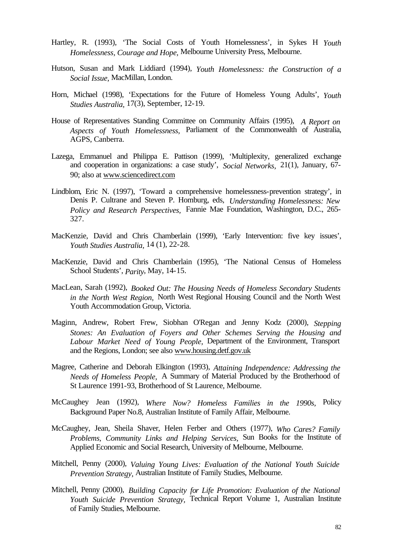- Hartley, R. (1993), 'The Social Costs of Youth Homelessness', in Sykes H *Youth Homelessness, Courage and Hope,* Melbourne University Press, Melbourne.
- Hutson, Susan and Mark Liddiard (1994), *Youth Homelessness: the Construction of a Social Issue,* MacMillan, London.
- Horn, Michael (1998), 'Expectations for the Future of Homeless Young Adults', *Youth Studies Australia,* 17(3), September, 12-19.
- House of Representatives Standing Committee on Community Affairs (1995), *A Report on Aspects of Youth Homelessness,* Parliament of the Commonwealth of Australia, AGPS, Canberra.
- Lazega, Emmanuel and Philippa E. Pattison (1999), 'Multiplexity, generalized exchange and cooperation in organizations: a case study', *Social Networks,* 21(1), January, 67- 90; also at www.sciencedirect.com
- Lindblom, Eric N. (1997), 'Toward a comprehensive homelessness-prevention strategy', in Denis P. Cultrane and Steven P. Homburg, eds, *Understanding Homelessness: New Policy and Research Perspectives,* Fannie Mae Foundation, Washington, D.C., 265- 327.
- MacKenzie, David and Chris Chamberlain (1999), 'Early Intervention: five key issues', *Youth Studies Australia,* 14 (1), 22-28.
- MacKenzie, David and Chris Chamberlain (1995), 'The National Census of Homeless School Students', *Parity*, May, 14-15.
- MacLean, Sarah (1992), *Booked Out: The Housing Needs of Homeless Secondary Students in the North West Region,* North West Regional Housing Council and the North West Youth Accommodation Group, Victoria.
- Maginn, Andrew, Robert Frew, Siobhan O'Regan and Jenny Kodz (2000), *Stepping Stones: An Evaluation of Foyers and Other Schemes Serving the Housing and Labour Market Need of Young People,* Department of the Environment, Transport and the Regions, London; see also www.housing.detf.gov.uk
- Magree, Catherine and Deborah Elkington (1993), *Attaining Independence: Addressing the Needs of Homeless People,* A Summary of Material Produced by the Brotherhood of St Laurence 1991-93, Brotherhood of St Laurence, Melbourne.
- McCaughey Jean (1992), *Where Now? Homeless Families in the 1990s,* Policy Background Paper No.8, Australian Institute of Family Affair, Melbourne.
- McCaughey, Jean, Sheila Shaver, Helen Ferber and Others (1977), *Who Cares? Family Problems, Community Links and Helping Services,* Sun Books for the Institute of Applied Economic and Social Research, University of Melbourne, Melbourne.
- Mitchell, Penny (2000), *Valuing Young Lives: Evaluation of the National Youth Suicide Prevention Strategy,* Australian Institute of Family Studies, Melbourne.
- Mitchell, Penny (2000), *Building Capacity for Life Promotion: Evaluation of the National Youth Suicide Prevention Strategy,* Technical Report Volume 1, Australian Institute of Family Studies, Melbourne.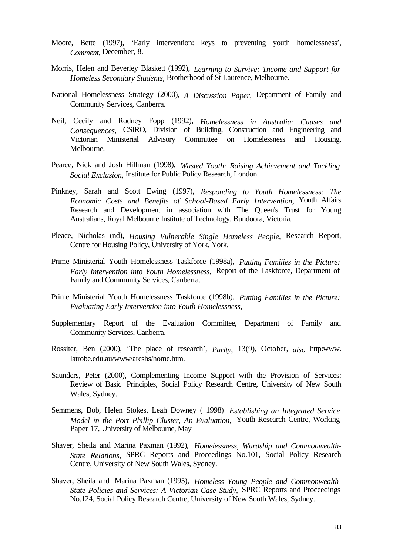- Moore, Bette (1997), 'Early intervention: keys to preventing youth homelessness', *Comment,* December, 8.
- Morris, Helen and Beverley Blaskett (1992), *Learning to Survive: 1ncome and Support for Homeless Secondary Students,* Brotherhood of St Laurence, Melbourne.
- National Homelessness Strategy (2000), *A Discussion Paper,* Department of Family and Community Services, Canberra.
- Neil, Cecily and Rodney Fopp (1992), *Homelessness in Australia: Causes and Consequences,* CSIRO, Division of Building, Construction and Engineering and Victorian Ministerial Advisory Committee on Homelessness and Housing, Melbourne.
- Pearce, Nick and Josh Hillman (1998), *Wasted Youth: Raising Achievement and Tackling Social Exclusion,* Institute for Public Policy Research, London.
- Pinkney, Sarah and Scott Ewing (1997), *Responding to Youth Homelessness: The Economic Costs and Benefits of School-Based Early 1ntervention,* Youth Affairs Research and Development in association with The Queen's Trust for Young Australians, Royal Melbourne Institute of Technology, Bundoora, Victoria.
- Pleace, Nicholas (nd), *Housing Vulnerable Single Homeless People,* Research Report, Centre for Housing Policy, University of York, York.
- Prime Ministerial Youth Homelessness Taskforce (1998a), *Putting Families in the Picture: Early Intervention into Youth Homelessness,* Report of the Taskforce, Department of Family and Community Services, Canberra.
- Prime Ministerial Youth Homelessness Taskforce (1998b), *Putting Families in the Picture: Evaluating Early Intervention into Youth Homelessness,*
- Supplementary Report of the Evaluation Committee, Department of Family and Community Services, Canberra.
- Rossiter, Ben (2000), 'The place of research', *Parity,* 13(9), October, *also* http:www. latrobe.edu.au/www/arcshs/home.htm.
- Saunders, Peter (2000), Complementing Income Support with the Provision of Services: Review of Basic Principles, Social Policy Research Centre, University of New South Wales, Sydney.
- Semmens, Bob, Helen Stokes, Leah Downey ( 1998) *Establishing an Integrated Service Model in the Port Phillip Cluster, An Evaluation,* Youth Research Centre, Working Paper 17, University of Melbourne, May
- Shaver, Sheila and Marina Paxman (1992), *Homelessness, Wardship and Commonwealth-State Relations,* SPRC Reports and Proceedings No.101, Social Policy Research Centre, University of New South Wales, Sydney.
- Shaver, Sheila and Marina Paxman (1995), *Homeless Young People and Commonwealth-State Policies and Services: A Victorian Case Study,* SPRC Reports and Proceedings No.124, Social Policy Research Centre, University of New South Wales, Sydney.